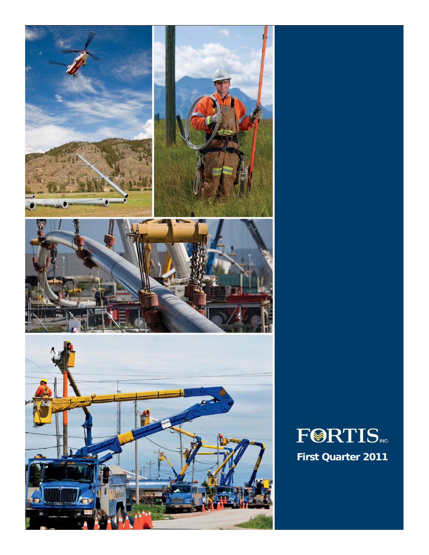

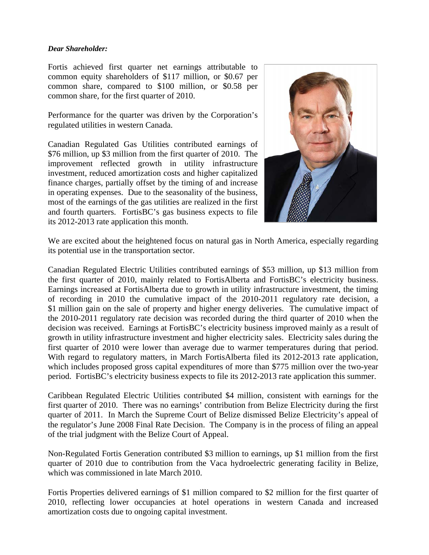### *Dear Shareholder:*

Fortis achieved first quarter net earnings attributable to common equity shareholders of \$117 million, or \$0.67 per common share, compared to \$100 million, or \$0.58 per common share, for the first quarter of 2010.

Performance for the quarter was driven by the Corporation's regulated utilities in western Canada.

Canadian Regulated Gas Utilities contributed earnings of \$76 million, up \$3 million from the first quarter of 2010. The improvement reflected growth in utility infrastructure investment, reduced amortization costs and higher capitalized finance charges, partially offset by the timing of and increase in operating expenses. Due to the seasonality of the business, most of the earnings of the gas utilities are realized in the first and fourth quarters. FortisBC's gas business expects to file its 2012-2013 rate application this month.



We are excited about the heightened focus on natural gas in North America, especially regarding its potential use in the transportation sector.

Canadian Regulated Electric Utilities contributed earnings of \$53 million, up \$13 million from the first quarter of 2010, mainly related to FortisAlberta and FortisBC's electricity business. Earnings increased at FortisAlberta due to growth in utility infrastructure investment, the timing of recording in 2010 the cumulative impact of the 2010-2011 regulatory rate decision, a \$1 million gain on the sale of property and higher energy deliveries. The cumulative impact of the 2010-2011 regulatory rate decision was recorded during the third quarter of 2010 when the decision was received. Earnings at FortisBC's electricity business improved mainly as a result of growth in utility infrastructure investment and higher electricity sales. Electricity sales during the first quarter of 2010 were lower than average due to warmer temperatures during that period. With regard to regulatory matters, in March FortisAlberta filed its 2012-2013 rate application, which includes proposed gross capital expenditures of more than \$775 million over the two-year period. FortisBC's electricity business expects to file its 2012-2013 rate application this summer.

Caribbean Regulated Electric Utilities contributed \$4 million, consistent with earnings for the first quarter of 2010. There was no earnings' contribution from Belize Electricity during the first quarter of 2011. In March the Supreme Court of Belize dismissed Belize Electricity's appeal of the regulator's June 2008 Final Rate Decision. The Company is in the process of filing an appeal of the trial judgment with the Belize Court of Appeal.

Non-Regulated Fortis Generation contributed \$3 million to earnings, up \$1 million from the first quarter of 2010 due to contribution from the Vaca hydroelectric generating facility in Belize, which was commissioned in late March 2010.

Fortis Properties delivered earnings of \$1 million compared to \$2 million for the first quarter of 2010, reflecting lower occupancies at hotel operations in western Canada and increased amortization costs due to ongoing capital investment.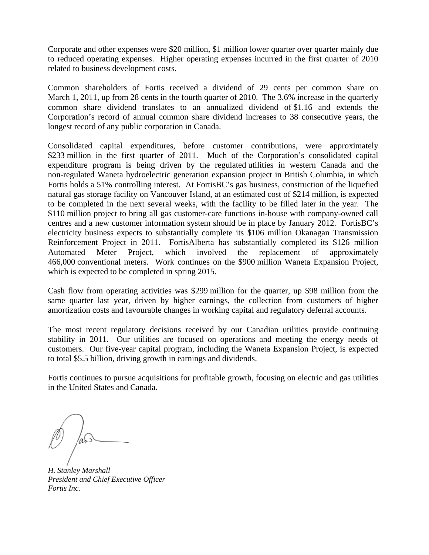Corporate and other expenses were \$20 million, \$1 million lower quarter over quarter mainly due to reduced operating expenses. Higher operating expenses incurred in the first quarter of 2010 related to business development costs.

Common shareholders of Fortis received a dividend of 29 cents per common share on March 1, 2011, up from 28 cents in the fourth quarter of 2010. The 3.6% increase in the quarterly common share dividend translates to an annualized dividend of \$1.16 and extends the Corporation's record of annual common share dividend increases to 38 consecutive years, the longest record of any public corporation in Canada.

Consolidated capital expenditures, before customer contributions, were approximately \$233 million in the first quarter of 2011. Much of the Corporation's consolidated capital expenditure program is being driven by the regulated utilities in western Canada and the non-regulated Waneta hydroelectric generation expansion project in British Columbia, in which Fortis holds a 51% controlling interest. At FortisBC's gas business, construction of the liquefied natural gas storage facility on Vancouver Island, at an estimated cost of \$214 million, is expected to be completed in the next several weeks, with the facility to be filled later in the year. The \$110 million project to bring all gas customer-care functions in-house with company-owned call centres and a new customer information system should be in place by January 2012. FortisBC's electricity business expects to substantially complete its \$106 million Okanagan Transmission Reinforcement Project in 2011. FortisAlberta has substantially completed its \$126 million Automated Meter Project, which involved the replacement of approximately 466,000 conventional meters. Work continues on the \$900 million Waneta Expansion Project, which is expected to be completed in spring 2015.

Cash flow from operating activities was \$299 million for the quarter, up \$98 million from the same quarter last year, driven by higher earnings, the collection from customers of higher amortization costs and favourable changes in working capital and regulatory deferral accounts.

The most recent regulatory decisions received by our Canadian utilities provide continuing stability in 2011. Our utilities are focused on operations and meeting the energy needs of customers. Our five-year capital program, including the Waneta Expansion Project, is expected to total \$5.5 billion, driving growth in earnings and dividends.

Fortis continues to pursue acquisitions for profitable growth, focusing on electric and gas utilities in the United States and Canada.

*H. Stanley Marshall President and Chief Executive Officer Fortis Inc.*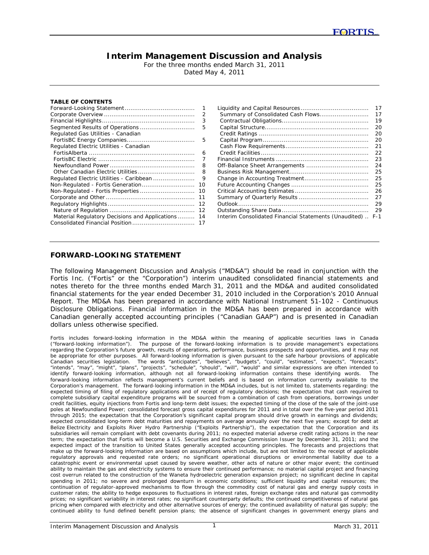## **Interim Management Discussion and Analysis**

For the three months ended March 31, 2011 Dated May 4, 2011

#### **TABLE OF CONTENTS**

 $\overline{a}$ 

|                                                | 1  |
|------------------------------------------------|----|
|                                                | 2  |
|                                                | 3  |
| Segmented Results of Operations                | 5  |
| Regulated Gas Utilities - Canadian             |    |
|                                                | 5  |
| Regulated Electric Utilities - Canadian        |    |
|                                                | 6  |
|                                                |    |
|                                                | 8  |
| Other Canadian Electric Utilities              | 8  |
| Regulated Electric Utilities - Caribbean       | 9  |
| Non-Regulated - Fortis Generation              | 10 |
| Non-Regulated - Fortis Properties              | 10 |
|                                                | 11 |
|                                                | 12 |
|                                                | 12 |
| Material Regulatory Decisions and Applications | 14 |
|                                                | 17 |
|                                                |    |

|                                                       | 17    |
|-------------------------------------------------------|-------|
| Summary of Consolidated Cash Flows                    | 17    |
|                                                       | 19    |
|                                                       | 20    |
|                                                       | 20    |
|                                                       | 20    |
|                                                       | 21    |
|                                                       | 22    |
|                                                       | 23    |
|                                                       | 24    |
|                                                       | 25    |
|                                                       | 25    |
|                                                       | 25    |
|                                                       | 26    |
|                                                       | 27    |
|                                                       | 29    |
|                                                       | 29    |
| Interim Consolidated Financial Statements (Unaudited) | $F-1$ |

## **FORWARD-LOOKING STATEMENT**

The following Management Discussion and Analysis ("MD&A") should be read in conjunction with the Fortis Inc. ("Fortis" or the "Corporation") interim unaudited consolidated financial statements and notes thereto for the three months ended March 31, 2011 and the MD&A and audited consolidated financial statements for the year ended December 31, 2010 included in the Corporation's 2010 Annual Report. The MD&A has been prepared in accordance with National Instrument 51-102 - *Continuous Disclosure Obligations.* Financial information in the MD&A has been prepared in accordance with Canadian generally accepted accounting principles ("Canadian GAAP") and is presented in Canadian dollars unless otherwise specified.

*Fortis includes forward-looking information in the MD&A within the meaning of applicable securities laws in Canada ("forward-looking information"). The purpose of the forward-looking information is to provide management's expectations regarding the Corporation's future growth, results of operations, performance, business prospects and opportunities, and it may not be appropriate for other purposes. All forward-looking information is given pursuant to the safe harbour provisions of applicable Canadian securities legislation. The words "anticipates", "believes", "budgets", "could", "estimates", "expects", "forecasts", "intends", "may", "might", "plans", "projects", "schedule", "should", "will", "would" and similar expressions are often intended to identify forward-looking information, although not all forward-looking information contains these identifying words. The*  forward-looking information reflects management's current beliefs and is based on information currently available to the *Corporation's management. The forward-looking information in the MD&A includes, but is not limited to, statements regarding: the expected timing of filing of regulatory applications and of receipt of regulatory decisions; the expectation that cash required to complete subsidiary capital expenditure programs will be sourced from a combination of cash from operations, borrowings under credit facilities, equity injections from Fortis and long-term debt issues; the expected timing of the close of the sale of the joint-use poles at Newfoundland Power; consolidated forecast gross capital expenditures for 2011 and in total over the five-year period 2011 through 2015; the expectation that the Corporation's significant capital program should drive growth in earnings and dividends; expected consolidated long-term debt maturities and repayments on average annually over the next five years; except for debt at Belize Electricity and Exploits River Hydro Partnership ("Exploits Partnership"), the expectation that the Corporation and its subsidiaries will remain compliant with debt covenants during 2011; no expected material adverse credit rating actions in the near term; the expectation that Fortis will become a U.S. Securities and Exchange Commission Issuer by December 31, 2011; and the expected impact of the transition to United States generally accepted accounting principles. The forecasts and projections that make up the forward-looking information are based on assumptions which include, but are not limited to: the receipt of applicable regulatory approvals and requested rate orders; no significant operational disruptions or environmental liability due to a*  catastrophic event or environmental upset caused by severe weather, other acts of nature or other major event; the continued *ability to maintain the gas and electricity systems to ensure their continued performance; no material capital project and financing cost overrun related to the construction of the Waneta hydroelectric generation expansion project; no significant decline in capital spending in 2011; no severe and prolonged downturn in economic conditions; sufficient liquidity and capital resources; the continuation of regulator-approved mechanisms to flow through the commodity cost of natural gas and energy supply costs in customer rates; the ability to hedge exposures to fluctuations in interest rates, foreign exchange rates and natural gas commodity prices; no significant variability in interest rates; no significant counterparty defaults; the continued competitiveness of natural gas pricing when compared with electricity and other alternative sources of energy; the continued availability of natural gas supply; the continued ability to fund defined benefit pension plans; the absence of significant changes in government energy plans and*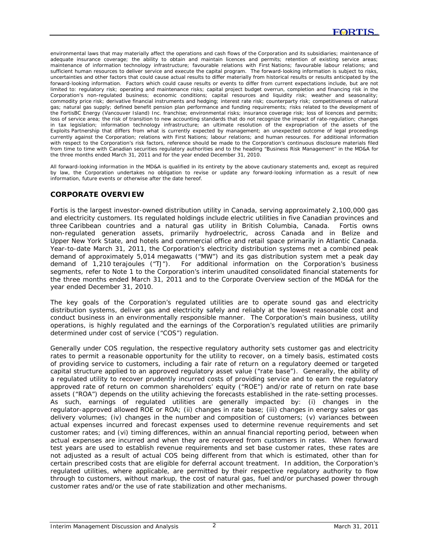*environmental laws that may materially affect the operations and cash flows of the Corporation and its subsidiaries; maintenance of adequate insurance coverage; the ability to obtain and maintain licences and permits; retention of existing service areas; maintenance of information technology infrastructure; favourable relations with First Nations; favourable labour relations; and sufficient human resources to deliver service and execute the capital program. The forward-looking information is subject to risks, uncertainties and other factors that could cause actual results to differ materially from historical results or results anticipated by the forward-looking information. Factors which could cause results or events to differ from current expectations include, but are not limited to: regulatory risk; operating and maintenance risks; capital project budget overrun, completion and financing risk in the Corporation's non-regulated business; economic conditions; capital resources and liquidity risk; weather and seasonality; commodity price risk; derivative financial instruments and hedging; interest rate risk; counterparty risk; competitiveness of natural gas; natural gas supply; defined benefit pension plan performance and funding requirements; risks related to the development of the FortisBC Energy (Vancouver Island) Inc. franchise; environmental risks; insurance coverage risk; loss of licences and permits; loss of service area; the risk of transition to new accounting standards that do not recognize the impact of rate-regulation; changes in tax legislation; information technology infrastructure; an ultimate resolution of the expropriation of the assets of the Exploits Partnership that differs from what is currently expected by management; an unexpected outcome of legal proceedings currently against the Corporation; relations with First Nations; labour relations; and human resources. For additional information with respect to the Corporation's risk factors, reference should be made to the Corporation's continuous disclosure materials filed from time to time with Canadian securities regulatory authorities and to the heading "Business Risk Management" in the MD&A for the three months ended March 31, 2011 and for the year ended December 31, 2010.* 

*All forward-looking information in the MD&A is qualified in its entirety by the above cautionary statements and, except as required by law, the Corporation undertakes no obligation to revise or update any forward-looking information as a result of new information, future events or otherwise after the date hereof.* 

## **CORPORATE OVERVIEW**

 $\overline{a}$ 

Fortis is the largest investor-owned distribution utility in Canada, serving approximately 2,100,000 gas and electricity customers. Its regulated holdings include electric utilities in five Canadian provinces and three Caribbean countries and a natural gas utility in British Columbia, Canada. Fortis owns non-regulated generation assets, primarily hydroelectric, across Canada and in Belize and Upper New York State, and hotels and commercial office and retail space primarily in Atlantic Canada. Year-to-date March 31, 2011, the Corporation's electricity distribution systems met a combined peak demand of approximately 5,014 megawatts ("MW") and its gas distribution system met a peak day demand of 1,210 terajoules ("TJ"). For additional information on the Corporation's business segments, refer to Note 1 to the Corporation's interim unaudited consolidated financial statements for the three months ended March 31, 2011 and to the Corporate Overview section of the MD&A for the year ended December 31, 2010.

The key goals of the Corporation's regulated utilities are to operate sound gas and electricity distribution systems, deliver gas and electricity safely and reliably at the lowest reasonable cost and conduct business in an environmentally responsible manner. The Corporation's main business, utility operations, is highly regulated and the earnings of the Corporation's regulated utilities are primarily determined under cost of service ("COS") regulation.

Generally under COS regulation, the respective regulatory authority sets customer gas and electricity rates to permit a reasonable opportunity for the utility to recover, on a timely basis, estimated costs of providing service to customers, including a fair rate of return on a regulatory deemed or targeted capital structure applied to an approved regulatory asset value ("rate base"). Generally, the ability of a regulated utility to recover prudently incurred costs of providing service and to earn the regulatory approved rate of return on common shareholders' equity ("ROE") and/or rate of return on rate base assets ("ROA") depends on the utility achieving the forecasts established in the rate-setting processes. As such, earnings of regulated utilities are generally impacted by: (i) changes in the regulator-approved allowed ROE or ROA; (ii) changes in rate base; (iii) changes in energy sales or gas delivery volumes; (iv) changes in the number and composition of customers; (v) variances between actual expenses incurred and forecast expenses used to determine revenue requirements and set customer rates; and (vi) timing differences, within an annual financial reporting period, between when actual expenses are incurred and when they are recovered from customers in rates. When forward test years are used to establish revenue requirements and set base customer rates, these rates are not adjusted as a result of actual COS being different from that which is estimated, other than for certain prescribed costs that are eligible for deferral account treatment. In addition, the Corporation's regulated utilities, where applicable, are permitted by their respective regulatory authority to flow through to customers, without markup, the cost of natural gas, fuel and/or purchased power through customer rates and/or the use of rate stabilization and other mechanisms.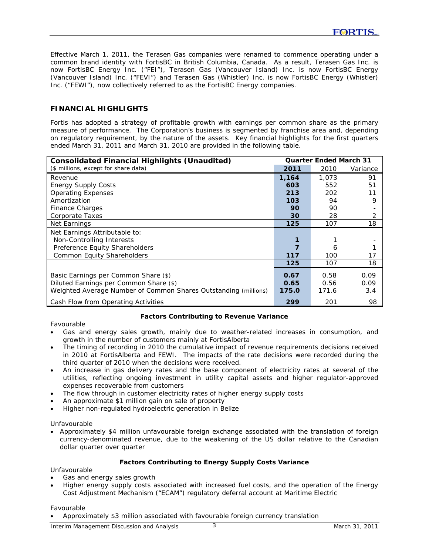Effective March 1, 2011, the Terasen Gas companies were renamed to commence operating under a common brand identity with FortisBC in British Columbia, Canada. As a result, Terasen Gas Inc. is now FortisBC Energy Inc. ("FEI"), Terasen Gas (Vancouver Island) Inc. is now FortisBC Energy (Vancouver Island) Inc. ("FEVI") and Terasen Gas (Whistler) Inc. is now FortisBC Energy (Whistler) Inc. ("FEWI"), now collectively referred to as the FortisBC Energy companies.

### **FINANCIAL HIGHLIGHTS**

 $\overline{a}$ 

Fortis has adopted a strategy of profitable growth with earnings per common share as the primary measure of performance. The Corporation's business is segmented by franchise area and, depending on regulatory requirement, by the nature of the assets. Key financial highlights for the first quarters ended March 31, 2011 and March 31, 2010 are provided in the following table.

| <b>Consolidated Financial Highlights (Unaudited)</b>            | <b>Quarter Ended March 31</b> |       |          |
|-----------------------------------------------------------------|-------------------------------|-------|----------|
| (\$ millions, except for share data)                            | 2011                          | 2010  | Variance |
| Revenue                                                         | 1,164                         | 1,073 | 91       |
| <b>Energy Supply Costs</b>                                      | 603                           | 552   | 51       |
| <b>Operating Expenses</b>                                       | 213                           | 202   | 11       |
| Amortization                                                    | 103                           | 94    | 9        |
| <b>Finance Charges</b>                                          | 90                            | 90    |          |
| Corporate Taxes                                                 | 30                            | 28    |          |
| Net Earnings                                                    | 125                           | 107   | 18       |
| Net Earnings Attributable to:                                   |                               |       |          |
| Non-Controlling Interests                                       |                               |       |          |
| Preference Equity Shareholders                                  |                               | 6     |          |
| Common Equity Shareholders                                      | 117                           | 100   | 17       |
|                                                                 | 125                           | 107   | 18       |
| Basic Earnings per Common Share (\$)                            | 0.67                          | 0.58  | 0.09     |
| Diluted Earnings per Common Share (\$)                          | 0.65                          | 0.56  | 0.09     |
| Weighted Average Number of Common Shares Outstanding (millions) | 175.0                         | 171.6 | 3.4      |
| Cash Flow from Operating Activities                             | 299                           | 201   | 98       |

#### **Factors Contributing to Revenue Variance**

## *Favourable*

- Gas and energy sales growth, mainly due to weather-related increases in consumption, and growth in the number of customers mainly at FortisAlberta
- The timing of recording in 2010 the cumulative impact of revenue requirements decisions received in 2010 at FortisAlberta and FEWI. The impacts of the rate decisions were recorded during the third quarter of 2010 when the decisions were received.
- An increase in gas delivery rates and the base component of electricity rates at several of the utilities, reflecting ongoing investment in utility capital assets and higher regulator-approved expenses recoverable from customers
- The flow through in customer electricity rates of higher energy supply costs
- An approximate \$1 million gain on sale of property
- Higher non-regulated hydroelectric generation in Belize

#### *Unfavourable*

• Approximately \$4 million unfavourable foreign exchange associated with the translation of foreign currency-denominated revenue, due to the weakening of the US dollar relative to the Canadian dollar quarter over quarter

#### **Factors Contributing to Energy Supply Costs Variance**

#### *Unfavourable*

- Gas and energy sales growth
- Higher energy supply costs associated with increased fuel costs, and the operation of the Energy Cost Adjustment Mechanism ("ECAM") regulatory deferral account at Maritime Electric

#### *Favourable*

• Approximately \$3 million associated with favourable foreign currency translation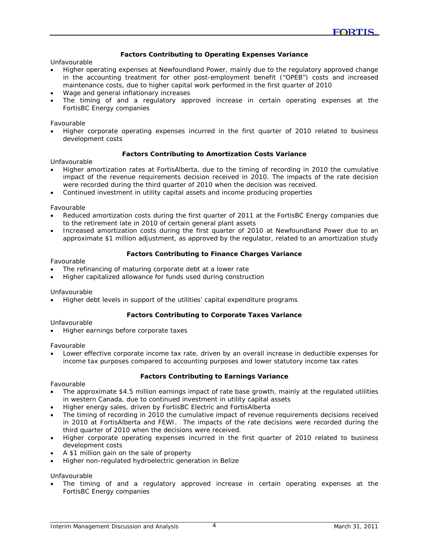### **Factors Contributing to Operating Expenses Variance**

#### *Unfavourable*

 $\overline{a}$ 

- Higher operating expenses at Newfoundland Power, mainly due to the regulatory approved change in the accounting treatment for other post-employment benefit ("OPEB") costs and increased maintenance costs, due to higher capital work performed in the first quarter of 2010
- Wage and general inflationary increases
- The timing of and a regulatory approved increase in certain operating expenses at the FortisBC Energy companies

#### *Favourable*

• Higher corporate operating expenses incurred in the first quarter of 2010 related to business development costs

#### **Factors Contributing to Amortization Costs Variance**

#### *Unfavourable*

- Higher amortization rates at FortisAlberta, due to the timing of recording in 2010 the cumulative impact of the revenue requirements decision received in 2010. The impacts of the rate decision were recorded during the third quarter of 2010 when the decision was received.
- Continued investment in utility capital assets and income producing properties

#### *Favourable*

- Reduced amortization costs during the first quarter of 2011 at the FortisBC Energy companies due to the retirement late in 2010 of certain general plant assets
- Increased amortization costs during the first quarter of 2010 at Newfoundland Power due to an approximate \$1 million adjustment, as approved by the regulator, related to an amortization study

#### **Factors Contributing to Finance Charges Variance**

#### *Favourable*

- The refinancing of maturing corporate debt at a lower rate
- Higher capitalized allowance for funds used during construction

#### *Unfavourable*

• Higher debt levels in support of the utilities' capital expenditure programs

#### **Factors Contributing to Corporate Taxes Variance**

## *Unfavourable*

• Higher earnings before corporate taxes

#### *Favourable*

• Lower effective corporate income tax rate, driven by an overall increase in deductible expenses for income tax purposes compared to accounting purposes and lower statutory income tax rates

#### **Factors Contributing to Earnings Variance**

#### *Favourable*

- The approximate \$4.5 million earnings impact of rate base growth, mainly at the regulated utilities in western Canada, due to continued investment in utility capital assets
- Higher energy sales, driven by FortisBC Electric and FortisAlberta
- The timing of recording in 2010 the cumulative impact of revenue requirements decisions received in 2010 at FortisAlberta and FEWI. The impacts of the rate decisions were recorded during the third quarter of 2010 when the decisions were received.
- Higher corporate operating expenses incurred in the first quarter of 2010 related to business development costs
- A \$1 million gain on the sale of property
- Higher non-regulated hydroelectric generation in Belize

#### *Unfavourable*

The timing of and a regulatory approved increase in certain operating expenses at the FortisBC Energy companies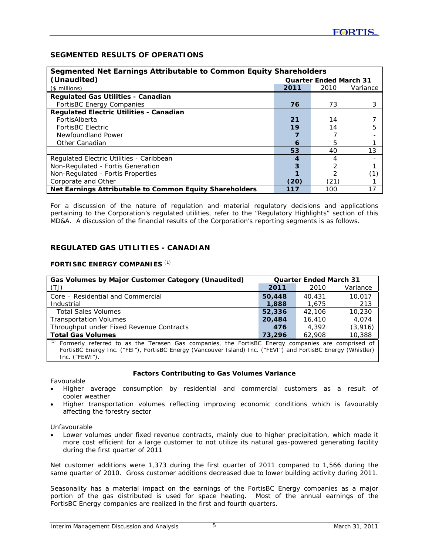### **SEGMENTED RESULTS OF OPERATIONS**

 $\overline{a}$ 

| Segmented Net Earnings Attributable to Common Equity Shareholders |      |                               |          |  |
|-------------------------------------------------------------------|------|-------------------------------|----------|--|
| (Unaudited)                                                       |      | <b>Quarter Ended March 31</b> |          |  |
| $($$ millions)                                                    | 2011 | 2010                          | Variance |  |
| <b>Regulated Gas Utilities - Canadian</b>                         |      |                               |          |  |
| FortisBC Energy Companies                                         | 76   | 73                            |          |  |
| <b>Regulated Electric Utilities - Canadian</b>                    |      |                               |          |  |
| FortisAlberta                                                     | 21   | 14                            |          |  |
| FortisBC Electric                                                 | 19   | 14                            |          |  |
| Newfoundland Power                                                |      |                               |          |  |
| Other Canadian                                                    | 6    | 5                             |          |  |
|                                                                   | 53   | 40                            | 13       |  |
| Regulated Electric Utilities - Caribbean                          |      | 4                             |          |  |
| Non-Regulated - Fortis Generation                                 |      |                               |          |  |
| Non-Regulated - Fortis Properties                                 |      | 2                             |          |  |
| Corporate and Other                                               | (20) | (21)                          |          |  |
| Net Earnings Attributable to Common Equity Shareholders           | 117  | 100                           | 17       |  |

For a discussion of the nature of regulation and material regulatory decisions and applications pertaining to the Corporation's regulated utilities, refer to the "Regulatory Highlights" section of this MD&A. A discussion of the financial results of the Corporation's reporting segments is as follows.

## **REGULATED GAS UTILITIES - CANADIAN**

### **FORTISBC ENERGY COMPANIES** *(1)*

| Gas Volumes by Major Customer Category (Unaudited)                                                            | <b>Quarter Ended March 31</b> |        |          |
|---------------------------------------------------------------------------------------------------------------|-------------------------------|--------|----------|
| (TJ)                                                                                                          | 2011                          | 2010   | Variance |
| Core – Residential and Commercial                                                                             | 50,448                        | 40.431 | 10.017   |
| Industrial                                                                                                    | 1,888                         | 1.675  | 213      |
| <b>Total Sales Volumes</b>                                                                                    | 52,336                        | 42,106 | 10,230   |
| <b>Transportation Volumes</b>                                                                                 | 20,484                        | 16,410 | 4.074    |
| Throughput under Fixed Revenue Contracts                                                                      | 476                           | 4.392  | (3,916)  |
| <b>Total Gas Volumes</b>                                                                                      | 73,296                        | 62,908 | 10,388   |
| (1)<br>Formerly referred to as the Terasen Gas companies, the FortisBC Energy companies are comprised of      |                               |        |          |
| FortisBC Energy Inc. ("FEI"), FortisBC Energy (Vancouver Island) Inc. ("FEVI") and FortisBC Energy (Whistler) |                               |        |          |
| Inc. $("FEWI")$ .                                                                                             |                               |        |          |

*Favourable* 

• Higher average consumption by residential and commercial customers as a result of cooler weather

**Factors Contributing to Gas Volumes Variance** 

• Higher transportation volumes reflecting improving economic conditions which is favourably affecting the forestry sector

#### *Unfavourable*

• Lower volumes under fixed revenue contracts, mainly due to higher precipitation, which made it more cost efficient for a large customer to not utilize its natural gas-powered generating facility during the first quarter of 2011

Net customer additions were 1,373 during the first quarter of 2011 compared to 1,566 during the same quarter of 2010. Gross customer additions decreased due to lower building activity during 2011.

Seasonality has a material impact on the earnings of the FortisBC Energy companies as a major portion of the gas distributed is used for space heating. Most of the annual earnings of the FortisBC Energy companies are realized in the first and fourth quarters.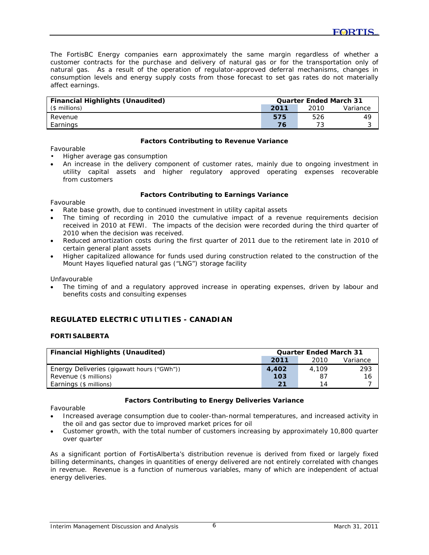The FortisBC Energy companies earn approximately the same margin regardless of whether a customer contracts for the purchase and delivery of natural gas or for the transportation only of natural gas. As a result of the operation of regulator-approved deferral mechanisms, changes in consumption levels and energy supply costs from those forecast to set gas rates do not materially affect earnings.

| <b>Financial Highlights (Unaudited)</b> | <b>Quarter Ended March 31</b> |      |          |
|-----------------------------------------|-------------------------------|------|----------|
| (\$ millions)                           | 2011                          | 2010 | Variance |
| Revenue                                 | 575                           | 526  | 49       |
| Earnings                                | 76                            |      |          |

#### **Factors Contributing to Revenue Variance**

*Favourable* 

 $\overline{a}$ 

- Higher average gas consumption
- An increase in the delivery component of customer rates, mainly due to ongoing investment in utility capital assets and higher regulatory approved operating expenses recoverable from customers

#### **Factors Contributing to Earnings Variance**

*Favourable* 

- Rate base growth, due to continued investment in utility capital assets
- The timing of recording in 2010 the cumulative impact of a revenue requirements decision received in 2010 at FEWI. The impacts of the decision were recorded during the third quarter of 2010 when the decision was received.
- Reduced amortization costs during the first quarter of 2011 due to the retirement late in 2010 of certain general plant assets
- Higher capitalized allowance for funds used during construction related to the construction of the Mount Hayes liquefied natural gas ("LNG") storage facility

#### *Unfavourable*

The timing of and a regulatory approved increase in operating expenses, driven by labour and benefits costs and consulting expenses

## **REGULATED ELECTRIC UTILITIES - CANADIAN**

### **FORTISALBERTA**

| <b>Financial Highlights (Unaudited)</b>    | <b>Quarter Ended March 31</b> |       |          |
|--------------------------------------------|-------------------------------|-------|----------|
|                                            | 2011                          | 2010  | Variance |
| Energy Deliveries (gigawatt hours ("GWh")) | 4,402                         | 4.109 | 293      |
| Revenue (\$ millions)                      | 103                           | 87    | 16       |
| Earnings (\$ millions)                     | 2 <sub>1</sub>                | 14    |          |

## **Factors Contributing to Energy Deliveries Variance**

#### *Favourable*

- Increased average consumption due to cooler-than-normal temperatures, and increased activity in the oil and gas sector due to improved market prices for oil
- Customer growth, with the total number of customers increasing by approximately 10,800 quarter over quarter

As a significant portion of FortisAlberta's distribution revenue is derived from fixed or largely fixed billing determinants, changes in quantities of energy delivered are not entirely correlated with changes in revenue. Revenue is a function of numerous variables, many of which are independent of actual energy deliveries.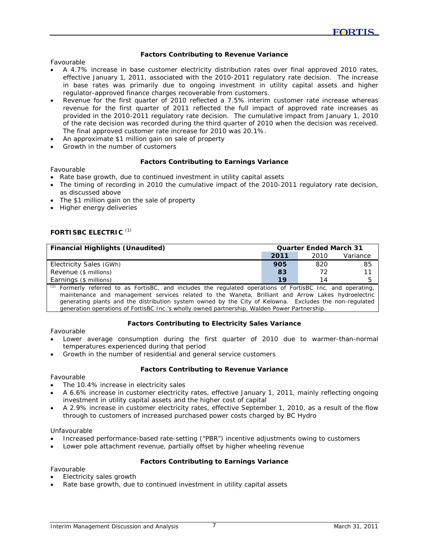### **Factors Contributing to Revenue Variance**

#### *Favourable*

 $\overline{a}$ 

- A 4.7% increase in base customer electricity distribution rates over final approved 2010 rates, effective January 1, 2011, associated with the 2010-2011 regulatory rate decision. The increase in base rates was primarily due to ongoing investment in utility capital assets and higher regulator-approved finance charges recoverable from customers.
- Revenue for the first quarter of 2010 reflected a 7.5% interim customer rate increase whereas revenue for the first quarter of 2011 reflected the full impact of approved rate increases as provided in the 2010-2011 regulatory rate decision. The cumulative impact from January 1, 2010 of the rate decision was recorded during the third quarter of 2010 when the decision was received. The final approved customer rate increase for 2010 was 20.1%.
- An approximate \$1 million gain on sale of property
- Growth in the number of customers

#### **Factors Contributing to Earnings Variance**

#### *Favourable*

- Rate base growth, due to continued investment in utility capital assets
- The timing of recording in 2010 the cumulative impact of the 2010-2011 regulatory rate decision, as discussed above
- The \$1 million gain on the sale of property
- Higher energy deliveries

## **FORTISBC ELECTRIC** *(1)*

| <b>Financial Highlights (Unaudited)</b>                                                                                                                                                                                                                                                                                                                                                                                                | <b>Quarter Ended March 31</b> |      |          |
|----------------------------------------------------------------------------------------------------------------------------------------------------------------------------------------------------------------------------------------------------------------------------------------------------------------------------------------------------------------------------------------------------------------------------------------|-------------------------------|------|----------|
|                                                                                                                                                                                                                                                                                                                                                                                                                                        | 2011                          | 2010 | Variance |
| Electricity Sales (GWh)                                                                                                                                                                                                                                                                                                                                                                                                                | 905                           | 820  | 85       |
| Revenue (\$ millions)                                                                                                                                                                                                                                                                                                                                                                                                                  | 83                            | 72   | 11       |
| Earnings (\$ millions)                                                                                                                                                                                                                                                                                                                                                                                                                 | 19                            | 14   | 5        |
| <sup>(1)</sup> Formerly referred to as FortisBC, and includes the regulated operations of FortisBC Inc. and operating,<br>maintenance and management services related to the Waneta, Brilliant and Arrow Lakes hydroelectric<br>generating plants and the distribution system owned by the City of Kelowna. Excludes the non-regulated<br>generation operations of FortisBC Inc.'s wholly owned partnership, Walden Power Partnership. |                               |      |          |

#### **Factors Contributing to Electricity Sales Variance**

#### *Favourable*

- Lower average consumption during the first quarter of 2010 due to warmer-than-normal temperatures experienced during that period
- Growth in the number of residential and general service customers

### **Factors Contributing to Revenue Variance**

#### *Favourable*

- The 10.4% increase in electricity sales
- A 6.6% increase in customer electricity rates, effective January 1, 2011, mainly reflecting ongoing investment in utility capital assets and the higher cost of capital
- A 2.9% increase in customer electricity rates, effective September 1, 2010, as a result of the flow through to customers of increased purchased power costs charged by BC Hydro

#### *Unfavourable*

- Increased performance-based rate-setting ("PBR") incentive adjustments owing to customers
- Lower pole attachment revenue, partially offset by higher wheeling revenue

#### **Factors Contributing to Earnings Variance**

- Electricity sales growth
- Rate base growth, due to continued investment in utility capital assets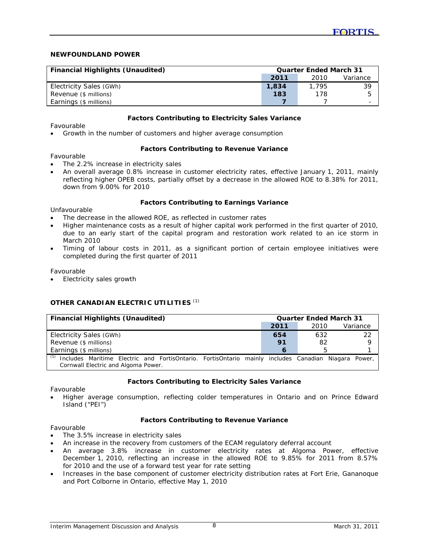### **NEWFOUNDLAND POWER**

| <b>Financial Highlights (Unaudited)</b> | <b>Quarter Ended March 31</b> |       |          |
|-----------------------------------------|-------------------------------|-------|----------|
|                                         | 2011                          | 2010  | Variance |
| Electricity Sales (GWh)                 | 1,834                         | 1.795 | 39       |
| Revenue (\$ millions)                   | 183                           | 178   |          |
| Earnings (\$ millions)                  |                               |       |          |

#### **Factors Contributing to Electricity Sales Variance**

*Favourable* 

 $\overline{a}$ 

• Growth in the number of customers and higher average consumption

#### **Factors Contributing to Revenue Variance**

#### *Favourable*

- The 2.2% increase in electricity sales
- An overall average 0.8% increase in customer electricity rates, effective January 1, 2011, mainly reflecting higher OPEB costs, partially offset by a decrease in the allowed ROE to 8.38% for 2011, down from 9.00% for 2010

#### **Factors Contributing to Earnings Variance**

*Unfavourable* 

- The decrease in the allowed ROE, as reflected in customer rates
- Higher maintenance costs as a result of higher capital work performed in the first quarter of 2010, due to an early start of the capital program and restoration work related to an ice storm in March 2010
- Timing of labour costs in 2011, as a significant portion of certain employee initiatives were completed during the first quarter of 2011

*Favourable* 

• Electricity sales growth

### **OTHER CANADIAN ELECTRIC UTILITIES** *(1)*

| <b>Financial Highlights (Unaudited)</b>                                                                    | <b>Quarter Ended March 31</b> |      |          |
|------------------------------------------------------------------------------------------------------------|-------------------------------|------|----------|
|                                                                                                            | 2011                          | 2010 | Variance |
| Electricity Sales (GWh)                                                                                    | 654                           | 632  | 22       |
| Revenue (\$ millions)                                                                                      | 91                            | 82   |          |
| Earnings (\$ millions)                                                                                     | 6                             | .h   |          |
| (1)<br>Includes Maritime Electric and FortisOntario. FortisOntario mainly includes Canadian Niagara Power, |                               |      |          |
| Cornwall Electric and Algoma Power.                                                                        |                               |      |          |

**Factors Contributing to Electricity Sales Variance** 

*Favourable* 

• Higher average consumption, reflecting colder temperatures in Ontario and on Prince Edward Island ("PEI")

#### **Factors Contributing to Revenue Variance**

- The 3.5% increase in electricity sales
- An increase in the recovery from customers of the ECAM regulatory deferral account
- An average 3.8% increase in customer electricity rates at Algoma Power, effective December 1, 2010, reflecting an increase in the allowed ROE to 9.85% for 2011 from 8.57% for 2010 and the use of a forward test year for rate setting
- Increases in the base component of customer electricity distribution rates at Fort Erie, Gananoque and Port Colborne in Ontario, effective May 1, 2010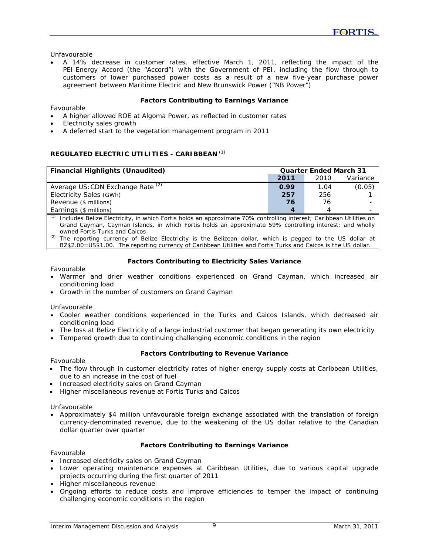#### *Unfavourable*

 $\overline{a}$ 

• A 14% decrease in customer rates, effective March 1, 2011, reflecting the impact of the PEI Energy Accord (the "Accord") with the Government of PEI, including the flow through to customers of lower purchased power costs as a result of a new five-year purchase power agreement between Maritime Electric and New Brunswick Power ("NB Power")

#### **Factors Contributing to Earnings Variance**

#### *Favourable*

- A higher allowed ROE at Algoma Power, as reflected in customer rates
- Electricity sales growth
- A deferred start to the vegetation management program in 2011

### **REGULATED ELECTRIC UTILITIES - CARIBBEAN** *(1)*

| <b>Financial Highlights (Unaudited)</b> | <b>Quarter Ended March 31</b> |      |          |
|-----------------------------------------|-------------------------------|------|----------|
|                                         | 2011                          | 2010 | Variance |
| Average US: CDN Exchange Rate (2)       | 0.99                          | 1.04 | (0.05)   |
| Electricity Sales (GWh)                 | 257                           | 256  |          |
| Revenue (\$ millions)                   | 76                            |      |          |
| Earnings (\$ millions)                  |                               |      |          |

*(1)* Includes Belize Electricity, in which Fortis holds an approximate 70% controlling interest; Caribbean Utilities on Grand Cayman, Cayman Islands, in which Fortis holds an approximate 59% controlling interest; and wholly owned Fortis Turks and Caicos

*(2)* The reporting currency of Belize Electricity is the Belizean dollar, which is pegged to the US dollar at BZ\$2.00=US\$1.00. The reporting currency of Caribbean Utilities and Fortis Turks and Caicos is the US dollar.

#### **Factors Contributing to Electricity Sales Variance**

*Favourable* 

- Warmer and drier weather conditions experienced on Grand Cayman, which increased air conditioning load
- Growth in the number of customers on Grand Cayman

#### *Unfavourable*

- Cooler weather conditions experienced in the Turks and Caicos Islands, which decreased air conditioning load
- The loss at Belize Electricity of a large industrial customer that began generating its own electricity
- Tempered growth due to continuing challenging economic conditions in the region

#### **Factors Contributing to Revenue Variance**

#### *Favourable*

- The flow through in customer electricity rates of higher energy supply costs at Caribbean Utilities, due to an increase in the cost of fuel
- Increased electricity sales on Grand Cayman
- Higher miscellaneous revenue at Fortis Turks and Caicos

#### *Unfavourable*

• Approximately \$4 million unfavourable foreign exchange associated with the translation of foreign currency-denominated revenue, due to the weakening of the US dollar relative to the Canadian dollar quarter over quarter

#### **Factors Contributing to Earnings Variance**

- Increased electricity sales on Grand Cayman
- Lower operating maintenance expenses at Caribbean Utilities, due to various capital upgrade projects occurring during the first quarter of 2011
- Higher miscellaneous revenue
- Ongoing efforts to reduce costs and improve efficiencies to temper the impact of continuing challenging economic conditions in the region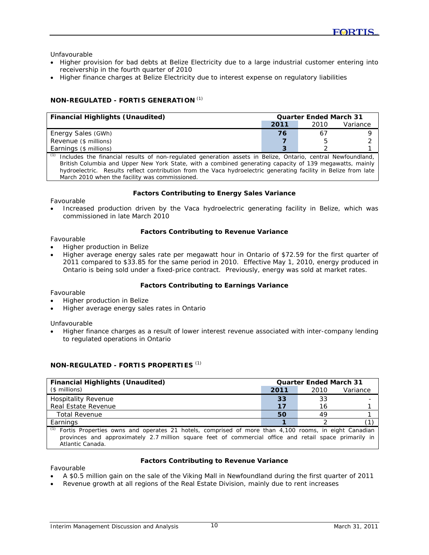#### *Unfavourable*

 $\overline{a}$ 

- Higher provision for bad debts at Belize Electricity due to a large industrial customer entering into receivership in the fourth quarter of 2010
- Higher finance charges at Belize Electricity due to interest expense on regulatory liabilities

### **NON-REGULATED - FORTIS GENERATION** *(1)*

| <b>Financial Highlights (Unaudited)</b>                                                                            | <b>Quarter Ended March 31</b> |      |          |
|--------------------------------------------------------------------------------------------------------------------|-------------------------------|------|----------|
|                                                                                                                    | 2011                          | 2010 | Variance |
| Energy Sales (GWh)                                                                                                 | 76                            | 67   |          |
| Revenue (\$ millions)                                                                                              |                               | 5    |          |
| Earnings (\$ millions)                                                                                             | 3                             |      |          |
| (1)<br>Includes the financial results of non-regulated generation assets in Belize, Ontario, central Newfoundland, |                               |      |          |
| British Columbia and Upper New York State, with a combined generating capacity of 139 megawatts, mainly            |                               |      |          |
| hydroelectric. Results reflect contribution from the Vaca hydroelectric generating facility in Belize from late    |                               |      |          |
| March 2010 when the facility was commissioned.                                                                     |                               |      |          |

#### **Factors Contributing to Energy Sales Variance**

*Favourable* 

• Increased production driven by the Vaca hydroelectric generating facility in Belize, which was commissioned in late March 2010

#### **Factors Contributing to Revenue Variance**

#### *Favourable*

- Higher production in Belize
- Higher average energy sales rate per megawatt hour in Ontario of \$72.59 for the first quarter of 2011 compared to \$33.85 for the same period in 2010. Effective May 1, 2010, energy produced in Ontario is being sold under a fixed-price contract. Previously, energy was sold at market rates.

#### **Factors Contributing to Earnings Variance**

*Favourable* 

- Higher production in Belize
- Higher average energy sales rates in Ontario

*Unfavourable* 

• Higher finance charges as a result of lower interest revenue associated with inter-company lending to regulated operations in Ontario

#### **NON-REGULATED - FORTIS PROPERTIES** *(1)*

| <b>Financial Highlights (Unaudited)</b>                                                                                                                                                                                                   |      | <b>Quarter Ended March 31</b> |          |  |  |
|-------------------------------------------------------------------------------------------------------------------------------------------------------------------------------------------------------------------------------------------|------|-------------------------------|----------|--|--|
| $($$ millions)                                                                                                                                                                                                                            | 2011 | 2010                          | Variance |  |  |
| <b>Hospitality Revenue</b>                                                                                                                                                                                                                | 33   | 33                            |          |  |  |
| Real Estate Revenue                                                                                                                                                                                                                       | 17   | 16                            |          |  |  |
| <b>Total Revenue</b>                                                                                                                                                                                                                      | 50   | 49                            |          |  |  |
| Earnings                                                                                                                                                                                                                                  |      |                               |          |  |  |
| (1)<br>Fortis Properties owns and operates 21 hotels, comprised of more than 4,100 rooms, in eight Canadian<br>provinces and approximately 2.7 million square feet of commercial office and retail space primarily in<br>Atlantic Canada. |      |                               |          |  |  |

#### **Factors Contributing to Revenue Variance**

- A \$0.5 million gain on the sale of the Viking Mall in Newfoundland during the first quarter of 2011
- Revenue growth at all regions of the Real Estate Division, mainly due to rent increases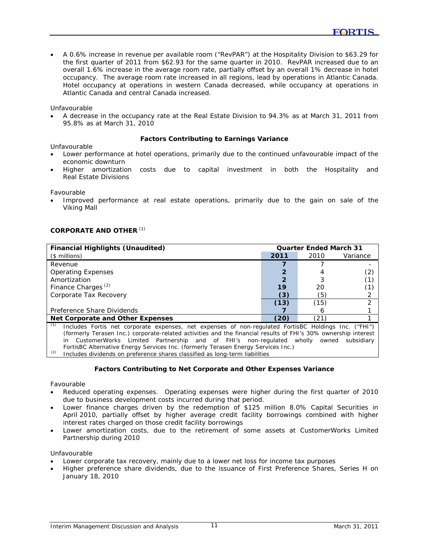• A 0.6% increase in revenue per available room ("RevPAR") at the Hospitality Division to \$63.29 for the first quarter of 2011 from \$62.93 for the same quarter in 2010. RevPAR increased due to an overall 1.6% increase in the average room rate, partially offset by an overall 1% decrease in hotel occupancy. The average room rate increased in all regions, lead by operations in Atlantic Canada. Hotel occupancy at operations in western Canada decreased, while occupancy at operations in Atlantic Canada and central Canada increased.

#### *Unfavourable*

 $\overline{a}$ 

• A decrease in the occupancy rate at the Real Estate Division to 94.3% as at March 31, 2011 from 95.8% as at March 31, 2010

#### **Factors Contributing to Earnings Variance**

#### *Unfavourable*

- Lower performance at hotel operations, primarily due to the continued unfavourable impact of the economic downturn
- Higher amortization costs due to capital investment in both the Hospitality and Real Estate Divisions

*Favourable* 

• Improved performance at real estate operations, primarily due to the gain on sale of the Viking Mall

### **CORPORATE AND OTHER** *(1)*

| <b>Financial Highlights (Unaudited)</b><br><b>Quarter Ended March 31</b>                                       |                |      |          |  |  |  |
|----------------------------------------------------------------------------------------------------------------|----------------|------|----------|--|--|--|
| $($$ millions)                                                                                                 | 2011           | 2010 | Variance |  |  |  |
| Revenue                                                                                                        |                |      |          |  |  |  |
| <b>Operating Expenses</b>                                                                                      |                |      | (2)      |  |  |  |
| Amortization                                                                                                   |                |      |          |  |  |  |
| Finance Charges $(2)$                                                                                          | 19             | 20   |          |  |  |  |
| Corporate Tax Recovery                                                                                         | $\binom{3}{3}$ | (5)  |          |  |  |  |
|                                                                                                                | (13)           | (15) | ∍        |  |  |  |
| Preference Share Dividends                                                                                     |                | h    |          |  |  |  |
| (21)<br>(20)<br>Net Corporate and Other Expenses                                                               |                |      |          |  |  |  |
| (1)<br>Includes Fortis net corporate expenses, net expenses of non-regulated FortisBC Holdings Inc. ("FHI")    |                |      |          |  |  |  |
| (formerly Terasen Inc.) corporate-related activities and the financial results of FHI's 30% ownership interest |                |      |          |  |  |  |
| CustomerWorks Limited Partnership and of FHI's non-regulated wholly<br>owned<br>subsidiary<br>in               |                |      |          |  |  |  |
| FortisBC Alternative Energy Services Inc. (formerly Terasen Energy Services Inc.)                              |                |      |          |  |  |  |

*(2)* Includes dividends on preference shares classified as long-term liabilities

#### **Factors Contributing to Net Corporate and Other Expenses Variance**

#### *Favourable*

- Reduced operating expenses. Operating expenses were higher during the first quarter of 2010 due to business development costs incurred during that period.
- Lower finance charges driven by the redemption of \$125 million 8.0% Capital Securities in April 2010, partially offset by higher average credit facility borrowings combined with higher interest rates charged on those credit facility borrowings
- Lower amortization costs, due to the retirement of some assets at CustomerWorks Limited Partnership during 2010

#### *Unfavourable*

- Lower corporate tax recovery, mainly due to a lower net loss for income tax purposes
- Higher preference share dividends, due to the issuance of First Preference Shares, Series H on January 18, 2010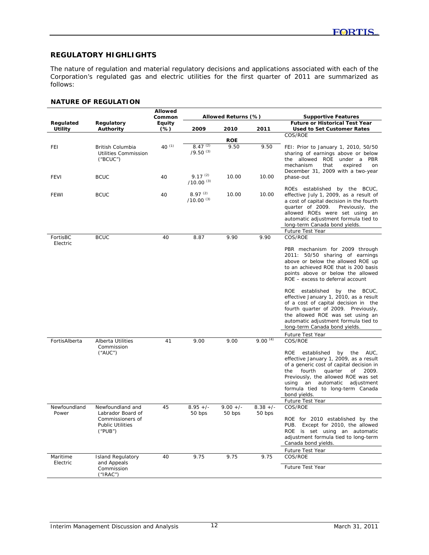## **REGULATORY HIGHLIGHTS**

 $\overline{a}$ 

The nature of regulation and material regulatory decisions and applications associated with each of the Corporation's regulated gas and electric utilities for the first quarter of 2011 are summarized as follows:

|                             |                                                                                                 | <b>Allowed</b><br>Common | Allowed Returns (%)            |                      |                      | <b>Supportive Features</b>                                                                                                                                                                                                                                                                                                                                                                                                                                                                                        |
|-----------------------------|-------------------------------------------------------------------------------------------------|--------------------------|--------------------------------|----------------------|----------------------|-------------------------------------------------------------------------------------------------------------------------------------------------------------------------------------------------------------------------------------------------------------------------------------------------------------------------------------------------------------------------------------------------------------------------------------------------------------------------------------------------------------------|
| Regulated<br><b>Utility</b> | Regulatory<br><b>Authority</b>                                                                  | <b>Equity</b><br>$(\%)$  | 2009                           | 2010                 | 2011                 | <b>Future or Historical Test Year</b><br><b>Used to Set Customer Rates</b>                                                                                                                                                                                                                                                                                                                                                                                                                                        |
|                             |                                                                                                 |                          |                                | <b>ROE</b>           |                      | COS/ROE                                                                                                                                                                                                                                                                                                                                                                                                                                                                                                           |
| FEI                         | <b>British Columbia</b><br>Utilities Commission<br>("B CUC")                                    | 40 $(1)$                 | $8.47^{(2)}$<br>$/9.50^{(3)}$  | 9.50                 | 9.50                 | FEI: Prior to January 1, 2010, 50/50<br>sharing of earnings above or below<br>the allowed ROE under a PBR<br>mechanism<br>that<br>expired<br>on<br>December 31, 2009 with a two-year                                                                                                                                                                                                                                                                                                                              |
| <b>FEVI</b>                 | <b>BCUC</b>                                                                                     | 40                       | $9.17^{(2)}$<br>$/10.00^{(3)}$ | 10.00                | 10.00                | phase-out                                                                                                                                                                                                                                                                                                                                                                                                                                                                                                         |
| FEWI                        | <b>BCUC</b>                                                                                     | 40                       | $8.97^{(2)}$<br>$/10.00^{(3)}$ | 10.00                | 10.00                | ROEs established by the BCUC,<br>effective July 1, 2009, as a result of<br>a cost of capital decision in the fourth<br>quarter of 2009.<br>Previously, the<br>allowed ROEs were set using an<br>automatic adjustment formula tied to<br>long-term Canada bond yields.                                                                                                                                                                                                                                             |
| FortisBC                    | <b>BCUC</b>                                                                                     | 40                       | 8.87                           | 9.90                 | 9.90                 | Future Test Year<br>COS/ROE                                                                                                                                                                                                                                                                                                                                                                                                                                                                                       |
| Electric                    |                                                                                                 |                          |                                |                      |                      | PBR mechanism for 2009 through<br>2011: 50/50 sharing of earnings<br>above or below the allowed ROE up<br>to an achieved ROE that is 200 basis<br>points above or below the allowed<br>ROE - excess to deferral account<br>ROE established by the BCUC,<br>effective January 1, 2010, as a result<br>of a cost of capital decision in the<br>fourth quarter of 2009. Previously,<br>the allowed ROE was set using an<br>automatic adjustment formula tied to<br>long-term Canada bond yields.<br>Future Test Year |
| FortisAlberta               | Alberta Utilities<br>Commission<br>("AUC")                                                      | 41                       | 9.00                           | 9.00                 | $9.00^{(4)}$         | COS/ROE<br>established<br>by the<br>ROE.<br>AUC,<br>effective January 1, 2009, as a result<br>of a generic cost of capital decision in<br>the<br>fourth<br>quarter<br>of<br>2009.<br>Previously, the allowed ROE was set<br>using an automatic<br>adjustment<br>formula tied to long-term Canada<br>bond yields.<br>Future Test Year                                                                                                                                                                              |
| Newfoundland<br>Power       | Newfoundland and<br>Labrador Board of<br>Commissioners of<br><b>Public Utilities</b><br>("PUB") | 45                       | $8.95 +/-$<br>50 bps           | $9.00 +/-$<br>50 bps | $8.38 +/-$<br>50 bps | COS/ROE<br>ROE for 2010 established by the<br>PUB. Except for 2010, the allowed<br>ROE is set using an automatic<br>adjustment formula tied to long-term<br>Canada bond yields.<br>Future Test Year                                                                                                                                                                                                                                                                                                               |
| Maritime<br>Electric        | <b>Island Regulatory</b><br>and Appeals<br>Commission<br>("IRAC")                               | 40                       | 9.75                           | 9.75                 | 9.75                 | COS/ROE<br>Future Test Year                                                                                                                                                                                                                                                                                                                                                                                                                                                                                       |

### **NATURE OF REGULATION**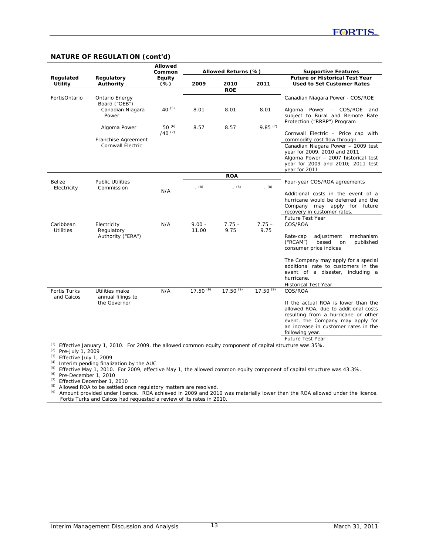#### **NATURE OF REGULATION (cont'd)**

 $\overline{a}$ 

|                                   |                                                            | <b>Allowed</b><br>Common   |               | Allowed Returns (%) |                  | <b>Supportive Features</b>                                                                                                                                                                                |
|-----------------------------------|------------------------------------------------------------|----------------------------|---------------|---------------------|------------------|-----------------------------------------------------------------------------------------------------------------------------------------------------------------------------------------------------------|
| Regulated<br>Utility              | Regulatory<br>Authority                                    | Equity<br>$(\%)$           | 2009          | 2010                | 2011             | <b>Future or Historical Test Year</b><br><b>Used to Set Customer Rates</b>                                                                                                                                |
|                                   |                                                            |                            |               | <b>ROE</b>          |                  |                                                                                                                                                                                                           |
| FortisOntario                     | <b>Ontario Energy</b><br>Board ("OEB")<br>Canadian Niagara | 40 $(5)$                   | 8.01          | 8.01                | 8.01             | Canadian Niagara Power - COS/ROE<br>Algoma Power - COS/ROE<br>and                                                                                                                                         |
|                                   | Power                                                      |                            |               |                     |                  | subject to Rural and Remote Rate<br>Protection ("RRRP") Program                                                                                                                                           |
|                                   | Algoma Power<br>Franchise Agreement                        | 50 $(6)$<br>$/40$ $^{(7)}$ | 8.57          | 8.57                | $9.85^{(7)}$     | Cornwall Electric - Price cap with<br>commodity cost flow through                                                                                                                                         |
|                                   | <b>Cornwall Electric</b>                                   |                            |               |                     |                  | Canadian Niagara Power - 2009 test<br>year for 2009, 2010 and 2011<br>Algoma Power - 2007 historical test<br>year for 2009 and 2010; 2011 test<br>year for 2011                                           |
|                                   |                                                            |                            |               | <b>ROA</b>          |                  |                                                                                                                                                                                                           |
| Belize<br>Electricity             | <b>Public Utilities</b><br>Commission                      | N/A                        | (8)           | (8)                 | (8)              | Four-year COS/ROA agreements                                                                                                                                                                              |
|                                   |                                                            |                            |               |                     |                  | Additional costs in the event of a<br>hurricane would be deferred and the<br>Company may apply for future<br>recovery in customer rates.                                                                  |
| Caribbean                         | Electricity                                                | N/A                        | $9.00 -$      | $7.75 -$            | $7.75 -$         | Future Test Year<br>COS/ROA                                                                                                                                                                               |
| <b>Utilities</b>                  | Regulatory<br>Authority ("ERA")                            |                            | 11.00         | 9.75                | 9.75             | mechanism<br>adjustment<br>Rate-cap<br>("RCAM")<br>based<br>published<br>on<br>consumer price indices                                                                                                     |
|                                   |                                                            |                            |               |                     |                  | The Company may apply for a special<br>additional rate to customers in the<br>event of a disaster, including a<br>hurricane.                                                                              |
|                                   |                                                            |                            |               |                     |                  | <b>Historical Test Year</b>                                                                                                                                                                               |
| <b>Fortis Turks</b><br>and Caicos | Utilities make<br>annual filings to<br>the Governor        | N/A                        | $17.50^{(9)}$ | 17.50 $(9)$         | 17.50 $\sqrt{9}$ | COS/ROA<br>If the actual ROA is lower than the<br>allowed ROA, due to additional costs<br>resulting from a hurricane or other<br>event, the Company may apply for<br>an increase in customer rates in the |
|                                   |                                                            |                            |               |                     |                  | following year.<br>Future Test Year                                                                                                                                                                       |

*(1)* Effective January 1, 2010. For 2009, the allowed common equity component of capital structure was 35%. *(2)* Pre-July 1, 2009

*(3)* Effective July 1, 2009

*(4)* Interim pending finalization by the AUC

*(5)* Effective May 1, 2010. For 2009, effective May 1, the allowed common equity component of capital structure was 43.3%.

*(6)* Pre-December 1, 2010

*(7)* Effective December 1, 2010

*(8)* Allowed ROA to be settled once regulatory matters are resolved.

*(9)* Amount provided under licence. ROA achieved in 2009 and 2010 was materially lower than the ROA allowed under the licence. Fortis Turks and Caicos had requested a review of its rates in 2010.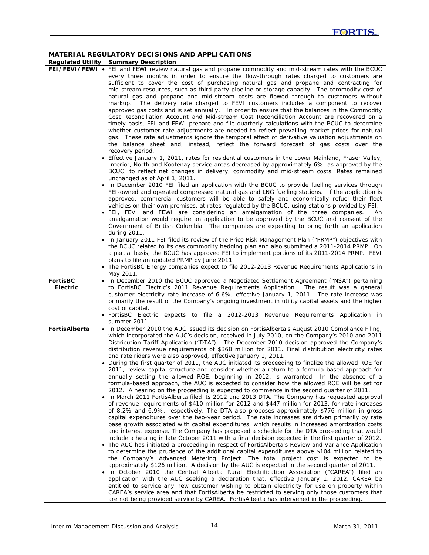## **MATERIAL REGULATORY DECISIONS AND APPLICATIONS**

|--|

|                             | <b>FEI/FEVI/FEWI</b> • FEI and FEWI review natural gas and propane commodity and mid-stream rates with the BCUC<br>every three months in order to ensure the flow-through rates charged to customers are<br>sufficient to cover the cost of purchasing natural gas and propane and contracting for<br>mid-stream resources, such as third-party pipeline or storage capacity. The commodity cost of<br>natural gas and propane and mid-stream costs are flowed through to customers without<br>markup. The delivery rate charged to FEVI customers includes a component to recover<br>approved gas costs and is set annually. In order to ensure that the balances in the Commodity<br>Cost Reconciliation Account and Mid-stream Cost Reconciliation Account are recovered on a<br>timely basis, FEI and FEWI prepare and file quarterly calculations with the BCUC to determine<br>whether customer rate adjustments are needed to reflect prevailing market prices for natural<br>gas. These rate adjustments ignore the temporal effect of derivative valuation adjustments on<br>the balance sheet and, instead, reflect the forward forecast of gas costs over the<br>recovery period.<br>• Effective January 1, 2011, rates for residential customers in the Lower Mainland, Fraser Valley,<br>Interior, North and Kootenay service areas decreased by approximately 6%, as approved by the                                                                                                                                                                                                                                                                                                                                                                                                                                                                                                                                                                                                                                                                                                                                                                                                                                                                                                                                                                                                                                                                                                                                                                      |
|-----------------------------|-------------------------------------------------------------------------------------------------------------------------------------------------------------------------------------------------------------------------------------------------------------------------------------------------------------------------------------------------------------------------------------------------------------------------------------------------------------------------------------------------------------------------------------------------------------------------------------------------------------------------------------------------------------------------------------------------------------------------------------------------------------------------------------------------------------------------------------------------------------------------------------------------------------------------------------------------------------------------------------------------------------------------------------------------------------------------------------------------------------------------------------------------------------------------------------------------------------------------------------------------------------------------------------------------------------------------------------------------------------------------------------------------------------------------------------------------------------------------------------------------------------------------------------------------------------------------------------------------------------------------------------------------------------------------------------------------------------------------------------------------------------------------------------------------------------------------------------------------------------------------------------------------------------------------------------------------------------------------------------------------------------------------------------------------------------------------------------------------------------------------------------------------------------------------------------------------------------------------------------------------------------------------------------------------------------------------------------------------------------------------------------------------------------------------------------------------------------------------------------------------------------------------------------------------------------------------|
|                             | BCUC, to reflect net changes in delivery, commodity and mid-stream costs. Rates remained<br>unchanged as of April 1, 2011.<br>• In December 2010 FEI filed an application with the BCUC to provide fuelling services through<br>FEI-owned and operated compressed natural gas and LNG fuelling stations. If the application is<br>approved, commercial customers will be able to safely and economically refuel their fleet<br>vehicles on their own premises, at rates regulated by the BCUC, using stations provided by FEI.<br>• FEI, FEVI and FEWI are considering an amalgamation of the three companies.<br>An<br>amalgamation would require an application to be approved by the BCUC and consent of the<br>Government of British Columbia. The companies are expecting to bring forth an application<br>during 2011.<br>• In January 2011 FEI filed its review of the Price Risk Management Plan ("PRMP") objectives with<br>the BCUC related to its gas commodity hedging plan and also submitted a 2011-2014 PRMP. On<br>a partial basis, the BCUC has approved FEI to implement portions of its 2011-2014 PRMP. FEVI                                                                                                                                                                                                                                                                                                                                                                                                                                                                                                                                                                                                                                                                                                                                                                                                                                                                                                                                                                                                                                                                                                                                                                                                                                                                                                                                                                                                                                         |
|                             | plans to file an updated PRMP by June 2011.<br>• The FortisBC Energy companies expect to file 2012-2013 Revenue Requirements Applications in<br>May 2011.                                                                                                                                                                                                                                                                                                                                                                                                                                                                                                                                                                                                                                                                                                                                                                                                                                                                                                                                                                                                                                                                                                                                                                                                                                                                                                                                                                                                                                                                                                                                                                                                                                                                                                                                                                                                                                                                                                                                                                                                                                                                                                                                                                                                                                                                                                                                                                                                               |
| FortisBC<br><b>Electric</b> | • In December 2010 the BCUC approved a Negotiated Settlement Agreement ("NSA") pertaining<br>to FortisBC Electric's 2011 Revenue Requirements Application. The result was a general<br>customer electricity rate increase of 6.6%, effective January 1, 2011. The rate increase was<br>primarily the result of the Company's ongoing investment in utility capital assets and the higher<br>cost of capital.<br>• FortisBC Electric expects to file a 2012-2013 Revenue Requirements Application in<br>summer 2011.                                                                                                                                                                                                                                                                                                                                                                                                                                                                                                                                                                                                                                                                                                                                                                                                                                                                                                                                                                                                                                                                                                                                                                                                                                                                                                                                                                                                                                                                                                                                                                                                                                                                                                                                                                                                                                                                                                                                                                                                                                                     |
| FortisAlberta               | • In December 2010 the AUC issued its decision on FortisAlberta's August 2010 Compliance Filing,<br>which incorporated the AUC's decision, received in July 2010, on the Company's 2010 and 2011<br>Distribution Tariff Application ("DTA"). The December 2010 decision approved the Company's<br>distribution revenue requirements of \$368 million for 2011. Final distribution electricity rates<br>and rate riders were also approved, effective January 1, 2011.<br>• During the first quarter of 2011, the AUC initiated its proceeding to finalize the allowed ROE for<br>2011, review capital structure and consider whether a return to a formula-based approach for<br>annually setting the allowed ROE, beginning in 2012, is warranted. In the absence of a<br>formula-based approach, the AUC is expected to consider how the allowed ROE will be set for<br>2012. A hearing on the proceeding is expected to commence in the second quarter of 2011.<br>. In March 2011 FortisAlberta filed its 2012 and 2013 DTA. The Company has requested approval<br>of revenue requirements of \$410 million for 2012 and \$447 million for 2013, for rate increases<br>of 8.2% and 6.9%, respectively. The DTA also proposes approximately \$776 million in gross<br>capital expenditures over the two-year period. The rate increases are driven primarily by rate<br>base growth associated with capital expenditures, which results in increased amortization costs<br>and interest expense. The Company has proposed a schedule for the DTA proceeding that would<br>include a hearing in late October 2011 with a final decision expected in the first quarter of 2012.<br>• The AUC has initiated a proceeding in respect of FortisAlberta's Review and Variance Application<br>to determine the prudence of the additional capital expenditures above \$104 million related to<br>the Company's Advanced Metering Project. The total project cost is expected to be<br>approximately \$126 million. A decision by the AUC is expected in the second quarter of 2011.<br>• In October 2010 the Central Alberta Rural Electrification Association ("CAREA") filed an<br>application with the AUC seeking a declaration that, effective January 1, 2012, CAREA be<br>entitled to service any new customer wishing to obtain electricity for use on property within<br>CAREA's service area and that FortisAlberta be restricted to serving only those customers that<br>are not being provided service by CAREA. FortisAlberta has intervened in the proceeding |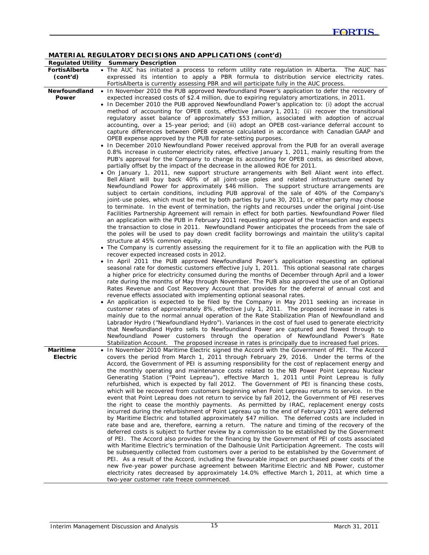## **MATERIAL REGULATORY DECISIONS AND APPLICATIONS (cont'd)**

| <b>Regulated Utility</b> | <b>Summary Description</b>                                                                         |
|--------------------------|----------------------------------------------------------------------------------------------------|
| FortisAlberta            | • The AUC has initiated a process to reform utility rate regulation in Alberta. The AUC has        |
| (cont'd)                 | expressed its intention to apply a PBR formula to distribution service electricity rates.          |
|                          | FortisAlberta is currently assessing PBR and will participate fully in the AUC process.            |
| <b>Newfoundland</b>      | • In November 2010 the PUB approved Newfoundland Power's application to defer the recovery of      |
| Power                    | expected increased costs of \$2.4 million, due to expiring regulatory amortizations, in 2011.      |
|                          | . In December 2010 the PUB approved Newfoundland Power's application to: (i) adopt the accrual     |
|                          | method of accounting for OPEB costs, effective January 1, 2011; (ii) recover the transitional      |
|                          | regulatory asset balance of approximately \$53 million, associated with adoption of accrual        |
|                          | accounting, over a 15-year period; and (iii) adopt an OPEB cost-variance deferral account to       |
|                          | capture differences between OPEB expense calculated in accordance with Canadian GAAP and           |
|                          | OPEB expense approved by the PUB for rate-setting purposes.                                        |
|                          | • In December 2010 Newfoundland Power received approval from the PUB for an overall average        |
|                          | 0.8% increase in customer electricity rates, effective January 1, 2011, mainly resulting from the  |
|                          | PUB's approval for the Company to change its accounting for OPEB costs, as described above,        |
|                          | partially offset by the impact of the decrease in the allowed ROE for 2011.                        |
|                          | • On January 1, 2011, new support structure arrangements with Bell Aliant went into effect.        |
|                          | Bell Aliant will buy back 40% of all joint-use poles and related infrastructure owned by           |
|                          | Newfoundland Power for approximately \$46 million. The support structure arrangements are          |
|                          | subject to certain conditions, including PUB approval of the sale of 40% of the Company's          |
|                          | joint-use poles, which must be met by both parties by June 30, 2011, or either party may choose    |
|                          | to terminate. In the event of termination, the rights and recourses under the original Joint-Use   |
|                          | Facilities Partnership Agreement will remain in effect for both parties. Newfoundland Power filed  |
|                          | an application with the PUB in February 2011 requesting approval of the transaction and expects    |
|                          | the transaction to close in 2011. Newfoundland Power anticipates the proceeds from the sale of     |
|                          | the poles will be used to pay down credit facility borrowings and maintain the utility's capital   |
|                          | structure at 45% common equity.                                                                    |
|                          | • The Company is currently assessing the requirement for it to file an application with the PUB to |
|                          | recover expected increased costs in 2012.                                                          |
|                          | • In April 2011 the PUB approved Newfoundland Power's application requesting an optional           |
|                          | seasonal rate for domestic customers effective July 1, 2011. This optional seasonal rate charges   |
|                          | a higher price for electricity consumed during the months of December through April and a lower    |
|                          | rate during the months of May through November. The PUB also approved the use of an Optional       |
|                          | Rates Revenue and Cost Recovery Account that provides for the deferral of annual cost and          |
|                          | revenue effects associated with implementing optional seasonal rates.                              |
|                          | • An application is expected to be filed by the Company in May 2011 seeking an increase in         |
|                          | customer rates of approximately 8%, effective July 1, 2011. The proposed increase in rates is      |
|                          | mainly due to the normal annual operation of the Rate Stabilization Plan of Newfoundland and       |
|                          | Labrador Hydro ("Newfoundland Hydro"). Variances in the cost of fuel used to generate electricity  |
|                          | that Newfoundland Hydro sells to Newfoundland Power are captured and flowed through to             |
|                          | Newfoundland Power customers through the operation of Newfoundland Power's Rate                    |
|                          | Stabilization Account. The proposed increase in rates is principally due to increased fuel prices. |
| <b>Maritime</b>          | • In November 2010 Maritime Electric signed the Accord with the Government of PEI. The Accord      |
| <b>Electric</b>          | covers the period from March 1, 2011 through February 29, 2016. Under the terms of the             |
|                          | Accord, the Government of PEI is assuming responsibility for the cost of replacement energy and    |
|                          | the monthly operating and maintenance costs related to the NB Power Point Lepreau Nuclear          |
|                          | Generating Station ("Point Lepreau"), effective March 1, 2011 until Point Lepreau is fully         |
|                          | refurbished, which is expected by fall 2012. The Government of PEI is financing these costs,       |
|                          | which will be recovered from customers beginning when Point Lepreau returns to service. In the     |
|                          | event that Point Lepreau does not return to service by fall 2012, the Government of PEI reserves   |
|                          | the right to cease the monthly payments. As permitted by IRAC, replacement energy costs            |
|                          | incurred during the refurbishment of Point Lepreau up to the end of February 2011 were deferred    |
|                          | by Maritime Electric and totalled approximately \$47 million. The deferred costs are included in   |
|                          | rate base and are, therefore, earning a return. The nature and timing of the recovery of the       |
|                          | deferred costs is subject to further review by a commission to be established by the Government    |
|                          | of PEI. The Accord also provides for the financing by the Government of PEI of costs associated    |
|                          | with Maritime Electric's termination of the Dalhousie Unit Participation Agreement. The costs will |
|                          | be subsequently collected from customers over a period to be established by the Government of      |
|                          | PEI. As a result of the Accord, including the favourable impact on purchased power costs of the    |
|                          | new five-year power purchase agreement between Maritime Electric and NB Power, customer            |
|                          | electricity rates decreased by approximately 14.0% effective March 1, 2011, at which time a        |
|                          | two-year customer rate freeze commenced.                                                           |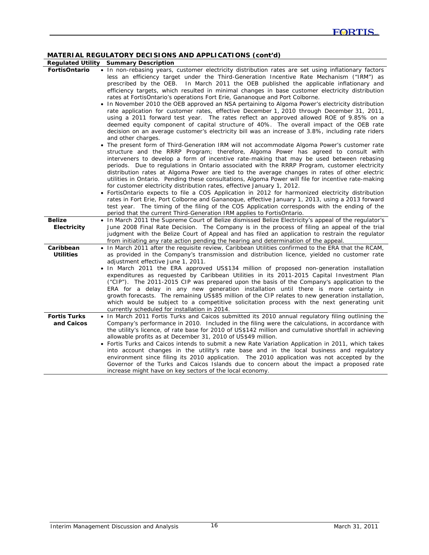## **MATERIAL REGULATORY DECISIONS AND APPLICATIONS (cont'd)**

|                                   | <b>Regulated Utility Summary Description</b>                                                                                                                                                                                                                                                                                                                                                                                                                                                                                                                                                                                                                                                                                                                                                                                                                                                                                                                                                                                                                                                                                                                                                                                                                                                                                                                                                                                                                                                                                                                                                                                                                       |
|-----------------------------------|--------------------------------------------------------------------------------------------------------------------------------------------------------------------------------------------------------------------------------------------------------------------------------------------------------------------------------------------------------------------------------------------------------------------------------------------------------------------------------------------------------------------------------------------------------------------------------------------------------------------------------------------------------------------------------------------------------------------------------------------------------------------------------------------------------------------------------------------------------------------------------------------------------------------------------------------------------------------------------------------------------------------------------------------------------------------------------------------------------------------------------------------------------------------------------------------------------------------------------------------------------------------------------------------------------------------------------------------------------------------------------------------------------------------------------------------------------------------------------------------------------------------------------------------------------------------------------------------------------------------------------------------------------------------|
| <b>FortisOntario</b>              | . In non-rebasing years, customer electricity distribution rates are set using inflationary factors<br>less an efficiency target under the Third-Generation Incentive Rate Mechanism ("IRM") as<br>prescribed by the OEB. In March 2011 the OEB published the applicable inflationary and<br>efficiency targets, which resulted in minimal changes in base customer electricity distribution<br>rates at FortisOntario's operations Fort Erie, Gananoque and Port Colborne.<br>In November 2010 the OEB approved an NSA pertaining to Algoma Power's electricity distribution<br>rate application for customer rates, effective December 1, 2010 through December 31, 2011,<br>using a 2011 forward test year. The rates reflect an approved allowed ROE of 9.85% on a<br>deemed equity component of capital structure of 40%. The overall impact of the OEB rate<br>decision on an average customer's electricity bill was an increase of 3.8%, including rate riders<br>and other charges.<br>• The present form of Third-Generation IRM will not accommodate Algoma Power's customer rate<br>structure and the RRRP Program; therefore, Algoma Power has agreed to consult with<br>interveners to develop a form of incentive rate-making that may be used between rebasing<br>periods. Due to regulations in Ontario associated with the RRRP Program, customer electricity<br>distribution rates at Algoma Power are tied to the average changes in rates of other electric<br>utilities in Ontario. Pending these consultations, Algoma Power will file for incentive rate-making<br>for customer electricity distribution rates, effective January 1, 2012. |
|                                   | • FortisOntario expects to file a COS Application in 2012 for harmonized electricity distribution<br>rates in Fort Erie, Port Colborne and Gananoque, effective January 1, 2013, using a 2013 forward<br>test year. The timing of the filing of the COS Application corresponds with the ending of the<br>period that the current Third-Generation IRM applies to FortisOntario.                                                                                                                                                                                                                                                                                                                                                                                                                                                                                                                                                                                                                                                                                                                                                                                                                                                                                                                                                                                                                                                                                                                                                                                                                                                                                   |
| <b>Belize</b><br>Electricity      | . In March 2011 the Supreme Court of Belize dismissed Belize Electricity's appeal of the regulator's<br>June 2008 Final Rate Decision. The Company is in the process of filing an appeal of the trial<br>judgment with the Belize Court of Appeal and has filed an application to restrain the regulator<br>from initiating any rate action pending the hearing and determination of the appeal.                                                                                                                                                                                                                                                                                                                                                                                                                                                                                                                                                                                                                                                                                                                                                                                                                                                                                                                                                                                                                                                                                                                                                                                                                                                                   |
| Caribbean<br><b>Utilities</b>     | • In March 2011 after the requisite review, Caribbean Utilities confirmed to the ERA that the RCAM,<br>as provided in the Company's transmission and distribution licence, yielded no customer rate<br>adjustment effective June 1, 2011.<br>• In March 2011 the ERA approved US\$134 million of proposed non-generation installation<br>expenditures as requested by Caribbean Utilities in its 2011-2015 Capital Investment Plan<br>("CIP"). The 2011-2015 CIP was prepared upon the basis of the Company's application to the<br>ERA for a delay in any new generation installation until there is more certainty in<br>growth forecasts. The remaining US\$85 million of the CIP relates to new generation installation,<br>which would be subject to a competitive solicitation process with the next generating unit<br>currently scheduled for installation in 2014.                                                                                                                                                                                                                                                                                                                                                                                                                                                                                                                                                                                                                                                                                                                                                                                        |
| <b>Fortis Turks</b><br>and Caicos | • In March 2011 Fortis Turks and Caicos submitted its 2010 annual regulatory filing outlining the<br>Company's performance in 2010. Included in the filing were the calculations, in accordance with<br>the utility's licence, of rate base for 2010 of US\$142 million and cumulative shortfall in achieving<br>allowable profits as at December 31, 2010 of US\$49 million.<br>• Fortis Turks and Caicos intends to submit a new Rate Variation Application in 2011, which takes<br>into account changes in the utility's rate base and in the local business and regulatory<br>environment since filing its 2010 application. The 2010 application was not accepted by the<br>Governor of the Turks and Caicos Islands due to concern about the impact a proposed rate<br>increase might have on key sectors of the local economy.                                                                                                                                                                                                                                                                                                                                                                                                                                                                                                                                                                                                                                                                                                                                                                                                                              |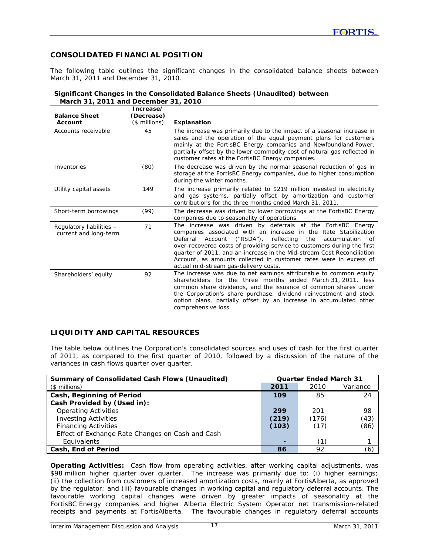### **CONSOLIDATED FINANCIAL POSITION**

 $\overline{a}$ 

The following table outlines the significant changes in the consolidated balance sheets between March 31, 2011 and December 31, 2010.

| Significant Changes in the Consolidated Balance Sheets (Unaudited) between |  |
|----------------------------------------------------------------------------|--|
| March 31, 2011 and December 31, 2010                                       |  |

| <b>Balance Sheet</b><br>Account                   | Increase/<br>(Decrease)<br>(\$ millions) | Explanation                                                                                                                                                                                                                                                                                                                                                                                                                                                                     |
|---------------------------------------------------|------------------------------------------|---------------------------------------------------------------------------------------------------------------------------------------------------------------------------------------------------------------------------------------------------------------------------------------------------------------------------------------------------------------------------------------------------------------------------------------------------------------------------------|
| Accounts receivable                               | 45                                       | The increase was primarily due to the impact of a seasonal increase in<br>sales and the operation of the equal payment plans for customers<br>mainly at the FortisBC Energy companies and Newfoundland Power,<br>partially offset by the lower commodity cost of natural gas reflected in<br>customer rates at the FortisBC Energy companies.                                                                                                                                   |
| Inventories                                       | (80)                                     | The decrease was driven by the normal seasonal reduction of gas in<br>storage at the FortisBC Energy companies, due to higher consumption<br>during the winter months.                                                                                                                                                                                                                                                                                                          |
| Utility capital assets                            | 149                                      | The increase primarily related to \$219 million invested in electricity<br>and gas systems, partially offset by amortization and customer<br>contributions for the three months ended March 31, 2011.                                                                                                                                                                                                                                                                           |
| Short-term borrowings                             | (99)                                     | The decrease was driven by lower borrowings at the FortisBC Energy<br>companies due to seasonality of operations.                                                                                                                                                                                                                                                                                                                                                               |
| Regulatory liabilities -<br>current and long-term | 71                                       | The increase was driven by deferrals at the FortisBC Energy<br>companies associated with an increase in the Rate Stabilization<br>("RSDA")<br>reflecting<br>Account<br>the<br>Deferral<br>accumulation<br>of<br>over-recovered costs of providing service to customers during the first<br>quarter of 2011, and an increase in the Mid-stream Cost Reconciliation<br>Account, as amounts collected in customer rates were in excess of<br>actual mid-stream gas-delivery costs. |
| Shareholders' equity                              | 92                                       | The increase was due to net earnings attributable to common equity<br>shareholders for the three months ended March 31, 2011, less<br>common share dividends, and the issuance of common shares under<br>the Corporation's share purchase, dividend reinvestment and stock<br>option plans, partially offset by an increase in accumulated other<br>comprehensive loss.                                                                                                         |

## **LIQUIDITY AND CAPITAL RESOURCES**

The table below outlines the Corporation's consolidated sources and uses of cash for the first quarter of 2011, as compared to the first quarter of 2010, followed by a discussion of the nature of the variances in cash flows quarter over quarter.

| <b>Summary of Consolidated Cash Flows (Unaudited)</b> | <b>Quarter Ended March 31</b> |               |          |
|-------------------------------------------------------|-------------------------------|---------------|----------|
| $($$ millions)                                        | 2011                          | 2010          | Variance |
| Cash, Beginning of Period                             | 109                           | 85            | 24       |
| Cash Provided by (Used in):                           |                               |               |          |
| <b>Operating Activities</b>                           | 299                           | 201           | 98       |
| <b>Investing Activities</b>                           | (219)                         | (176)         | (43)     |
| <b>Financing Activities</b>                           | (103)                         | (17)          | (86)     |
| Effect of Exchange Rate Changes on Cash and Cash      |                               |               |          |
| Equivalents                                           | $\overline{\phantom{0}}$      | $^{\prime}$ 1 | ◀        |
| Cash, End of Period                                   | 86                            | 92            | (6)      |

**Operating Activities:** Cash flow from operating activities, after working capital adjustments, was \$98 million higher quarter over quarter. The increase was primarily due to: (i) higher earnings; (ii) the collection from customers of increased amortization costs, mainly at FortisAlberta, as approved by the regulator; and (iii) favourable changes in working capital and regulatory deferral accounts. The favourable working capital changes were driven by greater impacts of seasonality at the FortisBC Energy companies and higher Alberta Electric System Operator net transmission-related receipts and payments at FortisAlberta. The favourable changes in regulatory deferral accounts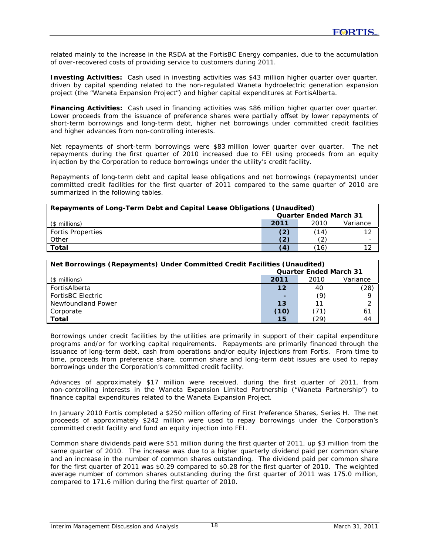related mainly to the increase in the RSDA at the FortisBC Energy companies, due to the accumulation of over-recovered costs of providing service to customers during 2011.

**Investing Activities:** Cash used in investing activities was \$43 million higher quarter over quarter, driven by capital spending related to the non-regulated Waneta hydroelectric generation expansion project (the "Waneta Expansion Project") and higher capital expenditures at FortisAlberta.

**Financing Activities:**Cash used in financing activities was \$86 million higher quarter over quarter. Lower proceeds from the issuance of preference shares were partially offset by lower repayments of short-term borrowings and long-term debt, higher net borrowings under committed credit facilities and higher advances from non-controlling interests.

Net repayments of short-term borrowings were \$83 million lower quarter over quarter. The net repayments during the first quarter of 2010 increased due to FEI using proceeds from an equity injection by the Corporation to reduce borrowings under the utility's credit facility.

Repayments of long-term debt and capital lease obligations and net borrowings (repayments) under committed credit facilities for the first quarter of 2011 compared to the same quarter of 2010 are summarized in the following tables.

| Repayments of Long-Term Debt and Capital Lease Obligations (Unaudited) |           |      |          |  |  |  |  |
|------------------------------------------------------------------------|-----------|------|----------|--|--|--|--|
| <b>Quarter Ended March 31</b>                                          |           |      |          |  |  |  |  |
| $($$ millions)                                                         | 2011      | 2010 | Variance |  |  |  |  |
| <b>Fortis Properties</b>                                               | (2)       | (14) | 12       |  |  |  |  |
| Other                                                                  | (2)       | 2    |          |  |  |  |  |
| Total                                                                  | $\cdot$ 4 | (16) |          |  |  |  |  |

| Net Borrowings (Repayments) Under Committed Credit Facilities (Unaudited)<br><b>Quarter Ended March 31</b> |                          |      |          |  |  |
|------------------------------------------------------------------------------------------------------------|--------------------------|------|----------|--|--|
| $($$ millions)                                                                                             | 2011                     | 2010 | Variance |  |  |
| FortisAlberta                                                                                              | 12                       | 40   | (28)     |  |  |
| FortisBC Electric                                                                                          | $\overline{\phantom{0}}$ | (9)  | Ο        |  |  |
| Newfoundland Power                                                                                         | 13                       |      | ⌒        |  |  |
| Corporate                                                                                                  | (10)                     |      | 61       |  |  |
| Total                                                                                                      | 15                       | 29   | 44       |  |  |

Borrowings under credit facilities by the utilities are primarily in support of their capital expenditure programs and/or for working capital requirements. Repayments are primarily financed through the issuance of long-term debt, cash from operations and/or equity injections from Fortis. From time to time, proceeds from preference share, common share and long-term debt issues are used to repay borrowings under the Corporation's committed credit facility.

Advances of approximately \$17 million were received, during the first quarter of 2011, from non-controlling interests in the Waneta Expansion Limited Partnership ("Waneta Partnership") to finance capital expenditures related to the Waneta Expansion Project.

In January 2010 Fortis completed a \$250 million offering of First Preference Shares, Series H. The net proceeds of approximately \$242 million were used to repay borrowings under the Corporation's committed credit facility and fund an equity injection into FEI.

Common share dividends paid were \$51 million during the first quarter of 2011, up \$3 million from the same quarter of 2010. The increase was due to a higher quarterly dividend paid per common share and an increase in the number of common shares outstanding. The dividend paid per common share for the first quarter of 2011 was \$0.29 compared to \$0.28 for the first quarter of 2010. The weighted average number of common shares outstanding during the first quarter of 2011 was 175.0 million, compared to 171.6 million during the first quarter of 2010.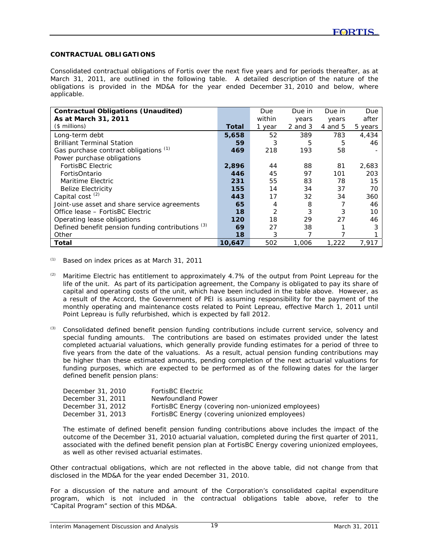#### **CONTRACTUAL OBLIGATIONS**

 $\overline{a}$ 

Consolidated contractual obligations of Fortis over the next five years and for periods thereafter, as at March 31, 2011, are outlined in the following table. A detailed description of the nature of the obligations is provided in the MD&A for the year ended December 31, 2010 and below, where applicable.

| <b>Contractual Obligations (Unaudited)</b>        |        | Due    | Due in  | Due in  | Due     |
|---------------------------------------------------|--------|--------|---------|---------|---------|
| As at March 31, 2011                              |        | within | years   | years   | after   |
| (\$ millions)                                     | Total  | 1 year | 2 and 3 | 4 and 5 | 5 years |
| Long-term debt                                    | 5,658  | 52     | 389     | 783     | 4,434   |
| <b>Brilliant Terminal Station</b>                 | 59     | 3      | 5       | 5       | 46      |
| Gas purchase contract obligations (1)             | 469    | 218    | 193     | 58      |         |
| Power purchase obligations                        |        |        |         |         |         |
| FortisBC Electric                                 | 2,896  | 44     | 88      | 81      | 2,683   |
| FortisOntario                                     | 446    | 45     | 97      | 101     | 203     |
| Maritime Electric                                 | 231    | 55     | 83      | 78      | 15      |
| <b>Belize Electricity</b>                         | 155    | 14     | 34      | 37      | 70      |
| Capital cost <sup>(2)</sup>                       | 443    | 17     | 32      | 34      | 360     |
| Joint-use asset and share service agreements      | 65     | 4      | 8       |         | 46      |
| Office lease - FortisBC Electric                  | 18     | 2      | 3       | 3       | 10      |
| Operating lease obligations                       | 120    | 18     | 29      | 27      | 46      |
| Defined benefit pension funding contributions (3) | 69     | 27     | 38      |         |         |
| Other                                             | 18     | 3      |         |         |         |
| Total                                             | 10,647 | 502    | 1,006   | 1,222   | 7,917   |

- *(1)* Based on index prices as at March 31, 2011
- *(2)* Maritime Electric has entitlement to approximately 4.7% of the output from Point Lepreau for the life of the unit. As part of its participation agreement, the Company is obligated to pay its share of capital and operating costs of the unit, which have been included in the table above. However, as a result of the Accord, the Government of PEI is assuming responsibility for the payment of the monthly operating and maintenance costs related to Point Lepreau, effective March 1, 2011 until Point Lepreau is fully refurbished, which is expected by fall 2012.
- *(3)* Consolidated defined benefit pension funding contributions include current service, solvency and special funding amounts. The contributions are based on estimates provided under the latest completed actuarial valuations, which generally provide funding estimates for a period of three to five years from the date of the valuations. As a result, actual pension funding contributions may be higher than these estimated amounts, pending completion of the next actuarial valuations for funding purposes, which are expected to be performed as of the following dates for the larger defined benefit pension plans:

| December 31, 2010 | FortisBC Electric                                  |
|-------------------|----------------------------------------------------|
| December 31, 2011 | Newfoundland Power                                 |
| December 31, 2012 | FortisBC Energy (covering non-unionized employees) |
| December 31, 2013 | FortisBC Energy (covering unionized employees)     |

The estimate of defined benefit pension funding contributions above includes the impact of the outcome of the December 31, 2010 actuarial valuation, completed during the first quarter of 2011, associated with the defined benefit pension plan at FortisBC Energy covering unionized employees, as well as other revised actuarial estimates.

Other contractual obligations, which are not reflected in the above table, did not change from that disclosed in the MD&A for the year ended December 31, 2010.

For a discussion of the nature and amount of the Corporation's consolidated capital expenditure program, which is not included in the contractual obligations table above, refer to the "Capital Program" section of this MD&A.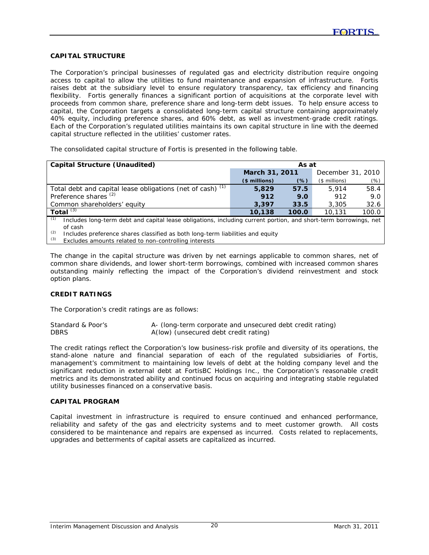### **CAPITAL STRUCTURE**

 $\overline{a}$ 

The Corporation's principal businesses of regulated gas and electricity distribution require ongoing access to capital to allow the utilities to fund maintenance and expansion of infrastructure. Fortis raises debt at the subsidiary level to ensure regulatory transparency, tax efficiency and financing flexibility. Fortis generally finances a significant portion of acquisitions at the corporate level with proceeds from common share, preference share and long-term debt issues. To help ensure access to capital, the Corporation targets a consolidated long-term capital structure containing approximately 40% equity, including preference shares, and 60% debt, as well as investment-grade credit ratings. Each of the Corporation's regulated utilities maintains its own capital structure in line with the deemed capital structure reflected in the utilities' customer rates.

The consolidated capital structure of Fortis is presented in the following table.

| <b>Capital Structure (Unaudited)</b>                                                                                    | As at          |       |                   |       |
|-------------------------------------------------------------------------------------------------------------------------|----------------|-------|-------------------|-------|
|                                                                                                                         | March 31, 2011 |       | December 31, 2010 |       |
|                                                                                                                         | $$$ millions)  | (%)   | $($$ millions)    | (%)   |
| Total debt and capital lease obligations (net of cash) (1)                                                              | 5,829          | 57.5  | 5.914             | 58.4  |
| Preference shares <sup>(2)</sup>                                                                                        | 912            | 9.0   | 912               | 9.0   |
| Common shareholders' equity                                                                                             | 3,397          | 33.5  | 3,305             | 32.6  |
| Total $(3)$                                                                                                             | 10,138         | 100.0 | 10.131            | 100.0 |
| (1)<br>Includes long term debt and capital lease obligations, including current pertien, and short term berrowings, not |                |       |                   |       |

*(1)* Includes long-term debt and capital lease obligations, including current portion, and short-term borrowings, net of cash

*(2)* Includes preference shares classified as both long-term liabilities and equity

*(3)* Excludes amounts related to non-controlling interests

The change in the capital structure was driven by net earnings applicable to common shares, net of common share dividends, and lower short-term borrowings, combined with increased common shares outstanding mainly reflecting the impact of the Corporation's dividend reinvestment and stock option plans.

#### **CREDIT RATINGS**

The Corporation's credit ratings are as follows:

| Standard & Poor's | A- (long-term corporate and unsecured debt credit rating) |
|-------------------|-----------------------------------------------------------|
| <b>DBRS</b>       | A(low) (unsecured debt credit rating)                     |

The credit ratings reflect the Corporation's low business-risk profile and diversity of its operations, the stand-alone nature and financial separation of each of the regulated subsidiaries of Fortis, management's commitment to maintaining low levels of debt at the holding company level and the significant reduction in external debt at FortisBC Holdings Inc., the Corporation's reasonable credit metrics and its demonstrated ability and continued focus on acquiring and integrating stable regulated utility businesses financed on a conservative basis.

#### **CAPITAL PROGRAM**

Capital investment in infrastructure is required to ensure continued and enhanced performance, reliability and safety of the gas and electricity systems and to meet customer growth. All costs considered to be maintenance and repairs are expensed as incurred. Costs related to replacements, upgrades and betterments of capital assets are capitalized as incurred.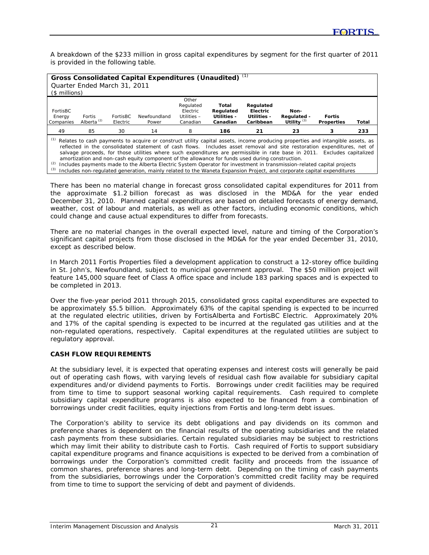A breakdown of the \$233 million in gross capital expenditures by segment for the first quarter of 2011 is provided in the following table.

| $($$ millions)                                                                                                                                                                                                                                                                                                                                                                                                                                                                                                                                                                                                                                                                                                                                            | Quarter Ended March 31, 2011 |                      | Gross Consolidated Capital Expenditures (Unaudited) (1) |                                                             |                                               |                                                          |                                      |                                    |       |
|-----------------------------------------------------------------------------------------------------------------------------------------------------------------------------------------------------------------------------------------------------------------------------------------------------------------------------------------------------------------------------------------------------------------------------------------------------------------------------------------------------------------------------------------------------------------------------------------------------------------------------------------------------------------------------------------------------------------------------------------------------------|------------------------------|----------------------|---------------------------------------------------------|-------------------------------------------------------------|-----------------------------------------------|----------------------------------------------------------|--------------------------------------|------------------------------------|-------|
| FortisBC<br>Energy<br>Companies                                                                                                                                                                                                                                                                                                                                                                                                                                                                                                                                                                                                                                                                                                                           | Fortis<br>Alberta $(2)$      | FortisBC<br>Electric | Newfoundland<br>Power                                   | Other<br>Regulated<br>Electric<br>Utilities $-$<br>Canadian | Total<br>Regulated<br>Utilities -<br>Canadian | Regulated<br><b>Electric</b><br>Utilities -<br>Caribbean | Non-<br>Regulated -<br>Utility $(3)$ | <b>Fortis</b><br><b>Properties</b> | Total |
| 49                                                                                                                                                                                                                                                                                                                                                                                                                                                                                                                                                                                                                                                                                                                                                        | 85                           | 30                   | 14                                                      | 8                                                           | 186                                           | 21                                                       | 23                                   | 3                                  | 233   |
| Relates to cash payments to acquire or construct utility capital assets, income producing properties and intangible assets, as<br>reflected in the consolidated statement of cash flows. Includes asset removal and site restoration expenditures, net of<br>salvage proceeds, for those utilities where such expenditures are permissible in rate base in 2011. Excludes capitalized<br>amortization and non-cash equity component of the allowance for funds used during construction.<br>(2)<br>Includes payments made to the Alberta Electric System Operator for investment in transmission-related capital projects<br>(3)<br>Includes non-regulated generation, mainly related to the Waneta Expansion Project, and corporate capital expenditures |                              |                      |                                                         |                                                             |                                               |                                                          |                                      |                                    |       |

There has been no material change in forecast gross consolidated capital expenditures for 2011 from the approximate \$1.2 billion forecast as was disclosed in the MD&A for the year ended December 31, 2010. Planned capital expenditures are based on detailed forecasts of energy demand, weather, cost of labour and materials, as well as other factors, including economic conditions, which could change and cause actual expenditures to differ from forecasts.

There are no material changes in the overall expected level, nature and timing of the Corporation's significant capital projects from those disclosed in the MD&A for the year ended December 31, 2010, except as described below.

In March 2011 Fortis Properties filed a development application to construct a 12-storey office building in St. John's, Newfoundland, subject to municipal government approval. The \$50 million project will feature 145,000 square feet of Class A office space and include 183 parking spaces and is expected to be completed in 2013.

Over the five-year period 2011 through 2015, consolidated gross capital expenditures are expected to be approximately \$5.5 billion. Approximately 63% of the capital spending is expected to be incurred at the regulated electric utilities, driven by FortisAlberta and FortisBC Electric. Approximately 20% and 17% of the capital spending is expected to be incurred at the regulated gas utilities and at the non-regulated operations, respectively. Capital expenditures at the regulated utilities are subject to regulatory approval.

#### **CASH FLOW REQUIREMENTS**

 $\overline{a}$ 

At the subsidiary level, it is expected that operating expenses and interest costs will generally be paid out of operating cash flows, with varying levels of residual cash flow available for subsidiary capital expenditures and/or dividend payments to Fortis. Borrowings under credit facilities may be required from time to time to support seasonal working capital requirements. Cash required to complete subsidiary capital expenditure programs is also expected to be financed from a combination of borrowings under credit facilities, equity injections from Fortis and long-term debt issues.

The Corporation's ability to service its debt obligations and pay dividends on its common and preference shares is dependent on the financial results of the operating subsidiaries and the related cash payments from these subsidiaries. Certain regulated subsidiaries may be subject to restrictions which may limit their ability to distribute cash to Fortis. Cash required of Fortis to support subsidiary capital expenditure programs and finance acquisitions is expected to be derived from a combination of borrowings under the Corporation's committed credit facility and proceeds from the issuance of common shares, preference shares and long-term debt. Depending on the timing of cash payments from the subsidiaries, borrowings under the Corporation's committed credit facility may be required from time to time to support the servicing of debt and payment of dividends.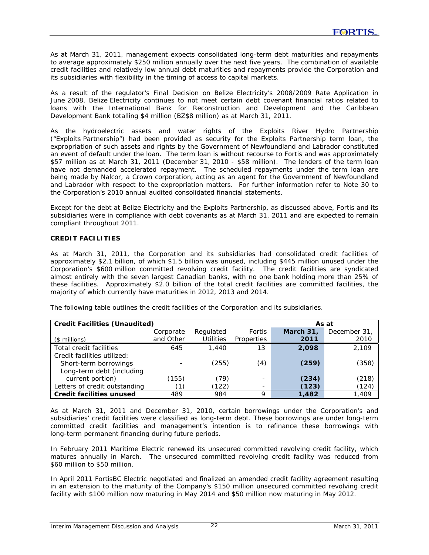As at March 31, 2011, management expects consolidated long-term debt maturities and repayments to average approximately \$250 million annually over the next five years. The combination of available credit facilities and relatively low annual debt maturities and repayments provide the Corporation and its subsidiaries with flexibility in the timing of access to capital markets.

As a result of the regulator's Final Decision on Belize Electricity's 2008/2009 Rate Application in June 2008, Belize Electricity continues to not meet certain debt covenant financial ratios related to loans with the International Bank for Reconstruction and Development and the Caribbean Development Bank totalling \$4 million (BZ\$8 million) as at March 31, 2011.

As the hydroelectric assets and water rights of the Exploits River Hydro Partnership ("Exploits Partnership") had been provided as security for the Exploits Partnership term loan, the expropriation of such assets and rights by the Government of Newfoundland and Labrador constituted an event of default under the loan. The term loan is without recourse to Fortis and was approximately \$57 million as at March 31, 2011 (December 31, 2010 - \$58 million). The lenders of the term loan have not demanded accelerated repayment. The scheduled repayments under the term loan are being made by Nalcor, a Crown corporation, acting as an agent for the Government of Newfoundland and Labrador with respect to the expropriation matters. For further information refer to Note 30 to the Corporation's 2010 annual audited consolidated financial statements.

Except for the debt at Belize Electricity and the Exploits Partnership, as discussed above, Fortis and its subsidiaries were in compliance with debt covenants as at March 31, 2011 and are expected to remain compliant throughout 2011.

### **CREDIT FACILITIES**

 $\overline{a}$ 

As at March 31, 2011, the Corporation and its subsidiaries had consolidated credit facilities of approximately \$2.1 billion, of which \$1.5 billion was unused, including \$445 million unused under the Corporation's \$600 million committed revolving credit facility. The credit facilities are syndicated almost entirely with the seven largest Canadian banks, with no one bank holding more than 25% of these facilities. Approximately \$2.0 billion of the total credit facilities are committed facilities, the majority of which currently have maturities in 2012, 2013 and 2014.

The following table outlines the credit facilities of the Corporation and its subsidiaries.

| <b>Credit Facilities (Unaudited)</b> |           | As at            |                              |           |              |
|--------------------------------------|-----------|------------------|------------------------------|-----------|--------------|
|                                      | Corporate | Regulated        | Fortis                       | March 31, | December 31, |
| $($$ millions)                       | and Other | <b>Utilities</b> | Properties                   | 2011      | 2010         |
| Total credit facilities              | 645       | 1,440            | 13                           | 2,098     | 2.109        |
| Credit facilities utilized:          |           |                  |                              |           |              |
| Short-term borrowings                |           | (255)            | (4)                          | (259)     | (358)        |
| Long-term debt (including            |           |                  |                              |           |              |
| current portion)                     | (155)     | (79)             | $\qquad \qquad \blacksquare$ | (234)     | (218)        |
| Letters of credit outstanding        |           | (122)            | $\overline{\phantom{a}}$     | (123)     | (124)        |
| <b>Credit facilities unused</b>      | 489       | 984              | Q                            | 1,482     | 1,409        |

As at March 31, 2011 and December 31, 2010, certain borrowings under the Corporation's and subsidiaries' credit facilities were classified as long-term debt. These borrowings are under long-term committed credit facilities and management's intention is to refinance these borrowings with long-term permanent financing during future periods.

In February 2011 Maritime Electric renewed its unsecured committed revolving credit facility, which matures annually in March. The unsecured committed revolving credit facility was reduced from \$60 million to \$50 million.

In April 2011 FortisBC Electric negotiated and finalized an amended credit facility agreement resulting in an extension to the maturity of the Company's \$150 million unsecured committed revolving credit facility with \$100 million now maturing in May 2014 and \$50 million now maturing in May 2012.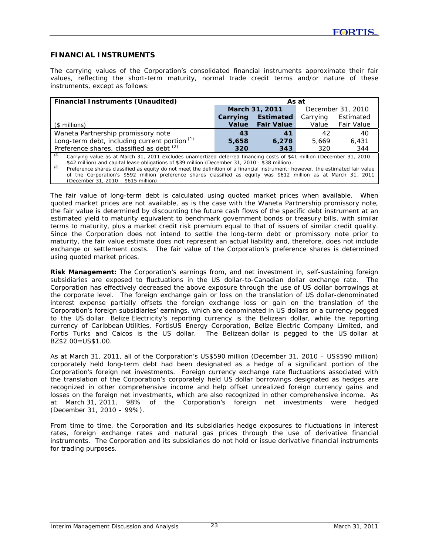### **FINANCIAL INSTRUMENTS**

 $\overline{a}$ 

The carrying values of the Corporation's consolidated financial instruments approximate their fair values, reflecting the short-term maturity, normal trade credit terms and/or nature of these instruments, except as follows:

| <b>Financial Instruments (Unaudited)</b>                                                                                                                                                                                                                                                                                                                                                                                                                                                                                              | As at    |                   |          |                   |  |
|---------------------------------------------------------------------------------------------------------------------------------------------------------------------------------------------------------------------------------------------------------------------------------------------------------------------------------------------------------------------------------------------------------------------------------------------------------------------------------------------------------------------------------------|----------|-------------------|----------|-------------------|--|
|                                                                                                                                                                                                                                                                                                                                                                                                                                                                                                                                       |          | March 31, 2011    |          | December 31, 2010 |  |
|                                                                                                                                                                                                                                                                                                                                                                                                                                                                                                                                       | Carrying | <b>Estimated</b>  | Carrying | Estimated         |  |
| $($$ millions)                                                                                                                                                                                                                                                                                                                                                                                                                                                                                                                        | Value    | <b>Fair Value</b> | Value    | <b>Fair Value</b> |  |
| Waneta Partnership promissory note                                                                                                                                                                                                                                                                                                                                                                                                                                                                                                    | 43       | 41                | 42       | 40                |  |
| Long-term debt, including current portion $(1)$                                                                                                                                                                                                                                                                                                                                                                                                                                                                                       | 5,658    | 6,278             | 5,669    | 6,431             |  |
| Preference shares, classified as debt (2)                                                                                                                                                                                                                                                                                                                                                                                                                                                                                             | 320      | 343               | 320      | 344               |  |
| (1)<br>Carrying value as at March 31, 2011 excludes unamortized deferred financing costs of \$41 million (December 31, 2010 -<br>\$42 million) and capital lease obligations of \$39 million (December 31, 2010 - \$38 million).<br>(2)<br>Preference shares classified as equity do not meet the definition of a financial instrument; however, the estimated fair value<br>of the Corporation's \$592 million preference shares classified as equity was \$612 million as at March 31, 2011<br>(December 31, 2010 - \$615 million). |          |                   |          |                   |  |

The fair value of long-term debt is calculated using quoted market prices when available. When quoted market prices are not available, as is the case with the Waneta Partnership promissory note, the fair value is determined by discounting the future cash flows of the specific debt instrument at an estimated yield to maturity equivalent to benchmark government bonds or treasury bills, with similar terms to maturity, plus a market credit risk premium equal to that of issuers of similar credit quality. Since the Corporation does not intend to settle the long-term debt or promissory note prior to maturity, the fair value estimate does not represent an actual liability and, therefore, does not include exchange or settlement costs. The fair value of the Corporation's preference shares is determined using quoted market prices.

**Risk Management:** The Corporation's earnings from, and net investment in, self-sustaining foreign subsidiaries are exposed to fluctuations in the US dollar-to-Canadian dollar exchange rate. The Corporation has effectively decreased the above exposure through the use of US dollar borrowings at the corporate level. The foreign exchange gain or loss on the translation of US dollar-denominated interest expense partially offsets the foreign exchange loss or gain on the translation of the Corporation's foreign subsidiaries' earnings, which are denominated in US dollars or a currency pegged to the US dollar. Belize Electricity's reporting currency is the Belizean dollar, while the reporting currency of Caribbean Utilities, FortisUS Energy Corporation, Belize Electric Company Limited, and Fortis Turks and Caicos is the US dollar. The Belizean dollar is pegged to the US dollar at BZ\$2.00=US\$1.00.

As at March 31, 2011, all of the Corporation's US\$590 million (December 31, 2010 – US\$590 million) corporately held long-term debt had been designated as a hedge of a significant portion of the Corporation's foreign net investments. Foreign currency exchange rate fluctuations associated with the translation of the Corporation's corporately held US dollar borrowings designated as hedges are recognized in other comprehensive income and help offset unrealized foreign currency gains and losses on the foreign net investments, which are also recognized in other comprehensive income. As at March 31, 2011, 98% of the Corporation's foreign net investments were hedged (December 31, 2010 – 99%).

From time to time, the Corporation and its subsidiaries hedge exposures to fluctuations in interest rates, foreign exchange rates and natural gas prices through the use of derivative financial instruments. The Corporation and its subsidiaries do not hold or issue derivative financial instruments for trading purposes.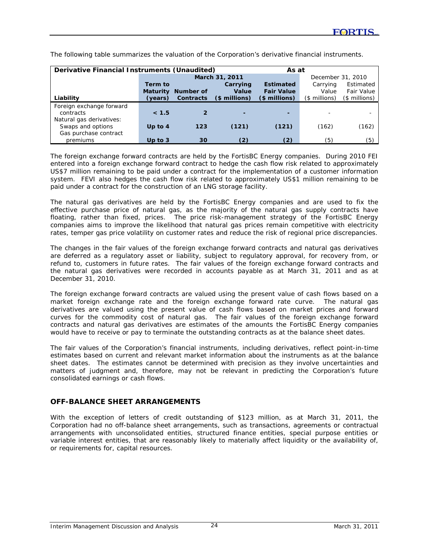| Derivative Financial Instruments (Unaudited) |                 |           |                | As at             |                   |                   |
|----------------------------------------------|-----------------|-----------|----------------|-------------------|-------------------|-------------------|
|                                              |                 |           | March 31, 2011 |                   | December 31, 2010 |                   |
|                                              | Term to         |           | Carrying       | <b>Estimated</b>  | Carrying          | Estimated         |
|                                              | <b>Maturity</b> | Number of | Value          | <b>Fair Value</b> | Value             | <b>Fair Value</b> |
| Liability                                    | (years)         | Contracts | $$$ millions)  | $$$ millions)     | $($$ millions)    | $($$ millions)    |
| Foreign exchange forward                     |                 |           |                |                   |                   |                   |
| contracts                                    | < 1.5           |           |                | ٠                 |                   |                   |
| Natural gas derivatives:                     |                 |           |                |                   |                   |                   |
| Swaps and options                            | Up to $4$       | 123       | (121)          | (121)             | (162)             | (162)             |
| Gas purchase contract                        |                 |           |                |                   |                   |                   |
| premiums                                     | Up to $3$       | 30        | (2)            | (2)               | (5)               | (5)               |

The following table summarizes the valuation of the Corporation's derivative financial instruments.

The foreign exchange forward contracts are held by the FortisBC Energy companies. During 2010 FEI entered into a foreign exchange forward contract to hedge the cash flow risk related to approximately US\$7 million remaining to be paid under a contract for the implementation of a customer information system. FEVI also hedges the cash flow risk related to approximately US\$1 million remaining to be paid under a contract for the construction of an LNG storage facility.

The natural gas derivatives are held by the FortisBC Energy companies and are used to fix the effective purchase price of natural gas, as the majority of the natural gas supply contracts have floating, rather than fixed, prices. The price risk-management strategy of the FortisBC Energy companies aims to improve the likelihood that natural gas prices remain competitive with electricity rates, temper gas price volatility on customer rates and reduce the risk of regional price discrepancies.

The changes in the fair values of the foreign exchange forward contracts and natural gas derivatives are deferred as a regulatory asset or liability, subject to regulatory approval, for recovery from, or refund to, customers in future rates. The fair values of the foreign exchange forward contracts and the natural gas derivatives were recorded in accounts payable as at March 31, 2011 and as at December 31, 2010.

The foreign exchange forward contracts are valued using the present value of cash flows based on a market foreign exchange rate and the foreign exchange forward rate curve. The natural gas derivatives are valued using the present value of cash flows based on market prices and forward curves for the commodity cost of natural gas. The fair values of the foreign exchange forward contracts and natural gas derivatives are estimates of the amounts the FortisBC Energy companies would have to receive or pay to terminate the outstanding contracts as at the balance sheet dates.

The fair values of the Corporation's financial instruments, including derivatives, reflect point-in-time estimates based on current and relevant market information about the instruments as at the balance sheet dates. The estimates cannot be determined with precision as they involve uncertainties and matters of judgment and, therefore, may not be relevant in predicting the Corporation's future consolidated earnings or cash flows.

## **OFF-BALANCE SHEET ARRANGEMENTS**

 $\overline{a}$ 

With the exception of letters of credit outstanding of \$123 million, as at March 31, 2011, the Corporation had no off-balance sheet arrangements, such as transactions, agreements or contractual arrangements with unconsolidated entities, structured finance entities, special purpose entities or variable interest entities, that are reasonably likely to materially affect liquidity or the availability of, or requirements for, capital resources.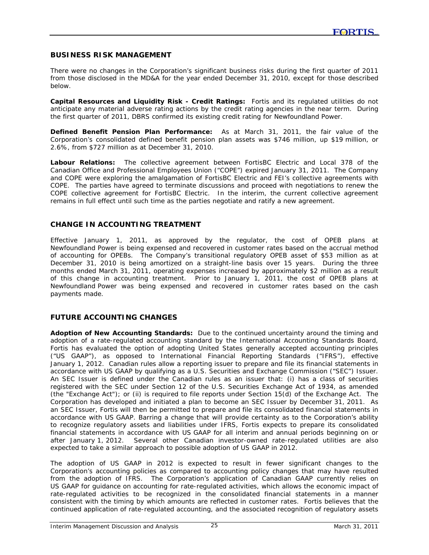### **BUSINESS RISK MANAGEMENT**

 $\overline{a}$ 

There were no changes in the Corporation's significant business risks during the first quarter of 2011 from those disclosed in the MD&A for the year ended December 31, 2010, except for those described below.

**Capital Resources and Liquidity Risk - Credit Ratings:** Fortis and its regulated utilities do not anticipate any material adverse rating actions by the credit rating agencies in the near term. During the first quarter of 2011, DBRS confirmed its existing credit rating for Newfoundland Power.

**Defined Benefit Pension Plan Performance:**As at March 31, 2011, the fair value of the Corporation's consolidated defined benefit pension plan assets was \$746 million, up \$19 million, or 2.6%, from \$727 million as at December 31, 2010.

**Labour Relations:** The collective agreement between FortisBC Electric and Local 378 of the Canadian Office and Professional Employees Union ("COPE") expired January 31, 2011. The Company and COPE were exploring the amalgamation of FortisBC Electric and FEI's collective agreements with COPE. The parties have agreed to terminate discussions and proceed with negotiations to renew the COPE collective agreement for FortisBC Electric. In the interim, the current collective agreement remains in full effect until such time as the parties negotiate and ratify a new agreement.

### **CHANGE IN ACCOUNTING TREATMENT**

Effective January 1, 2011, as approved by the regulator, the cost of OPEB plans at Newfoundland Power is being expensed and recovered in customer rates based on the accrual method of accounting for OPEBs. The Company's transitional regulatory OPEB asset of \$53 million as at December 31, 2010 is being amortized on a straight-line basis over 15 years. During the three months ended March 31, 2011, operating expenses increased by approximately \$2 million as a result of this change in accounting treatment. Prior to January 1, 2011, the cost of OPEB plans at Newfoundland Power was being expensed and recovered in customer rates based on the cash payments made.

## **FUTURE ACCOUNTING CHANGES**

**Adoption of New Accounting Standards:** Due to the continued uncertainty around the timing and adoption of a rate-regulated accounting standard by the International Accounting Standards Board, Fortis has evaluated the option of adopting United States generally accepted accounting principles ("US GAAP"), as opposed to International Financial Reporting Standards ("IFRS"), effective January 1, 2012. Canadian rules allow a reporting issuer to prepare and file its financial statements in accordance with US GAAP by qualifying as a U.S. Securities and Exchange Commission ("SEC") Issuer. An SEC Issuer is defined under the Canadian rules as an issuer that: (i) has a class of securities registered with the SEC under Section 12 of the *U.S. Securities Exchange Act of 1934*, as amended (the "Exchange Act"); or (ii) is required to file reports under Section 15(d) of the Exchange Act. The Corporation has developed and initiated a plan to become an SEC Issuer by December 31, 2011. As an SEC Issuer, Fortis will then be permitted to prepare and file its consolidated financial statements in accordance with US GAAP. Barring a change that will provide certainty as to the Corporation's ability to recognize regulatory assets and liabilities under IFRS, Fortis expects to prepare its consolidated financial statements in accordance with US GAAP for all interim and annual periods beginning on or after January 1, 2012. Several other Canadian investor-owned rate-regulated utilities are also expected to take a similar approach to possible adoption of US GAAP in 2012.

The adoption of US GAAP in 2012 is expected to result in fewer significant changes to the Corporation's accounting policies as compared to accounting policy changes that may have resulted from the adoption of IFRS. The Corporation's application of Canadian GAAP currently relies on US GAAP for guidance on accounting for rate-regulated activities, which allows the economic impact of rate-regulated activities to be recognized in the consolidated financial statements in a manner consistent with the timing by which amounts are reflected in customer rates. Fortis believes that the continued application of rate-regulated accounting, and the associated recognition of regulatory assets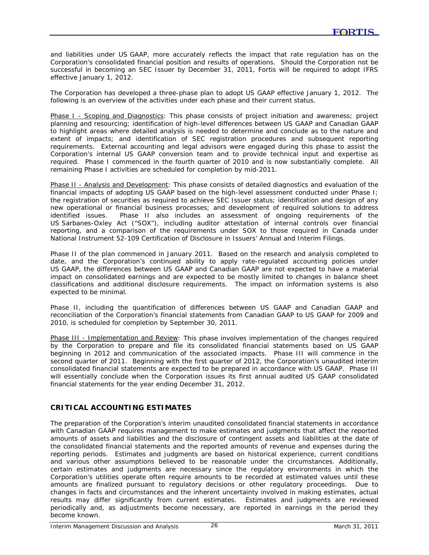and liabilities under US GAAP, more accurately reflects the impact that rate regulation has on the Corporation's consolidated financial position and results of operations. Should the Corporation not be successful in becoming an SEC Issuer by December 31, 2011, Fortis will be required to adopt IFRS effective January 1, 2012.

The Corporation has developed a three-phase plan to adopt US GAAP effective January 1, 2012. The following is an overview of the activities under each phase and their current status.

*Phase I - Scoping and Diagnostics:* This phase consists of project initiation and awareness; project planning and resourcing; identification of high-level differences between US GAAP and Canadian GAAP to highlight areas where detailed analysis is needed to determine and conclude as to the nature and extent of impacts; and identification of SEC registration procedures and subsequent reporting requirements. External accounting and legal advisors were engaged during this phase to assist the Corporation's internal US GAAP conversion team and to provide technical input and expertise as required. Phase I commenced in the fourth quarter of 2010 and is now substantially complete. All remaining Phase I activities are scheduled for completion by mid-2011.

*Phase II - Analysis and Development:* This phase consists of detailed diagnostics and evaluation of the financial impacts of adopting US GAAP based on the high-level assessment conducted under Phase I; the registration of securities as required to achieve SEC Issuer status; identification and design of any new operational or financial business processes; and development of required solutions to address identified issues. Phase II also includes an assessment of ongoing requirements of the US Sarbanes-Oxley Act ("SOX"), including auditor attestation of internal controls over financial reporting, and a comparison of the requirements under SOX to those required in Canada under National Instrument 52-109 *Certification of Disclosure in Issuers' Annual and Interim Filings*.

Phase II of the plan commenced in January 2011. Based on the research and analysis completed to date, and the Corporation's continued ability to apply rate-regulated accounting policies under US GAAP, the differences between US GAAP and Canadian GAAP are not expected to have a material impact on consolidated earnings and are expected to be mostly limited to changes in balance sheet classifications and additional disclosure requirements. The impact on information systems is also expected to be minimal.

Phase II, including the quantification of differences between US GAAP and Canadian GAAP and reconciliation of the Corporation's financial statements from Canadian GAAP to US GAAP for 2009 and 2010, is scheduled for completion by September 30, 2011.

*Phase III - Implementation and Review:* This phase involves implementation of the changes required by the Corporation to prepare and file its consolidated financial statements based on US GAAP beginning in 2012 and communication of the associated impacts. Phase III will commence in the second quarter of 2011. Beginning with the first quarter of 2012, the Corporation's unaudited interim consolidated financial statements are expected to be prepared in accordance with US GAAP. Phase III will essentially conclude when the Corporation issues its first annual audited US GAAP consolidated financial statements for the year ending December 31, 2012.

## **CRITICAL ACCOUNTING ESTIMATES**

 $\overline{a}$ 

The preparation of the Corporation's interim unaudited consolidated financial statements in accordance with Canadian GAAP requires management to make estimates and judgments that affect the reported amounts of assets and liabilities and the disclosure of contingent assets and liabilities at the date of the consolidated financial statements and the reported amounts of revenue and expenses during the reporting periods. Estimates and judgments are based on historical experience, current conditions and various other assumptions believed to be reasonable under the circumstances. Additionally, certain estimates and judgments are necessary since the regulatory environments in which the Corporation's utilities operate often require amounts to be recorded at estimated values until these amounts are finalized pursuant to regulatory decisions or other regulatory proceedings. Due to changes in facts and circumstances and the inherent uncertainty involved in making estimates, actual results may differ significantly from current estimates. Estimates and judgments are reviewed periodically and, as adjustments become necessary, are reported in earnings in the period they become known.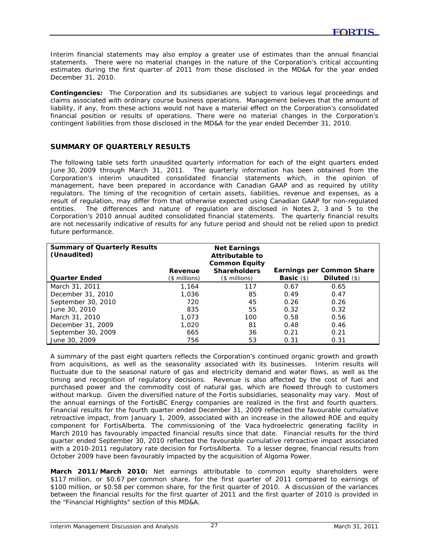Interim financial statements may also employ a greater use of estimates than the annual financial statements. There were no material changes in the nature of the Corporation's critical accounting estimates during the first quarter of 2011 from those disclosed in the MD&A for the year ended December 31, 2010.

**Contingencies:** The Corporation and its subsidiaries are subject to various legal proceedings and claims associated with ordinary course business operations. Management believes that the amount of liability, if any, from these actions would not have a material effect on the Corporation's consolidated financial position or results of operations. There were no material changes in the Corporation's contingent liabilities from those disclosed in the MD&A for the year ended December 31, 2010.

## **SUMMARY OF QUARTERLY RESULTS**

 $\overline{a}$ 

The following table sets forth unaudited quarterly information for each of the eight quarters ended June 30, 2009 through March 31, 2011. The quarterly information has been obtained from the Corporation's interim unaudited consolidated financial statements which, in the opinion of management, have been prepared in accordance with Canadian GAAP and as required by utility regulators. The timing of the recognition of certain assets, liabilities, revenue and expenses, as a result of regulation, may differ from that otherwise expected using Canadian GAAP for non-regulated entities. The differences and nature of regulation are disclosed in Notes 2, 3 and 5 to the Corporation's 2010 annual audited consolidated financial statements. The quarterly financial results are not necessarily indicative of results for any future period and should not be relied upon to predict future performance.

| <b>Summary of Quarterly Results</b><br>(Unaudited) | Revenue        | <b>Net Earnings</b><br>Attributable to<br><b>Common Equity</b><br><b>Shareholders</b> |                         | <b>Earnings per Common Share</b> |
|----------------------------------------------------|----------------|---------------------------------------------------------------------------------------|-------------------------|----------------------------------|
| <b>Quarter Ended</b>                               | $($$ millions) | $($$ millions)                                                                        | <b>Basic</b> $($ \$ $)$ | Diluted $(s)$                    |
| March 31, 2011                                     | 1,164          | 117                                                                                   | 0.67                    | 0.65                             |
| December 31, 2010                                  | 1,036          | 85                                                                                    | 0.49                    | 0.47                             |
| September 30, 2010                                 | 720            | 45                                                                                    | 0.26                    | 0.26                             |
| June 30, 2010                                      | 835            | 55                                                                                    | 0.32                    | 0.32                             |
| March 31, 2010                                     | 1.073          | 100                                                                                   | 0.58                    | 0.56                             |
| December 31, 2009                                  | 1,020          | 81                                                                                    | 0.48                    | 0.46                             |
| September 30, 2009                                 | 665            | 36                                                                                    | 0.21                    | 0.21                             |
| June 30, 2009                                      | 756            | 53                                                                                    | 0.31                    | 0.31                             |

A summary of the past eight quarters reflects the Corporation's continued organic growth and growth from acquisitions, as well as the seasonality associated with its businesses. Interim results will fluctuate due to the seasonal nature of gas and electricity demand and water flows, as well as the timing and recognition of regulatory decisions. Revenue is also affected by the cost of fuel and purchased power and the commodity cost of natural gas, which are flowed through to customers without markup. Given the diversified nature of the Fortis subsidiaries, seasonality may vary. Most of the annual earnings of the FortisBC Energy companies are realized in the first and fourth quarters. Financial results for the fourth quarter ended December 31, 2009 reflected the favourable cumulative retroactive impact, from January 1, 2009, associated with an increase in the allowed ROE and equity component for FortisAlberta. The commissioning of the Vaca hydroelectric generating facility in March 2010 has favourably impacted financial results since that date. Financial results for the third quarter ended September 30, 2010 reflected the favourable cumulative retroactive impact associated with a 2010-2011 regulatory rate decision for FortisAlberta. To a lesser degree, financial results from October 2009 have been favourably impacted by the acquisition of Algoma Power.

**March 2011/March 2010:** Net earnings attributable to common equity shareholders were \$117 million, or \$0.67 per common share, for the first quarter of 2011 compared to earnings of \$100 million, or \$0.58 per common share, for the first quarter of 2010. A discussion of the variances between the financial results for the first quarter of 2011 and the first quarter of 2010 is provided in the "Financial Highlights" section of this MD&A.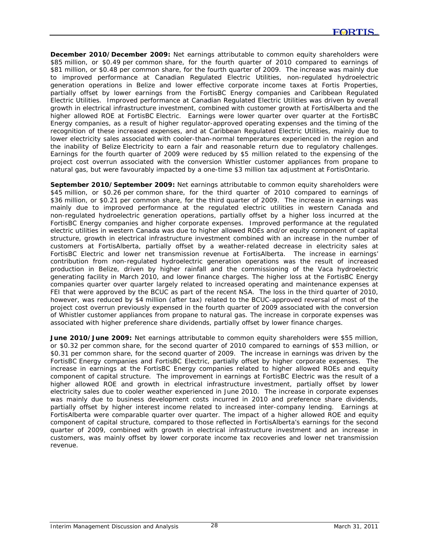**December 2010/December 2009:** Net earnings attributable to common equity shareholders were \$85 million, or \$0.49 per common share, for the fourth quarter of 2010 compared to earnings of \$81 million, or \$0.48 per common share, for the fourth quarter of 2009. The increase was mainly due to improved performance at Canadian Regulated Electric Utilities, non-regulated hydroelectric generation operations in Belize and lower effective corporate income taxes at Fortis Properties, partially offset by lower earnings from the FortisBC Energy companies and Caribbean Regulated Electric Utilities. Improved performance at Canadian Regulated Electric Utilities was driven by overall growth in electrical infrastructure investment, combined with customer growth at FortisAlberta and the higher allowed ROE at FortisBC Electric. Earnings were lower quarter over quarter at the FortisBC Energy companies, as a result of higher regulator-approved operating expenses and the timing of the recognition of these increased expenses, and at Caribbean Regulated Electric Utilities, mainly due to lower electricity sales associated with cooler-than-normal temperatures experienced in the region and the inability of Belize Electricity to earn a fair and reasonable return due to regulatory challenges. Earnings for the fourth quarter of 2009 were reduced by \$5 million related to the expensing of the project cost overrun associated with the conversion Whistler customer appliances from propane to natural gas, but were favourably impacted by a one-time \$3 million tax adjustment at FortisOntario.

**September 2010/September 2009:** Net earnings attributable to common equity shareholders were \$45 million, or \$0.26 per common share, for the third quarter of 2010 compared to earnings of \$36 million, or \$0.21 per common share, for the third quarter of 2009. The increase in earnings was mainly due to improved performance at the regulated electric utilities in western Canada and non-regulated hydroelectric generation operations, partially offset by a higher loss incurred at the FortisBC Energy companies and higher corporate expenses. Improved performance at the regulated electric utilities in western Canada was due to higher allowed ROEs and/or equity component of capital structure, growth in electrical infrastructure investment combined with an increase in the number of customers at FortisAlberta, partially offset by a weather-related decrease in electricity sales at FortisBC Electric and lower net transmission revenue at FortisAlberta. The increase in earnings' contribution from non-regulated hydroelectric generation operations was the result of increased production in Belize, driven by higher rainfall and the commissioning of the Vaca hydroelectric generating facility in March 2010, and lower finance charges. The higher loss at the FortisBC Energy companies quarter over quarter largely related to increased operating and maintenance expenses at FEI that were approved by the BCUC as part of the recent NSA. The loss in the third quarter of 2010, however, was reduced by \$4 million (after tax) related to the BCUC-approved reversal of most of the project cost overrun previously expensed in the fourth quarter of 2009 associated with the conversion of Whistler customer appliances from propane to natural gas. The increase in corporate expenses was associated with higher preference share dividends, partially offset by lower finance charges.

**June 2010/June 2009:** Net earnings attributable to common equity shareholders were \$55 million, or \$0.32 per common share, for the second quarter of 2010 compared to earnings of \$53 million, or \$0.31 per common share, for the second quarter of 2009. The increase in earnings was driven by the FortisBC Energy companies and FortisBC Electric, partially offset by higher corporate expenses. The increase in earnings at the FortisBC Energy companies related to higher allowed ROEs and equity component of capital structure. The improvement in earnings at FortisBC Electric was the result of a higher allowed ROE and growth in electrical infrastructure investment, partially offset by lower electricity sales due to cooler weather experienced in June 2010. The increase in corporate expenses was mainly due to business development costs incurred in 2010 and preference share dividends, partially offset by higher interest income related to increased inter-company lending. Earnings at FortisAlberta were comparable quarter over quarter. The impact of a higher allowed ROE and equity component of capital structure, compared to those reflected in FortisAlberta's earnings for the second quarter of 2009, combined with growth in electrical infrastructure investment and an increase in customers, was mainly offset by lower corporate income tax recoveries and lower net transmission revenue.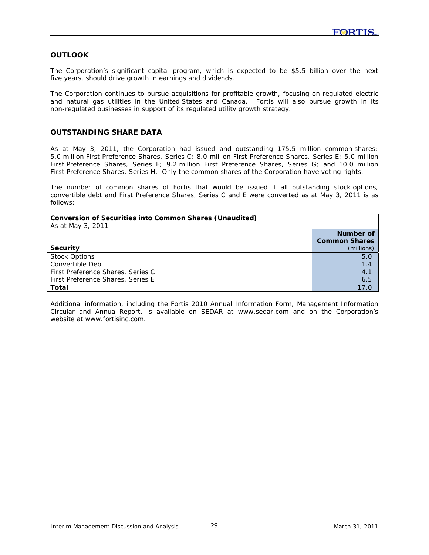### **OUTLOOK**

 $\overline{a}$ 

The Corporation's significant capital program, which is expected to be \$5.5 billion over the next five years, should drive growth in earnings and dividends.

The Corporation continues to pursue acquisitions for profitable growth, focusing on regulated electric and natural gas utilities in the United States and Canada. Fortis will also pursue growth in its non-regulated businesses in support of its regulated utility growth strategy.

### **OUTSTANDING SHARE DATA**

As at May 3, 2011, the Corporation had issued and outstanding 175.5 million common shares; 5.0 million First Preference Shares, Series C; 8.0 million First Preference Shares, Series E; 5.0 million First Preference Shares, Series F; 9.2 million First Preference Shares, Series G; and 10.0 million First Preference Shares, Series H. Only the common shares of the Corporation have voting rights.

The number of common shares of Fortis that would be issued if all outstanding stock options, convertible debt and First Preference Shares, Series C and E were converted as at May 3, 2011 is as follows:

| <b>Conversion of Securities into Common Shares (Unaudited)</b> |                      |
|----------------------------------------------------------------|----------------------|
| As at May 3, 2011                                              |                      |
|                                                                | Number of            |
|                                                                | <b>Common Shares</b> |
| Security                                                       | (millions)           |
| <b>Stock Options</b>                                           | 5.0                  |
| Convertible Debt                                               | 1.4                  |
| First Preference Shares, Series C                              | 4.1                  |
| First Preference Shares, Series E                              | 6.5                  |
| Total                                                          |                      |

Additional information, including the Fortis 2010 Annual Information Form, Management Information Circular and Annual Report, is available on SEDAR at www.sedar.com and on the Corporation's website at www.fortisinc.com.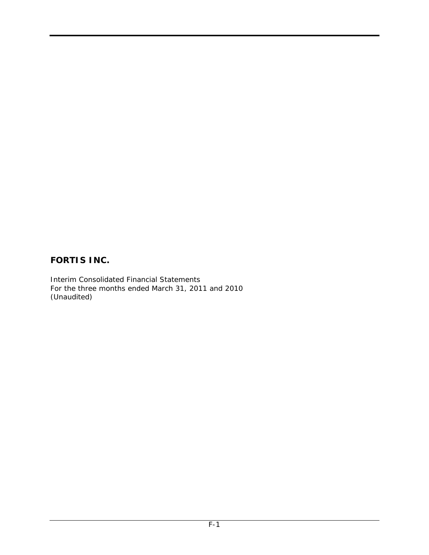# **FORTIS INC.**

Interim Consolidated Financial Statements For the three months ended March 31, 2011 and 2010 (Unaudited)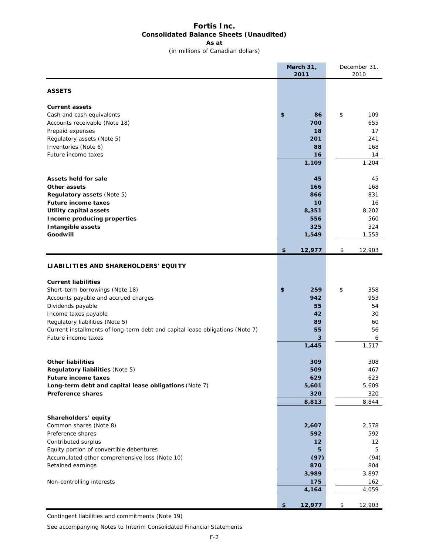### **Fortis Inc. Consolidated Balance Sheets (Unaudited) As at**

(in millions of Canadian dollars)

|                                                                                     | March 31,<br>2011 | December 31,<br>2010 |
|-------------------------------------------------------------------------------------|-------------------|----------------------|
| <b>ASSETS</b>                                                                       |                   |                      |
| <b>Current assets</b>                                                               |                   |                      |
| Cash and cash equivalents                                                           | \$<br>86          | \$<br>109            |
| Accounts receivable (Note 18)                                                       | 700               | 655                  |
| Prepaid expenses                                                                    | 18                | 17                   |
| Regulatory assets (Note 5)                                                          | 201               | 241                  |
| Inventories (Note 6)                                                                | 88                | 168                  |
| Future income taxes                                                                 | 16                | 14                   |
|                                                                                     | 1,109             | 1,204                |
| Assets held for sale                                                                | 45                | 45                   |
| Other assets                                                                        | 166               | 168                  |
| <b>Regulatory assets (Note 5)</b>                                                   | 866               | 831                  |
| <b>Future income taxes</b>                                                          | 10 <sup>1</sup>   | 16                   |
| <b>Utility capital assets</b>                                                       | 8,351             | 8,202                |
| Income producing properties                                                         | 556               | 560                  |
| Intangible assets                                                                   | 325               | 324                  |
| Goodwill                                                                            | 1,549             | 1,553                |
|                                                                                     | \$<br>12,977      | \$<br>12,903         |
| LIABILITIES AND SHAREHOLDERS' EQUITY                                                |                   |                      |
| <b>Current liabilities</b>                                                          |                   |                      |
| Short-term borrowings (Note 18)                                                     | \$<br>259         | \$<br>358            |
| Accounts payable and accrued charges                                                | 942               | 953                  |
| Dividends payable                                                                   | 55                | 54                   |
| Income taxes payable                                                                | 42                | 30                   |
| Regulatory liabilities (Note 5)                                                     | 89                | 60                   |
| Current installments of long-term debt and capital lease obligations (Note 7)       | 55                | 56                   |
| Future income taxes                                                                 | 3<br>1,445        | 6<br>1,517           |
|                                                                                     |                   |                      |
| <b>Other liabilities</b>                                                            | 309               | 308                  |
| Regulatory liabilities (Note 5)                                                     | 509               | 467                  |
| <b>Future income taxes</b><br>Long-term debt and capital lease obligations (Note 7) | 629<br>5,601      | 623<br>5,609         |
| <b>Preference shares</b>                                                            | 320               | 320                  |
|                                                                                     | 8,813             | 8,844                |
|                                                                                     |                   |                      |
| Shareholders' equity                                                                |                   |                      |
| Common shares (Note 8)                                                              | 2,607             | 2,578                |
| Preference shares                                                                   | 592               | 592                  |
| Contributed surplus                                                                 | 12                | 12                   |
| Equity portion of convertible debentures                                            | 5                 | 5                    |
| Accumulated other comprehensive loss (Note 10)<br>Retained earnings                 | (97)<br>870       | (94)<br>804          |
|                                                                                     | 3,989             | 3,897                |
| Non-controlling interests                                                           | 175               | 162                  |
|                                                                                     | 4,164             | 4,059                |
|                                                                                     |                   |                      |
|                                                                                     | \$<br>12,977      | \$<br>12,903         |

Contingent liabilities and commitments (Note 19)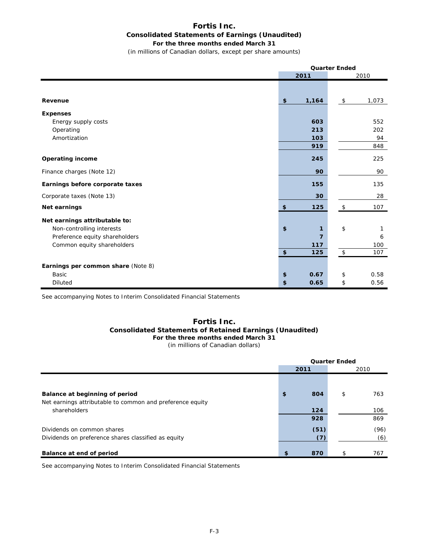### **Fortis Inc. Consolidated Statements of Earnings (Unaudited) For the three months ended March 31**

(in millions of Canadian dollars, except per share amounts)

|                                    |                           | <b>Quarter Ended</b> |            |       |  |
|------------------------------------|---------------------------|----------------------|------------|-------|--|
|                                    | 2011                      |                      |            | 2010  |  |
|                                    |                           |                      |            |       |  |
| Revenue                            | \$                        | 1,164                | $\sqrt{5}$ | 1,073 |  |
| <b>Expenses</b>                    |                           |                      |            |       |  |
| Energy supply costs                |                           | 603                  |            | 552   |  |
| Operating                          |                           | 213                  |            | 202   |  |
| Amortization                       |                           | 103                  |            | 94    |  |
|                                    |                           | 919                  |            | 848   |  |
| <b>Operating income</b>            |                           | 245                  |            | 225   |  |
| Finance charges (Note 12)          |                           | 90                   |            | 90    |  |
| Earnings before corporate taxes    |                           | 155                  |            | 135   |  |
| Corporate taxes (Note 13)          |                           | 30                   |            | 28    |  |
| Net earnings                       | $\boldsymbol{\mathsf{s}}$ | 125                  | \$         | 107   |  |
| Net earnings attributable to:      |                           |                      |            |       |  |
| Non-controlling interests          | \$                        | $\mathbf{1}$         | \$         | 1     |  |
| Preference equity shareholders     |                           | $\overline{7}$       |            | 6     |  |
| Common equity shareholders         |                           | 117                  |            | 100   |  |
|                                    | \$                        | 125                  | $\,$       | 107   |  |
| Earnings per common share (Note 8) |                           |                      |            |       |  |
| Basic                              | \$                        | 0.67                 | \$         | 0.58  |  |
| <b>Diluted</b>                     | \$                        | 0.65                 | \$         | 0.56  |  |

See accompanying Notes to Interim Consolidated Financial Statements

## **Fortis Inc. Consolidated Statements of Retained Earnings (Unaudited) For the three months ended March 31**

(in millions of Canadian dollars)

|                                                                                             | <b>Quarter Ended</b> |      |    |      |
|---------------------------------------------------------------------------------------------|----------------------|------|----|------|
|                                                                                             |                      | 2011 |    | 2010 |
|                                                                                             |                      |      |    |      |
| Balance at beginning of period<br>Net earnings attributable to common and preference equity | \$                   | 804  | \$ | 763  |
| shareholders                                                                                |                      | 124  |    | 106  |
|                                                                                             |                      | 928  |    | 869  |
| Dividends on common shares                                                                  |                      | (51) |    | (96) |
| Dividends on preference shares classified as equity                                         |                      | (7)  |    | (6)  |
| Balance at end of period                                                                    | \$                   | 870  | \$ | 767  |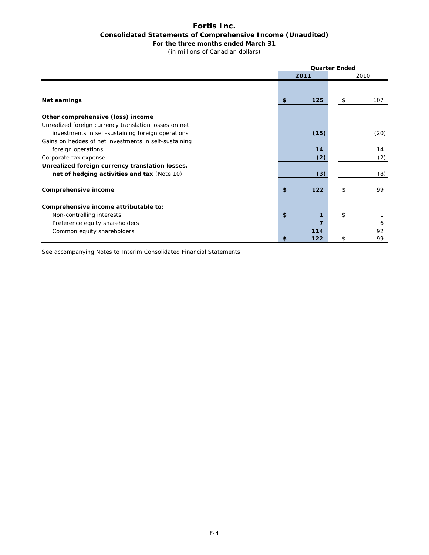### **Fortis Inc. Consolidated Statements of Comprehensive Income (Unaudited) For the three months ended March 31**

(in millions of Canadian dollars)

|                                                       | <b>Quarter Ended</b> |    |      |  |
|-------------------------------------------------------|----------------------|----|------|--|
|                                                       | 2011                 |    | 2010 |  |
|                                                       |                      |    |      |  |
| Net earnings                                          | \$<br>125            | \$ | 107  |  |
| Other comprehensive (loss) income                     |                      |    |      |  |
| Unrealized foreign currency translation losses on net |                      |    |      |  |
| investments in self-sustaining foreign operations     | (15)                 |    | (20) |  |
| Gains on hedges of net investments in self-sustaining |                      |    |      |  |
| foreign operations                                    | 14                   |    | 14   |  |
| Corporate tax expense                                 | (2)                  |    | (2)  |  |
| Unrealized foreign currency translation losses,       |                      |    |      |  |
| net of hedging activities and tax (Note 10)           | (3)                  |    | (8)  |  |
| Comprehensive income                                  | \$<br>122            | \$ | 99   |  |
| Comprehensive income attributable to:                 |                      |    |      |  |
| Non-controlling interests                             | \$<br>1              | \$ |      |  |
| Preference equity shareholders                        | 7                    |    | 6    |  |
| Common equity shareholders                            | 114                  |    | 92   |  |
|                                                       | \$<br>122            | \$ | 99   |  |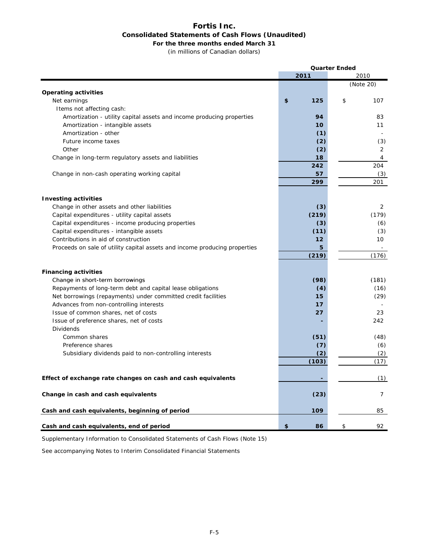### **Fortis Inc. Consolidated Statements of Cash Flows (Unaudited) For the three months ended March 31**

(in millions of Canadian dollars)

|                                                                             | <b>Quarter Ended</b> |       |      |           |
|-----------------------------------------------------------------------------|----------------------|-------|------|-----------|
|                                                                             |                      | 2011  | 2010 |           |
|                                                                             |                      |       |      | (Note 20) |
| <b>Operating activities</b>                                                 |                      |       |      |           |
| Net earnings                                                                | \$                   | 125   | \$   | 107       |
| Items not affecting cash:                                                   |                      |       |      |           |
| Amortization - utility capital assets and income producing properties       |                      | 94    |      | 83        |
| Amortization - intangible assets                                            |                      | 10    |      | 11        |
| Amortization - other                                                        |                      | (1)   |      |           |
| Future income taxes                                                         |                      | (2)   |      | (3)       |
| Other                                                                       |                      | (2)   |      | 2         |
| Change in long-term regulatory assets and liabilities                       |                      | 18    |      | 4         |
|                                                                             |                      | 242   |      | 204       |
| Change in non-cash operating working capital                                |                      | 57    |      | (3)       |
|                                                                             |                      | 299   |      | 201       |
|                                                                             |                      |       |      |           |
| <b>Investing activities</b><br>Change in other assets and other liabilities |                      | (3)   |      | 2         |
| Capital expenditures - utility capital assets                               |                      | (219) |      | (179)     |
| Capital expenditures - income producing properties                          |                      | (3)   |      | (6)       |
| Capital expenditures - intangible assets                                    |                      | (11)  |      | (3)       |
| Contributions in aid of construction                                        |                      | 12    |      | 10        |
| Proceeds on sale of utility capital assets and income producing properties  |                      | 5     |      |           |
|                                                                             |                      | (219) |      | (176)     |
|                                                                             |                      |       |      |           |
| <b>Financing activities</b>                                                 |                      |       |      |           |
| Change in short-term borrowings                                             |                      | (98)  |      | (181)     |
| Repayments of long-term debt and capital lease obligations                  |                      | (4)   |      | (16)      |
| Net borrowings (repayments) under committed credit facilities               |                      | 15    |      | (29)      |
| Advances from non-controlling interests                                     |                      | 17    |      |           |
| Issue of common shares, net of costs                                        |                      | 27    |      | 23        |
| Issue of preference shares, net of costs                                    |                      |       |      | 242       |
| Dividends                                                                   |                      |       |      |           |
| Common shares                                                               |                      | (51)  |      | (48)      |
| Preference shares                                                           |                      | (7)   |      | (6)       |
| Subsidiary dividends paid to non-controlling interests                      |                      | (2)   |      | (2)       |
|                                                                             |                      | (103) |      | (17)      |
| Effect of exchange rate changes on cash and cash equivalents                |                      |       |      | (1)       |
| Change in cash and cash equivalents                                         |                      | (23)  |      | 7         |
| Cash and cash equivalents, beginning of period                              |                      | 109   |      | 85        |
| Cash and cash equivalents, end of period                                    | \$                   | 86    | \$   | 92        |
|                                                                             |                      |       |      |           |

Supplementary Information to Consolidated Statements of Cash Flows (Note 15)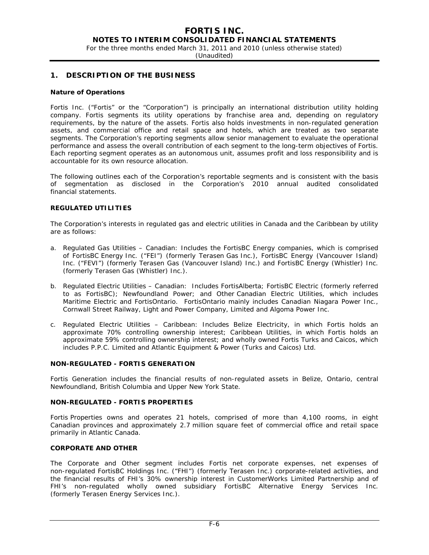For the three months ended March 31, 2011 and 2010 (unless otherwise stated)

(Unaudited)

### **1. DESCRIPTION OF THE BUSINESS**

#### **Nature of Operations**

Fortis Inc. ("Fortis" or the "Corporation") is principally an international distribution utility holding company. Fortis segments its utility operations by franchise area and, depending on regulatory requirements, by the nature of the assets. Fortis also holds investments in non-regulated generation assets, and commercial office and retail space and hotels, which are treated as two separate segments. The Corporation's reporting segments allow senior management to evaluate the operational performance and assess the overall contribution of each segment to the long-term objectives of Fortis. Each reporting segment operates as an autonomous unit, assumes profit and loss responsibility and is accountable for its own resource allocation.

The following outlines each of the Corporation's reportable segments and is consistent with the basis of segmentation as disclosed in the Corporation's 2010 annual audited consolidated financial statements.

## **REGULATED UTILITIES**

The Corporation's interests in regulated gas and electric utilities in Canada and the Caribbean by utility are as follows:

- a. *Regulated Gas Utilities Canadian:* Includes the FortisBC Energy companies, which is comprised of FortisBC Energy Inc. ("FEI") (formerly Terasen Gas Inc.), FortisBC Energy (Vancouver Island) Inc. ("FEVI") (formerly Terasen Gas (Vancouver Island) Inc.) and FortisBC Energy (Whistler) Inc. (formerly Terasen Gas (Whistler) Inc.).
- b. *Regulated Electric Utilities Canadian:* Includes FortisAlberta; FortisBC Electric (formerly referred to as FortisBC); Newfoundland Power; and Other Canadian Electric Utilities, which includes Maritime Electric and FortisOntario. FortisOntario mainly includes Canadian Niagara Power Inc., Cornwall Street Railway, Light and Power Company, Limited and Algoma Power Inc.
- c. *Regulated Electric Utilities Caribbean:* Includes Belize Electricity, in which Fortis holds an approximate 70% controlling ownership interest; Caribbean Utilities, in which Fortis holds an approximate 59% controlling ownership interest; and wholly owned Fortis Turks and Caicos, which includes P.P.C. Limited and Atlantic Equipment & Power (Turks and Caicos) Ltd.

#### **NON-REGULATED - FORTIS GENERATION**

Fortis Generation includes the financial results of non-regulated assets in Belize, Ontario, central Newfoundland, British Columbia and Upper New York State.

#### **NON-REGULATED - FORTIS PROPERTIES**

Fortis Properties owns and operates 21 hotels, comprised of more than 4,100 rooms, in eight Canadian provinces and approximately 2.7 million square feet of commercial office and retail space primarily in Atlantic Canada.

#### **CORPORATE AND OTHER**

The Corporate and Other segment includes Fortis net corporate expenses, net expenses of non-regulated FortisBC Holdings Inc. ("FHI") (formerly Terasen Inc.) corporate-related activities, and the financial results of FHI's 30% ownership interest in CustomerWorks Limited Partnership and of FHI's non-regulated wholly owned subsidiary FortisBC Alternative Energy Services Inc. (formerly Terasen Energy Services Inc.).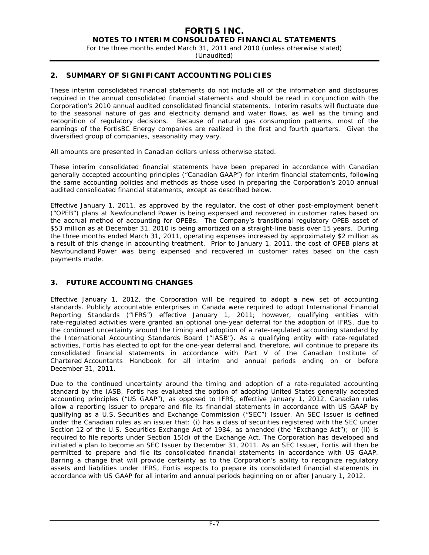For the three months ended March 31, 2011 and 2010 (unless otherwise stated)

(Unaudited)

### **2. SUMMARY OF SIGNIFICANT ACCOUNTING POLICIES**

These interim consolidated financial statements do not include all of the information and disclosures required in the annual consolidated financial statements and should be read in conjunction with the Corporation's 2010 annual audited consolidated financial statements. Interim results will fluctuate due to the seasonal nature of gas and electricity demand and water flows, as well as the timing and recognition of regulatory decisions. Because of natural gas consumption patterns, most of the earnings of the FortisBC Energy companies are realized in the first and fourth quarters. Given the diversified group of companies, seasonality may vary.

All amounts are presented in Canadian dollars unless otherwise stated.

These interim consolidated financial statements have been prepared in accordance with Canadian generally accepted accounting principles ("Canadian GAAP") for interim financial statements, following the same accounting policies and methods as those used in preparing the Corporation's 2010 annual audited consolidated financial statements, except as described below.

Effective January 1, 2011, as approved by the regulator, the cost of other post-employment benefit ("OPEB") plans at Newfoundland Power is being expensed and recovered in customer rates based on the accrual method of accounting for OPEBs. The Company's transitional regulatory OPEB asset of \$53 million as at December 31, 2010 is being amortized on a straight-line basis over 15 years. During the three months ended March 31, 2011, operating expenses increased by approximately \$2 million as a result of this change in accounting treatment. Prior to January 1, 2011, the cost of OPEB plans at Newfoundland Power was being expensed and recovered in customer rates based on the cash payments made.

## **3. FUTURE ACCOUNTING CHANGES**

Effective January 1, 2012, the Corporation will be required to adopt a new set of accounting standards. Publicly accountable enterprises in Canada were required to adopt International Financial Reporting Standards ("IFRS") effective January 1, 2011; however, qualifying entities with rate-regulated activities were granted an optional one-year deferral for the adoption of IFRS, due to the continued uncertainty around the timing and adoption of a rate-regulated accounting standard by the International Accounting Standards Board ("IASB"). As a qualifying entity with rate-regulated activities, Fortis has elected to opt for the one-year deferral and, therefore, will continue to prepare its consolidated financial statements in accordance with Part V of the Canadian Institute of Chartered Accountants Handbook for all interim and annual periods ending on or before December 31, 2011.

Due to the continued uncertainty around the timing and adoption of a rate-regulated accounting standard by the IASB, Fortis has evaluated the option of adopting United States generally accepted accounting principles ("US GAAP"), as opposed to IFRS, effective January 1, 2012. Canadian rules allow a reporting issuer to prepare and file its financial statements in accordance with US GAAP by qualifying as a U.S. Securities and Exchange Commission ("SEC") Issuer. An SEC Issuer is defined under the Canadian rules as an issuer that: (i) has a class of securities registered with the SEC under Section 12 of the *U.S*. *Securities Exchange Act of 1934*, as amended (the "Exchange Act"); or (ii) is required to file reports under Section 15(d) of the Exchange Act. The Corporation has developed and initiated a plan to become an SEC Issuer by December 31, 2011. As an SEC Issuer, Fortis will then be permitted to prepare and file its consolidated financial statements in accordance with US GAAP. Barring a change that will provide certainty as to the Corporation's ability to recognize regulatory assets and liabilities under IFRS, Fortis expects to prepare its consolidated financial statements in accordance with US GAAP for all interim and annual periods beginning on or after January 1, 2012.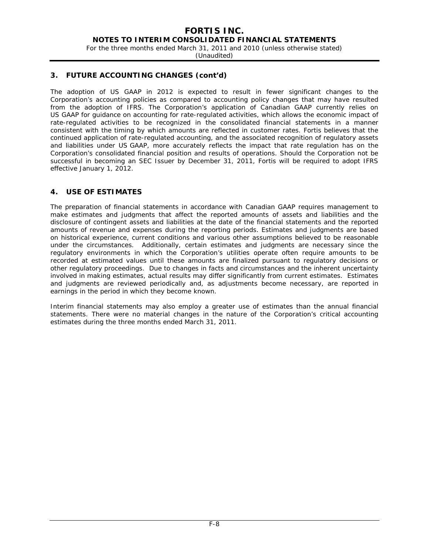For the three months ended March 31, 2011 and 2010 (unless otherwise stated)

(Unaudited)

## **3. FUTURE ACCOUNTING CHANGES (cont'd)**

The adoption of US GAAP in 2012 is expected to result in fewer significant changes to the Corporation's accounting policies as compared to accounting policy changes that may have resulted from the adoption of IFRS. The Corporation's application of Canadian GAAP currently relies on US GAAP for guidance on accounting for rate-regulated activities, which allows the economic impact of rate-regulated activities to be recognized in the consolidated financial statements in a manner consistent with the timing by which amounts are reflected in customer rates. Fortis believes that the continued application of rate-regulated accounting, and the associated recognition of regulatory assets and liabilities under US GAAP, more accurately reflects the impact that rate regulation has on the Corporation's consolidated financial position and results of operations. Should the Corporation not be successful in becoming an SEC Issuer by December 31, 2011, Fortis will be required to adopt IFRS effective January 1, 2012.

## **4. USE OF ESTIMATES**

The preparation of financial statements in accordance with Canadian GAAP requires management to make estimates and judgments that affect the reported amounts of assets and liabilities and the disclosure of contingent assets and liabilities at the date of the financial statements and the reported amounts of revenue and expenses during the reporting periods. Estimates and judgments are based on historical experience, current conditions and various other assumptions believed to be reasonable under the circumstances. Additionally, certain estimates and judgments are necessary since the regulatory environments in which the Corporation's utilities operate often require amounts to be recorded at estimated values until these amounts are finalized pursuant to regulatory decisions or other regulatory proceedings. Due to changes in facts and circumstances and the inherent uncertainty involved in making estimates, actual results may differ significantly from current estimates. Estimates and judgments are reviewed periodically and, as adjustments become necessary, are reported in earnings in the period in which they become known.

Interim financial statements may also employ a greater use of estimates than the annual financial statements. There were no material changes in the nature of the Corporation's critical accounting estimates during the three months ended March 31, 2011.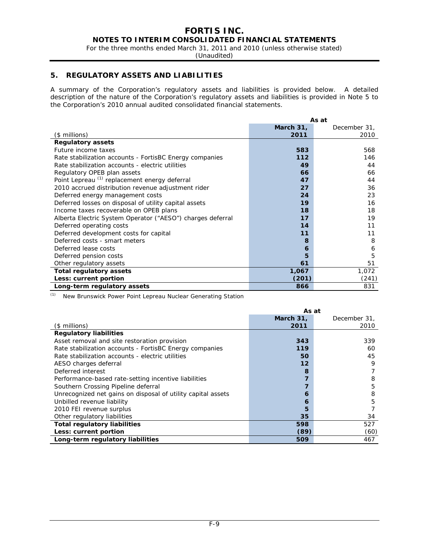For the three months ended March 31, 2011 and 2010 (unless otherwise stated)

(Unaudited)

## **5. REGULATORY ASSETS AND LIABILITIES**

A summary of the Corporation's regulatory assets and liabilities is provided below. A detailed description of the nature of the Corporation's regulatory assets and liabilities is provided in Note 5 to the Corporation's 2010 annual audited consolidated financial statements.

|                                                            | As at     |              |  |
|------------------------------------------------------------|-----------|--------------|--|
|                                                            | March 31, | December 31, |  |
| $($$ millions)                                             | 2011      | 2010         |  |
| <b>Regulatory assets</b>                                   |           |              |  |
| Future income taxes                                        | 583       | 568          |  |
| Rate stabilization accounts - FortisBC Energy companies    | 112       | 146          |  |
| Rate stabilization accounts - electric utilities           | 49        | 44           |  |
| Regulatory OPEB plan assets                                | 66        | 66           |  |
| Point Lepreau (1) replacement energy deferral              | 47        | 44           |  |
| 2010 accrued distribution revenue adjustment rider         | 27        | 36           |  |
| Deferred energy management costs                           | 24        | 23           |  |
| Deferred losses on disposal of utility capital assets      | 19        | 16           |  |
| Income taxes recoverable on OPEB plans                     | 18        | 18           |  |
| Alberta Electric System Operator ("AESO") charges deferral | 17        | 19           |  |
| Deferred operating costs                                   | 14        | 11           |  |
| Deferred development costs for capital                     | 11        | 11           |  |
| Deferred costs - smart meters                              | 8         | 8            |  |
| Deferred lease costs                                       | 6         | 6            |  |
| Deferred pension costs                                     | 5         | 5            |  |
| Other regulatory assets                                    | 61        | 51           |  |
| <b>Total regulatory assets</b>                             | 1,067     | 1,072        |  |
| Less: current portion                                      | (201)     | (241)        |  |
| Long-term regulatory assets                                | 866       | 831          |  |

*(1)* New Brunswick Power Point Lepreau Nuclear Generating Station

|                                                              | As at     |              |  |
|--------------------------------------------------------------|-----------|--------------|--|
|                                                              | March 31, | December 31. |  |
| $($$ millions)                                               | 2011      | 2010         |  |
| <b>Regulatory liabilities</b>                                |           |              |  |
| Asset removal and site restoration provision                 | 343       | 339          |  |
| Rate stabilization accounts - FortisBC Energy companies      | 119       | 60           |  |
| Rate stabilization accounts - electric utilities             | 50        | 45           |  |
| AESO charges deferral                                        | 12        | 9            |  |
| Deferred interest                                            | 8         |              |  |
| Performance-based rate-setting incentive liabilities         | 7         | 8            |  |
| Southern Crossing Pipeline deferral                          | 7         | 5            |  |
| Unrecognized net gains on disposal of utility capital assets | 6         | 8            |  |
| Unbilled revenue liability                                   | 6         | 5            |  |
| 2010 FEI revenue surplus                                     | 5         |              |  |
| Other regulatory liabilities                                 | 35        | 34           |  |
| <b>Total regulatory liabilities</b>                          | 598       | 527          |  |
| Less: current portion                                        | (89)      | (60)         |  |
| Long-term regulatory liabilities                             | 509       | 467          |  |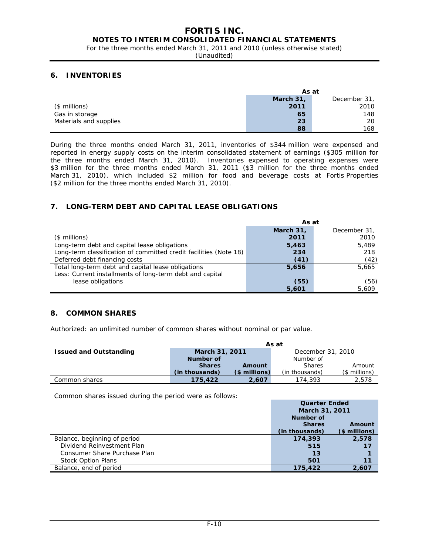For the three months ended March 31, 2011 and 2010 (unless otherwise stated)

(Unaudited)

### **6. INVENTORIES**

|                        | As at                     |      |  |
|------------------------|---------------------------|------|--|
|                        | March 31,<br>December 31, |      |  |
| $($$ millions)         | 2011                      | 2010 |  |
| Gas in storage         | 65                        | 148  |  |
| Materials and supplies | 23                        | 20   |  |
|                        | 88                        | 168  |  |

During the three months ended March 31, 2011, inventories of \$344 million were expensed and reported in energy supply costs on the interim consolidated statement of earnings (\$305 million for the three months ended March 31, 2010). Inventories expensed to operating expenses were \$3 million for the three months ended March 31, 2011 (\$3 million for the three months ended March 31, 2010), which included \$2 million for food and beverage costs at Fortis Properties (\$2 million for the three months ended March 31, 2010).

## **7. LONG-TERM DEBT AND CAPITAL LEASE OBLIGATIONS**

|                                                                   | As at     |              |  |
|-------------------------------------------------------------------|-----------|--------------|--|
|                                                                   | March 31, | December 31, |  |
| $($$ millions)                                                    | 2011      | 2010         |  |
| Long-term debt and capital lease obligations                      | 5,463     | 5,489        |  |
| Long-term classification of committed credit facilities (Note 18) | 234       | 218          |  |
| Deferred debt financing costs                                     | (41)      | (42)         |  |
| Total long-term debt and capital lease obligations                | 5,656     | 5,665        |  |
| Less: Current installments of long-term debt and capital          |           |              |  |
| lease obligations                                                 | (55)      | (56)         |  |
|                                                                   | 5,601     | 5,609        |  |

### **8. COMMON SHARES**

Authorized: an unlimited number of common shares without nominal or par value.

|                               | As at                               |                |                |               |  |
|-------------------------------|-------------------------------------|----------------|----------------|---------------|--|
| <b>Issued and Outstanding</b> | March 31, 2011<br>December 31, 2010 |                |                |               |  |
|                               | Number of                           |                | Number of      |               |  |
|                               | <b>Shares</b>                       | Amount         | <b>Shares</b>  | Amount        |  |
|                               | (in thousands)                      | $($$ millions) | (in thousands) | (\$ millions) |  |
| Common shares                 | 175,422                             | 2.607          | 174,393        | 2.578         |  |

Common shares issued during the period were as follows:

|                              | <b>Quarter Ended</b>    |                |  |
|------------------------------|-------------------------|----------------|--|
|                              | March 31, 2011          |                |  |
|                              | Number of               |                |  |
|                              | <b>Shares</b><br>Amount |                |  |
|                              | (in thousands)          | $($$ millions) |  |
| Balance, beginning of period | 174,393                 | 2,578          |  |
| Dividend Reinvestment Plan   | 515                     | 17             |  |
| Consumer Share Purchase Plan | 13                      |                |  |
| <b>Stock Option Plans</b>    | 501                     | 11             |  |
| Balance, end of period       | 175,422                 | 2.607          |  |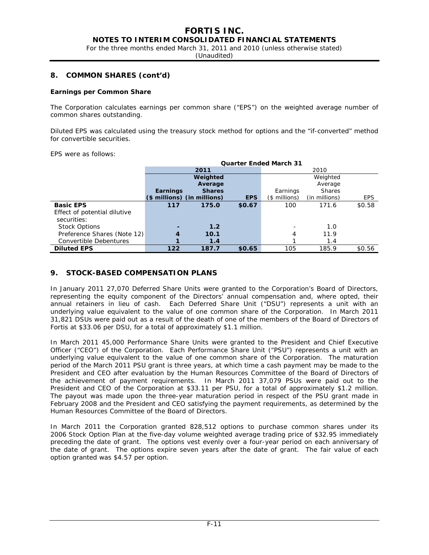For the three months ended March 31, 2011 and 2010 (unless otherwise stated)

(Unaudited)

### **8. COMMON SHARES (cont'd)**

#### **Earnings per Common Share**

The Corporation calculates earnings per common share ("EPS") on the weighted average number of common shares outstanding.

Diluted EPS was calculated using the treasury stock method for options and the "if-converted" method for convertible securities.

EPS were as follows:

|                              |                             |               |            | <b>Quarter Ended March 31</b> |               |            |
|------------------------------|-----------------------------|---------------|------------|-------------------------------|---------------|------------|
|                              |                             | 2011          |            |                               | 2010          |            |
|                              |                             | Weighted      |            |                               | Weighted      |            |
|                              |                             | Average       |            |                               | Average       |            |
|                              | Earnings                    | <b>Shares</b> |            | Earnings                      | <b>Shares</b> |            |
|                              | (\$ millions) (in millions) |               | <b>EPS</b> | (\$ millions)                 | (in millions) | <b>EPS</b> |
| <b>Basic EPS</b>             | 117                         | 175.0         | \$0.67     | 100                           | 171.6         | \$0.58     |
| Effect of potential dilutive |                             |               |            |                               |               |            |
| securities:                  |                             |               |            |                               |               |            |
| <b>Stock Options</b>         |                             | 1.2           |            |                               | 1.0           |            |
| Preference Shares (Note 12)  | 4                           | 10.1          |            | 4                             | 11.9          |            |
| Convertible Debentures       |                             | 1.4           |            |                               | 1.4           |            |
| <b>Diluted EPS</b>           | 122                         | 187.7         | \$0.65     | 105                           | 185.9         | \$0.56     |

### **9. STOCK-BASED COMPENSATION PLANS**

In January 2011 27,070 Deferred Share Units were granted to the Corporation's Board of Directors, representing the equity component of the Directors' annual compensation and, where opted, their annual retainers in lieu of cash. Each Deferred Share Unit ("DSU") represents a unit with an underlying value equivalent to the value of one common share of the Corporation. In March 2011 31,821 DSUs were paid out as a result of the death of one of the members of the Board of Directors of Fortis at \$33.06 per DSU, for a total of approximately \$1.1 million.

In March 2011 45,000 Performance Share Units were granted to the President and Chief Executive Officer ("CEO") of the Corporation. Each Performance Share Unit ("PSU") represents a unit with an underlying value equivalent to the value of one common share of the Corporation. The maturation period of the March 2011 PSU grant is three years, at which time a cash payment may be made to the President and CEO after evaluation by the Human Resources Committee of the Board of Directors of the achievement of payment requirements. In March 2011 37,079 PSUs were paid out to the President and CEO of the Corporation at \$33.11 per PSU, for a total of approximately \$1.2 million. The payout was made upon the three-year maturation period in respect of the PSU grant made in February 2008 and the President and CEO satisfying the payment requirements, as determined by the Human Resources Committee of the Board of Directors.

In March 2011 the Corporation granted 828,512 options to purchase common shares under its 2006 Stock Option Plan at the five-day volume weighted average trading price of \$32.95 immediately preceding the date of grant. The options vest evenly over a four-year period on each anniversary of the date of grant. The options expire seven years after the date of grant. The fair value of each option granted was \$4.57 per option.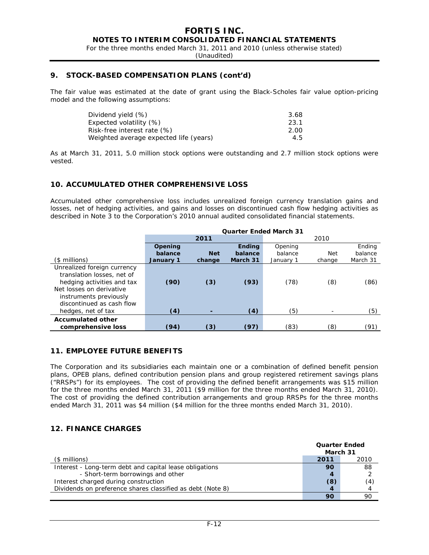For the three months ended March 31, 2011 and 2010 (unless otherwise stated)

(Unaudited)

### **9. STOCK-BASED COMPENSATION PLANS (cont'd)**

The fair value was estimated at the date of grant using the Black-Scholes fair value option-pricing model and the following assumptions:

| Dividend yield (%)                     | 3.68 |
|----------------------------------------|------|
| Expected volatility (%)                | 23.1 |
| Risk-free interest rate (%)            | 2.00 |
| Weighted average expected life (years) | 4.5  |

As at March 31, 2011, 5.0 million stock options were outstanding and 2.7 million stock options were vested.

## **10. ACCUMULATED OTHER COMPREHENSIVE LOSS**

Accumulated other comprehensive loss includes unrealized foreign currency translation gains and losses, net of hedging activities, and gains and losses on discontinued cash flow hedging activities as described in Note 3 to the Corporation's 2010 annual audited consolidated financial statements.

|                             | <b>Quarter Ended March 31</b> |            |               |           |        |          |  |  |
|-----------------------------|-------------------------------|------------|---------------|-----------|--------|----------|--|--|
|                             |                               | 2011       |               |           | 2010   |          |  |  |
|                             | Opening                       |            | <b>Ending</b> | Opening   |        | Ending   |  |  |
|                             | balance                       | <b>Net</b> | balance       | balance   | Net    | balance  |  |  |
| $($$ millions)              | January 1                     | change     | March 31      | January 1 | change | March 31 |  |  |
| Unrealized foreign currency |                               |            |               |           |        |          |  |  |
| translation losses, net of  |                               |            |               |           |        |          |  |  |
| hedging activities and tax  | (90)                          | (3)        | (93)          | (78)      | (8)    | (86)     |  |  |
| Net losses on derivative    |                               |            |               |           |        |          |  |  |
| instruments previously      |                               |            |               |           |        |          |  |  |
| discontinued as cash flow   |                               |            |               |           |        |          |  |  |
| hedges, net of tax          | (4)                           |            | (4)           | (5)       |        | (5)      |  |  |
| <b>Accumulated other</b>    |                               |            |               |           |        |          |  |  |
| comprehensive loss          | (94)                          | (3)        | (97)          | (83)      | (8)    | (91)     |  |  |

### **11. EMPLOYEE FUTURE BENEFITS**

The Corporation and its subsidiaries each maintain one or a combination of defined benefit pension plans, OPEB plans, defined contribution pension plans and group registered retirement savings plans ("RRSPs") for its employees. The cost of providing the defined benefit arrangements was \$15 million for the three months ended March 31, 2011 (\$9 million for the three months ended March 31, 2010). The cost of providing the defined contribution arrangements and group RRSPs for the three months ended March 31, 2011 was \$4 million (\$4 million for the three months ended March 31, 2010).

## **12. FINANCE CHARGES**

|                                                            | <b>Quarter Ended</b><br>March 31 |      |
|------------------------------------------------------------|----------------------------------|------|
| $($$ millions $)$                                          | 2011                             | 2010 |
| Interest - Long-term debt and capital lease obligations    | 90                               | 88   |
| - Short-term borrowings and other                          | 4                                |      |
| Interest charged during construction                       | (8)                              | (4)  |
| Dividends on preference shares classified as debt (Note 8) |                                  |      |
|                                                            | 90                               | 90   |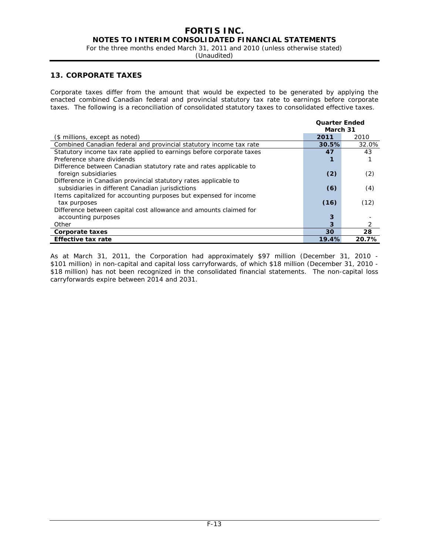# **FORTIS INC.**

**NOTES TO INTERIM CONSOLIDATED FINANCIAL STATEMENTS** 

For the three months ended March 31, 2011 and 2010 (unless otherwise stated)

(Unaudited)

## **13. CORPORATE TAXES**

Corporate taxes differ from the amount that would be expected to be generated by applying the enacted combined Canadian federal and provincial statutory tax rate to earnings before corporate taxes. The following is a reconciliation of consolidated statutory taxes to consolidated effective taxes.

|                                                                      | <b>Quarter Ended</b><br>March 31 |       |
|----------------------------------------------------------------------|----------------------------------|-------|
| (\$ millions, except as noted)                                       | 2011                             | 2010  |
| Combined Canadian federal and provincial statutory income tax rate   | 30.5%                            | 32.0% |
| Statutory income tax rate applied to earnings before corporate taxes | 47                               | 43    |
| Preference share dividends                                           |                                  |       |
| Difference between Canadian statutory rate and rates applicable to   |                                  |       |
| foreign subsidiaries                                                 | (2)                              | (2)   |
| Difference in Canadian provincial statutory rates applicable to      |                                  |       |
| subsidiaries in different Canadian jurisdictions                     | (6)                              | (4)   |
| Items capitalized for accounting purposes but expensed for income    |                                  |       |
| tax purposes                                                         | (16)                             | (12)  |
| Difference between capital cost allowance and amounts claimed for    |                                  |       |
| accounting purposes                                                  | 3                                |       |
| Other                                                                | 3                                | 2     |
| Corporate taxes                                                      | 30                               | 28    |
| <b>Effective tax rate</b>                                            | 19.4%                            | 20.7% |

As at March 31, 2011, the Corporation had approximately \$97 million (December 31, 2010 - \$101 million) in non-capital and capital loss carryforwards, of which \$18 million (December 31, 2010 - \$18 million) has not been recognized in the consolidated financial statements. The non-capital loss carryforwards expire between 2014 and 2031.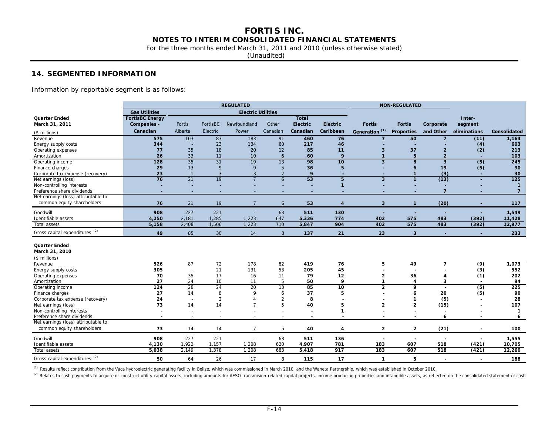For the three months ended March 31, 2011 and 2010 (unless otherwise stated)

(Unaudited)

## **14. SEGMENTED INFORMATION**

Information by reportable segment is as follows:

|                                                                   | <b>REGULATED</b>         |                 |                    |                           |                | <b>NON-REGULATED</b>     |                 |                           |                         |                          |                          |                                  |
|-------------------------------------------------------------------|--------------------------|-----------------|--------------------|---------------------------|----------------|--------------------------|-----------------|---------------------------|-------------------------|--------------------------|--------------------------|----------------------------------|
|                                                                   | <b>Gas Utilities</b>     |                 |                    | <b>Electric Utilities</b> |                |                          |                 |                           |                         |                          |                          |                                  |
| <b>Quarter Ended</b>                                              | <b>FortisBC Energy</b>   |                 |                    |                           |                | <b>Total</b>             |                 |                           |                         |                          | Inter-                   |                                  |
| March 31, 2011                                                    | Companies -              | Fortis          | FortisBC           | Newfoundland              | Other          | <b>Electric</b>          | <b>Electric</b> | <b>Fortis</b>             | <b>Fortis</b>           | Corporate                | segment                  |                                  |
| (\$ millions)                                                     | Canadian                 | Alberta         | Electric           | Power                     | Canadian       | Canadian                 | Caribbean       | Generation <sup>(1)</sup> | <b>Properties</b>       | and Other                | eliminations             | Consolidated                     |
| Revenue                                                           | 575                      | 103             | 83                 | 183                       | 91             | 460                      | 76              | $\overline{7}$            | 50                      | $\overline{7}$           | (11)                     | 1,164                            |
| Energy supply costs                                               | 344                      |                 | 23                 | 134                       | 60             | 217                      | 46              |                           |                         |                          | (4)                      | 603                              |
| Operating expenses                                                | 77                       | 35              | 18                 | 20                        | 12             | 85                       | 11              | 3                         | 37                      | $\overline{2}$           | (2)                      | 213                              |
| Amortization                                                      | 26                       | 33              | 11                 | 10                        | 6              | 60                       | 9               | $\mathbf{1}$              | 5                       | $\overline{2}$           | $\overline{\phantom{a}}$ | 103                              |
| Operating income                                                  | $\overline{128}$         | 35              | 31                 | 19                        | 13             | 98                       | 10              | $\overline{3}$            | $\overline{\mathbf{8}}$ | $\overline{\mathbf{3}}$  | (5)                      | 245                              |
| Finance charges                                                   | 29                       | 13              | 9                  | 9                         | 5              | 36                       | 5               |                           | 6                       | 19                       | (5)                      | 90                               |
| Corporate tax expense (recovery)                                  | 23<br>$\overline{76}$    | $\overline{1}$  | $\mathbf{3}$<br>19 | 3<br>$\overline{7}$       | $\overline{2}$ | 9                        |                 |                           |                         | (3)                      | н.                       | 30                               |
| Net earnings (loss)                                               |                          | 21              |                    |                           | 6              | 53                       | 5               | $\overline{3}$            | $\mathbf{1}$            | (13)                     |                          | 125                              |
| Non-controlling interests                                         |                          |                 |                    |                           |                | ٠                        | $\mathbf{1}$    |                           |                         | $\overline{7}$           |                          | $\overline{1}$<br>$\overline{7}$ |
| Preference share dividends<br>Net earnings (loss) attributable to | ٠                        |                 |                    |                           |                | $\overline{\phantom{a}}$ |                 |                           |                         |                          |                          |                                  |
| common equity shareholders                                        | 76                       | 21              | 19                 | $\overline{7}$            | 6              | 53                       | $\overline{4}$  | $\mathbf{3}$              | $\mathbf{1}$            | (20)                     |                          | 117                              |
|                                                                   |                          |                 |                    |                           |                |                          |                 |                           |                         |                          |                          |                                  |
| Goodwill                                                          | 908                      | 227             | 221                |                           | 63             | 511                      | 130             |                           |                         |                          |                          | 1,549                            |
| Identifiable assets                                               | 4.250                    | 2,181           | 1.285              | 1,223                     | 647            | 5,336                    | 774             | 402                       | 575                     | 483                      | (392)                    | 11,428                           |
| Total assets                                                      | 5,158                    | 2,408           | 1,506              | 1,223                     | 710            | 5,847                    | 904             | 402                       | 575                     | 483                      | (392)                    | 12,977                           |
| Gross capital expenditures (2)                                    | 49                       | 85              | 30                 | 14                        | 8              | 137                      | 21              | 23                        | $\overline{\mathbf{3}}$ |                          |                          | 233                              |
| <b>Quarter Ended</b>                                              |                          |                 |                    |                           |                |                          |                 |                           |                         |                          |                          |                                  |
| March 31, 2010                                                    |                          |                 |                    |                           |                |                          |                 |                           |                         |                          |                          |                                  |
| (\$ millions)                                                     |                          |                 |                    |                           |                |                          |                 |                           |                         |                          |                          |                                  |
| Revenue                                                           | 526                      | 87              | 72                 | 178                       | 82             | 419                      | 76              | 5                         | 49                      | $\overline{7}$           | $\overline{(9)}$         | 1,073                            |
| Energy supply costs                                               | 305                      | $\sim$          | 21                 | 131                       | 53             | 205                      | 45              |                           |                         |                          | (3)                      | 552                              |
| Operating expenses                                                | 70                       | 35              | 17                 | 16                        | 11             | 79                       | 12              | $\overline{\mathbf{2}}$   | 36                      | 4                        | (1)                      | 202                              |
| Amortization                                                      | 27                       | 24              | 10                 | 11                        | 5              | 50                       | 9               | $\mathbf{1}$              | 4                       | 3                        |                          | 94                               |
| Operating income                                                  | 124                      | $\overline{28}$ | 24                 | 20                        | 13             | 85                       | 10              | $\overline{2}$            | 9                       | $\blacksquare$           | $\overline{(5)}$         | 225                              |
| Finance charges                                                   | 27                       | 14              | 8                  | 9                         | 6              | 37                       | 5               |                           | 6                       | 20                       | (5)                      | 90                               |
| Corporate tax expense (recovery)                                  | 24                       | $\sim$          | $\overline{2}$     | $\overline{A}$            | $\overline{2}$ | 8                        |                 | $\overline{\phantom{a}}$  | 1                       | (5)                      | $\overline{\phantom{a}}$ | 28                               |
| Net earnings (loss)                                               | $\overline{73}$          | 14              | 14                 | $\overline{7}$            | 5              | 40                       | 5               | $\overline{2}$            | $\mathbf{2}$            | (15)                     |                          | 107                              |
| Non-controlling interests                                         | ٠                        |                 |                    |                           |                | ٠                        | 1               |                           |                         | $\overline{\phantom{a}}$ |                          | $\mathbf{1}$                     |
| Preference share dividends                                        | $\overline{\phantom{a}}$ | $\sim$          |                    |                           |                | $\overline{\phantom{a}}$ |                 | $\overline{\phantom{a}}$  |                         | 6                        |                          | 6                                |
| Net earnings (loss) attributable to                               |                          |                 |                    |                           |                |                          |                 |                           |                         |                          |                          |                                  |
| common equity shareholders                                        | 73                       | 14              | 14                 | $\overline{7}$            | 5              | 40                       | 4               | $\overline{\mathbf{2}}$   | $\mathbf{2}$            | (21)                     | $\overline{\phantom{a}}$ | 100                              |
| Goodwill                                                          | 908                      | 227             | 221                |                           | 63             | 511                      | 136             |                           |                         | $\overline{\phantom{a}}$ |                          | 1,555                            |
| Identifiable assets                                               | 4,130                    | 1,922           | 1,157              | 1,208                     | 620            | 4,907                    | 781             | 183                       | 607                     | 518                      | (421)                    | 10,705                           |
| Total assets                                                      | 5,038                    | 2,149           | 1,378              | 1,208                     | 683            | 5,418                    | 917             | 183                       | 607                     | 518                      | (421)                    | 12,260                           |
| Gross capital expenditures (2)                                    | 50                       | 64              | 26                 | 17                        | 8              | 115                      | 17              | $\mathbf{1}$              | 5                       | $\overline{\phantom{a}}$ |                          | 188                              |

*(1)* Results reflect contribution from the Vaca hydroelectric generating facility in Belize, which was commissioned in March 2010, and the Waneta Partnership, which was established in October 2010.

(2) Relates to cash payments to acquire or construct utility capital assets, including amounts for AESO transmision-related capital projects, income producing properties and intangible assets, as reflected on the consolida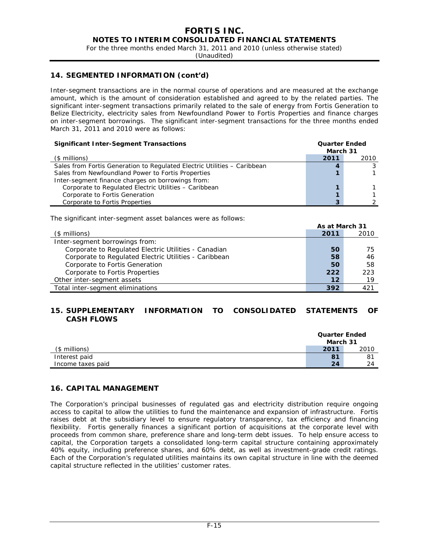For the three months ended March 31, 2011 and 2010 (unless otherwise stated)

(Unaudited)

## **14. SEGMENTED INFORMATION (cont'd)**

Inter-segment transactions are in the normal course of operations and are measured at the exchange amount, which is the amount of consideration established and agreed to by the related parties. The significant inter-segment transactions primarily related to the sale of energy from Fortis Generation to Belize Electricity, electricity sales from Newfoundland Power to Fortis Properties and finance charges on inter-segment borrowings. The significant inter-segment transactions for the three months ended March 31, 2011 and 2010 were as follows:

| <b>Significant Inter-Segment Transactions</b>                            |      | <b>Quarter Ended</b><br>March 31 |  |  |
|--------------------------------------------------------------------------|------|----------------------------------|--|--|
| $($$ millions)                                                           | 2011 | 2010                             |  |  |
| Sales from Fortis Generation to Regulated Electric Utilities - Caribbean |      |                                  |  |  |
| Sales from Newfoundland Power to Fortis Properties                       |      |                                  |  |  |
| Inter-segment finance charges on borrowings from:                        |      |                                  |  |  |
| Corporate to Regulated Electric Utilities - Caribbean                    |      |                                  |  |  |
| Corporate to Fortis Generation                                           |      |                                  |  |  |
| Corporate to Fortis Properties                                           |      |                                  |  |  |

The significant inter-segment asset balances were as follows:

|                                                       | As at March 31 |      |
|-------------------------------------------------------|----------------|------|
| $($$ millions)                                        | 2011           | 2010 |
| Inter-segment borrowings from:                        |                |      |
| Corporate to Regulated Electric Utilities - Canadian  | 50             | 75   |
| Corporate to Regulated Electric Utilities - Caribbean | 58             | 46   |
| Corporate to Fortis Generation                        | 50             | 58   |
| Corporate to Fortis Properties                        | 222            | 223  |
| Other inter-segment assets                            | 12             | 19   |
| Total inter-segment eliminations                      | 392            | 421  |

#### **15. SUPPLEMENTARY INFORMATION TO CONSOLIDATED STATEMENTS OF CASH FLOWS**

|                   | <b>Quarter Ended</b><br>March 31 |      |  |
|-------------------|----------------------------------|------|--|
| $($$ millions)    | 2011                             | 2010 |  |
| Interest paid     | 81                               | 81   |  |
| Income taxes paid | 24                               | 24   |  |

## **16. CAPITAL MANAGEMENT**

The Corporation's principal businesses of regulated gas and electricity distribution require ongoing access to capital to allow the utilities to fund the maintenance and expansion of infrastructure. Fortis raises debt at the subsidiary level to ensure regulatory transparency, tax efficiency and financing flexibility. Fortis generally finances a significant portion of acquisitions at the corporate level with proceeds from common share, preference share and long-term debt issues. To help ensure access to capital, the Corporation targets a consolidated long-term capital structure containing approximately 40% equity, including preference shares, and 60% debt, as well as investment-grade credit ratings. Each of the Corporation's regulated utilities maintains its own capital structure in line with the deemed capital structure reflected in the utilities' customer rates.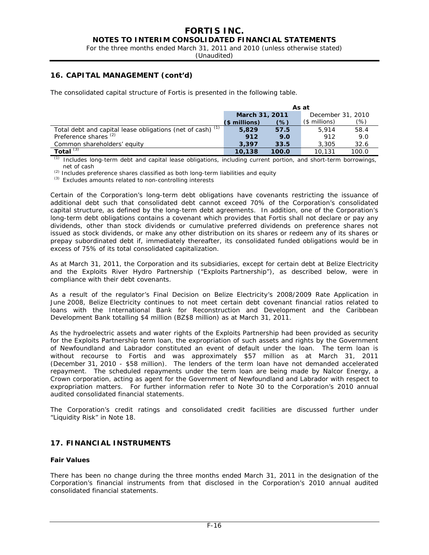For the three months ended March 31, 2011 and 2010 (unless otherwise stated)

(Unaudited)

## **16. CAPITAL MANAGEMENT (cont'd)**

The consolidated capital structure of Fortis is presented in the following table.

|                                                              | As at                               |       |                |       |  |  |
|--------------------------------------------------------------|-------------------------------------|-------|----------------|-------|--|--|
|                                                              | March 31, 2011<br>December 31, 2010 |       |                |       |  |  |
|                                                              | $$$ millions)                       | (%)   | $($$ millions) | (%)   |  |  |
| Total debt and capital lease obligations (net of cash) $(1)$ | 5,829                               | 57.5  | 5.914          | 58.4  |  |  |
| Preference shares <sup>(2)</sup>                             | 912                                 | 9.0   | 912            | 9.0   |  |  |
| Common shareholders' equity                                  | 3.397                               | 33.5  | 3,305          | 32.6  |  |  |
| Total $^{(3)}$                                               | 10,138                              | 100.0 | 10.131         | 100.0 |  |  |

Includes long-term debt and capital lease obligations, including current portion, and short-term borrowings, net of cash

*(2)* Includes preference shares classified as both long-term liabilities and equity

*(3)* Excludes amounts related to non-controlling interests

Certain of the Corporation's long-term debt obligations have covenants restricting the issuance of additional debt such that consolidated debt cannot exceed 70% of the Corporation's consolidated capital structure, as defined by the long-term debt agreements. In addition, one of the Corporation's long-term debt obligations contains a covenant which provides that Fortis shall not declare or pay any dividends, other than stock dividends or cumulative preferred dividends on preference shares not issued as stock dividends, or make any other distribution on its shares or redeem any of its shares or prepay subordinated debt if, immediately thereafter, its consolidated funded obligations would be in excess of 75% of its total consolidated capitalization.

As at March 31, 2011, the Corporation and its subsidiaries, except for certain debt at Belize Electricity and the Exploits River Hydro Partnership ("Exploits Partnership"), as described below, were in compliance with their debt covenants.

As a result of the regulator's Final Decision on Belize Electricity's 2008/2009 Rate Application in June 2008, Belize Electricity continues to not meet certain debt covenant financial ratios related to loans with the International Bank for Reconstruction and Development and the Caribbean Development Bank totalling \$4 million (BZ\$8 million) as at March 31, 2011.

As the hydroelectric assets and water rights of the Exploits Partnership had been provided as security for the Exploits Partnership term loan, the expropriation of such assets and rights by the Government of Newfoundland and Labrador constituted an event of default under the loan. The term loan is without recourse to Fortis and was approximately \$57 million as at March 31, 2011 (December 31, 2010 - \$58 million). The lenders of the term loan have not demanded accelerated repayment. The scheduled repayments under the term loan are being made by Nalcor Energy, a Crown corporation, acting as agent for the Government of Newfoundland and Labrador with respect to expropriation matters. For further information refer to Note 30 to the Corporation's 2010 annual audited consolidated financial statements.

The Corporation's credit ratings and consolidated credit facilities are discussed further under "Liquidity Risk" in Note 18.

## **17. FINANCIAL INSTRUMENTS**

#### **Fair Values**

There has been no change during the three months ended March 31, 2011 in the designation of the Corporation's financial instruments from that disclosed in the Corporation's 2010 annual audited consolidated financial statements.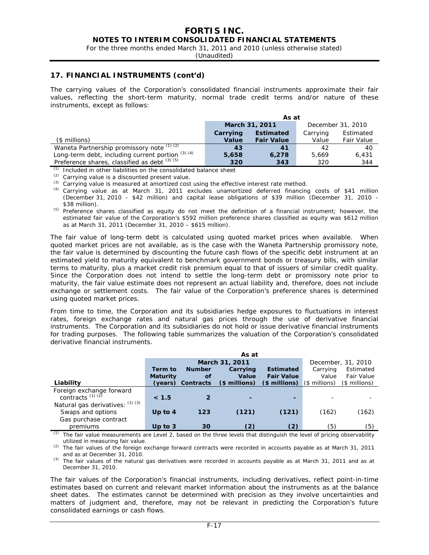For the three months ended March 31, 2011 and 2010 (unless otherwise stated)

(Unaudited)

### **17. FINANCIAL INSTRUMENTS (cont'd)**

The carrying values of the Corporation's consolidated financial instruments approximate their fair values, reflecting the short-term maturity, normal trade credit terms and/or nature of these instruments, except as follows:

|                                                         | As at    |                   |                   |            |  |  |  |
|---------------------------------------------------------|----------|-------------------|-------------------|------------|--|--|--|
|                                                         |          | March 31, 2011    | December 31, 2010 |            |  |  |  |
|                                                         | Carrying | <b>Estimated</b>  | Carrying          | Estimated  |  |  |  |
| (\$ millions)                                           | Value    | <b>Fair Value</b> | Value             | Fair Value |  |  |  |
| Waneta Partnership promissory note $\frac{(1)(2)}{(2)}$ | 43       | 41                | 42                | 40         |  |  |  |
| Long-term debt, including current portion $(3)$ $(4)$   | 5,658    | 6,278             | 5.669             | 6,431      |  |  |  |
| Preference shares, classified as debt $(3)(5)$          | 320      | 343               | 320               | 344        |  |  |  |

*(1)* Included in other liabilities on the consolidated balance sheet

*(2)* Carrying value is a discounted present value.

*(3)* Carrying value is measured at amortized cost using the effective interest rate method.

*(4)* Carrying value as at March 31, 2011 excludes unamortized deferred financing costs of \$41 million (December 31, 2010 - \$42 million) and capital lease obligations of \$39 million (December 31, 2010 - \$38 million).

*(5)* Preference shares classified as equity do not meet the definition of a financial instrument; however, the estimated fair value of the Corporation's \$592 million preference shares classified as equity was \$612 million as at March 31, 2011 (December 31, 2010 – \$615 million).

The fair value of long-term debt is calculated using quoted market prices when available. When quoted market prices are not available, as is the case with the Waneta Partnership promissory note, the fair value is determined by discounting the future cash flows of the specific debt instrument at an estimated yield to maturity equivalent to benchmark government bonds or treasury bills, with similar terms to maturity, plus a market credit risk premium equal to that of issuers of similar credit quality. Since the Corporation does not intend to settle the long-term debt or promissory note prior to maturity, the fair value estimate does not represent an actual liability and, therefore, does not include exchange or settlement costs. The fair value of the Corporation's preference shares is determined using quoted market prices.

From time to time, the Corporation and its subsidiaries hedge exposures to fluctuations in interest rates, foreign exchange rates and natural gas prices through the use of derivative financial instruments. The Corporation and its subsidiaries do not hold or issue derivative financial instruments for trading purposes. The following table summarizes the valuation of the Corporation's consolidated derivative financial instruments.

|                                                 | As at           |                   |                |                               |                    |               |  |  |
|-------------------------------------------------|-----------------|-------------------|----------------|-------------------------------|--------------------|---------------|--|--|
|                                                 |                 |                   | March 31, 2011 |                               | December, 31, 2010 |               |  |  |
|                                                 | Term to         | <b>Number</b>     | Carrying       | <b>Estimated</b>              | Carrying           | Estimated     |  |  |
|                                                 | <b>Maturity</b> | οf                | Value          | <b>Fair Value</b>             | Value              | Fair Value    |  |  |
| Liability                                       |                 | (years) Contracts | $$$ millions)  | $($$ millions) $($$ millions) |                    | (\$ millions) |  |  |
|                                                 |                 |                   |                |                               |                    |               |  |  |
| Foreign exchange forward<br>contracts $(1)$ (2) | < 1.5           |                   |                |                               |                    |               |  |  |
| Natural gas derivatives: (1) (3)                |                 |                   |                |                               |                    |               |  |  |
| Swaps and options                               | Up to $4$       | 123               | (121)          | (121)                         | (162)              | (162)         |  |  |
| Gas purchase contract                           |                 |                   |                |                               |                    |               |  |  |
| premiums                                        | Up to $3$       | 30                | (2)            | (2)                           | (5)                | (5)           |  |  |

 $\frac{1}{2}$  The fair value measurements are Level 2, based on the three levels that distinguish the level of pricing observability utilized in measuring fair value.

*(2)* The fair values of the foreign exchange forward contracts were recorded in accounts payable as at March 31, 2011 and as at December 31, 2010.

*(3)* The fair values of the natural gas derivatives were recorded in accounts payable as at March 31, 2011 and as at December 31, 2010.

The fair values of the Corporation's financial instruments, including derivatives, reflect point-in-time estimates based on current and relevant market information about the instruments as at the balance sheet dates. The estimates cannot be determined with precision as they involve uncertainties and matters of judgment and, therefore, may not be relevant in predicting the Corporation's future consolidated earnings or cash flows.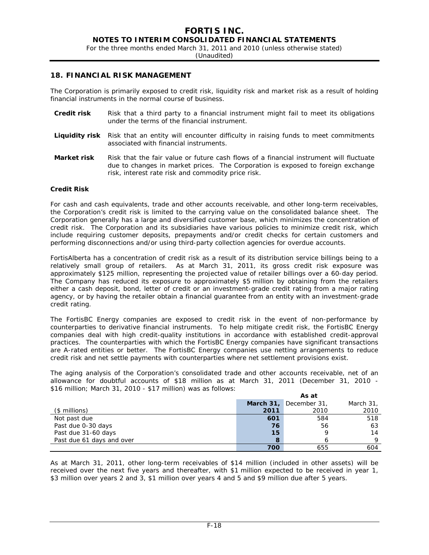For the three months ended March 31, 2011 and 2010 (unless otherwise stated)

(Unaudited)

### **18. FINANCIAL RISK MANAGEMENT**

The Corporation is primarily exposed to credit risk, liquidity risk and market risk as a result of holding financial instruments in the normal course of business.

- **Credit risk** Risk that a third party to a financial instrument might fail to meet its obligations under the terms of the financial instrument.
- **Liquidity risk** Risk that an entity will encounter difficulty in raising funds to meet commitments associated with financial instruments.
- **Market risk** Risk that the fair value or future cash flows of a financial instrument will fluctuate due to changes in market prices. The Corporation is exposed to foreign exchange risk, interest rate risk and commodity price risk.

#### **Credit Risk**

For cash and cash equivalents, trade and other accounts receivable, and other long-term receivables, the Corporation's credit risk is limited to the carrying value on the consolidated balance sheet. The Corporation generally has a large and diversified customer base, which minimizes the concentration of credit risk. The Corporation and its subsidiaries have various policies to minimize credit risk, which include requiring customer deposits, prepayments and/or credit checks for certain customers and performing disconnections and/or using third-party collection agencies for overdue accounts.

FortisAlberta has a concentration of credit risk as a result of its distribution service billings being to a relatively small group of retailers. As at March 31, 2011, its gross credit risk exposure was approximately \$125 million, representing the projected value of retailer billings over a 60-day period. The Company has reduced its exposure to approximately \$5 million by obtaining from the retailers either a cash deposit, bond, letter of credit or an investment-grade credit rating from a major rating agency, or by having the retailer obtain a financial guarantee from an entity with an investment-grade credit rating.

The FortisBC Energy companies are exposed to credit risk in the event of non-performance by counterparties to derivative financial instruments. To help mitigate credit risk, the FortisBC Energy companies deal with high credit-quality institutions in accordance with established credit-approval practices. The counterparties with which the FortisBC Energy companies have significant transactions are A-rated entities or better. The FortisBC Energy companies use netting arrangements to reduce credit risk and net settle payments with counterparties where net settlement provisions exist.

The aging analysis of the Corporation's consolidated trade and other accounts receivable, net of an allowance for doubtful accounts of \$18 million as at March 31, 2011 (December 31, 2010 - \$16 million; March 31, 2010 - \$17 million) was as follows:

|                           | As at                               |      |      |  |  |
|---------------------------|-------------------------------------|------|------|--|--|
|                           | March 31, December 31,<br>March 31, |      |      |  |  |
| $($$ millions)            | 2011                                | 2010 | 2010 |  |  |
| Not past due              | 601                                 | 584  | 518  |  |  |
| Past due 0-30 days        | 76                                  | 56   | 63   |  |  |
| Past due 31-60 days       | 15                                  | g    | 14   |  |  |
| Past due 61 days and over | 8                                   |      |      |  |  |
|                           | 700                                 | 655  | 604  |  |  |

As at March 31, 2011, other long-term receivables of \$14 million (included in other assets) will be received over the next five years and thereafter, with \$1 million expected to be received in year 1, \$3 million over years 2 and 3, \$1 million over years 4 and 5 and \$9 million due after 5 years.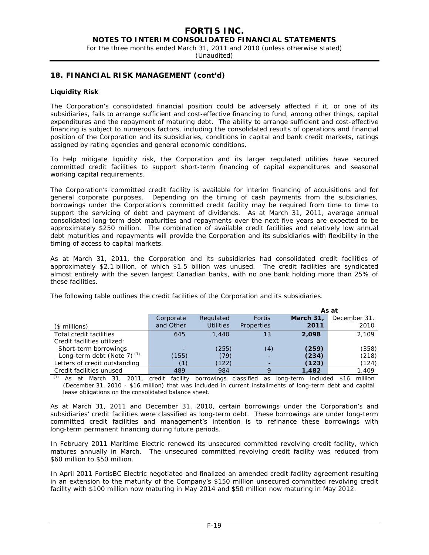For the three months ended March 31, 2011 and 2010 (unless otherwise stated)

(Unaudited)

## **18. FINANCIAL RISK MANAGEMENT (cont'd)**

#### **Liquidity Risk**

The Corporation's consolidated financial position could be adversely affected if it, or one of its subsidiaries, fails to arrange sufficient and cost-effective financing to fund, among other things, capital expenditures and the repayment of maturing debt. The ability to arrange sufficient and cost-effective financing is subject to numerous factors, including the consolidated results of operations and financial position of the Corporation and its subsidiaries, conditions in capital and bank credit markets, ratings assigned by rating agencies and general economic conditions.

To help mitigate liquidity risk, the Corporation and its larger regulated utilities have secured committed credit facilities to support short-term financing of capital expenditures and seasonal working capital requirements.

The Corporation's committed credit facility is available for interim financing of acquisitions and for general corporate purposes. Depending on the timing of cash payments from the subsidiaries, borrowings under the Corporation's committed credit facility may be required from time to time to support the servicing of debt and payment of dividends. As at March 31, 2011, average annual consolidated long-term debt maturities and repayments over the next five years are expected to be approximately \$250 million. The combination of available credit facilities and relatively low annual debt maturities and repayments will provide the Corporation and its subsidiaries with flexibility in the timing of access to capital markets.

As at March 31, 2011, the Corporation and its subsidiaries had consolidated credit facilities of approximately \$2.1 billion, of which \$1.5 billion was unused. The credit facilities are syndicated almost entirely with the seven largest Canadian banks, with no one bank holding more than 25% of these facilities.

|                               |           |                  |               | As at     |              |  |  |
|-------------------------------|-----------|------------------|---------------|-----------|--------------|--|--|
|                               | Corporate | Regulated        | <b>Fortis</b> | March 31, | December 31, |  |  |
| $($$ millions)                | and Other | <b>Utilities</b> | Properties    | 2011      | 2010         |  |  |
| Total credit facilities       | 645       | 1,440            | 13            | 2.098     | 2.109        |  |  |
| Credit facilities utilized:   |           |                  |               |           |              |  |  |
| Short-term borrowings         |           | (255)            | (4)           | (259)     | (358)        |  |  |
| Long-term debt (Note 7) $(7)$ | (155)     | (79)             |               | (234)     | (218)        |  |  |
| Letters of credit outstanding |           | (122)            |               | (123)     | (124)        |  |  |
| Credit facilities unused      | 489       | 984              |               | 1,482     | 1,409        |  |  |

The following table outlines the credit facilities of the Corporation and its subsidiaries.

*(1)* As at March 31, 2011, credit facility borrowings classified as long-term included \$16 million (December 31, 2010 - \$16 million) that was included in current installments of long-term debt and capital lease obligations on the consolidated balance sheet.

As at March 31, 2011 and December 31, 2010, certain borrowings under the Corporation's and subsidiaries' credit facilities were classified as long-term debt. These borrowings are under long-term committed credit facilities and management's intention is to refinance these borrowings with long-term permanent financing during future periods.

In February 2011 Maritime Electric renewed its unsecured committed revolving credit facility, which matures annually in March. The unsecured committed revolving credit facility was reduced from \$60 million to \$50 million.

In April 2011 FortisBC Electric negotiated and finalized an amended credit facility agreement resulting in an extension to the maturity of the Company's \$150 million unsecured committed revolving credit facility with \$100 million now maturing in May 2014 and \$50 million now maturing in May 2012.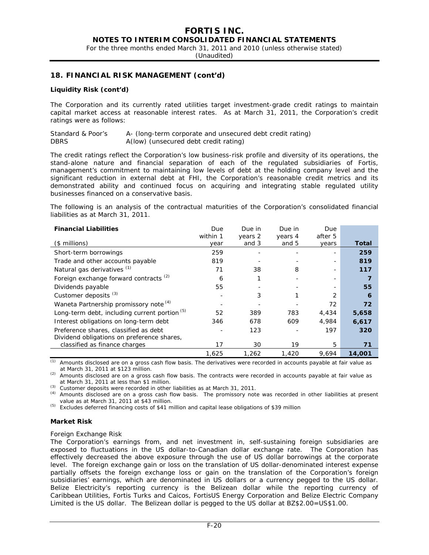For the three months ended March 31, 2011 and 2010 (unless otherwise stated)

(Unaudited)

### **18. FINANCIAL RISK MANAGEMENT (cont'd)**

#### **Liquidity Risk (cont'd)**

The Corporation and its currently rated utilities target investment-grade credit ratings to maintain capital market access at reasonable interest rates. As at March 31, 2011, the Corporation's credit ratings were as follows:

| Standard & Poor's | A- (long-term corporate and unsecured debt credit rating) |
|-------------------|-----------------------------------------------------------|
| <b>DBRS</b>       | A(low) (unsecured debt credit rating)                     |

The credit ratings reflect the Corporation's low business-risk profile and diversity of its operations, the stand-alone nature and financial separation of each of the regulated subsidiaries of Fortis, management's commitment to maintaining low levels of debt at the holding company level and the significant reduction in external debt at FHI, the Corporation's reasonable credit metrics and its demonstrated ability and continued focus on acquiring and integrating stable regulated utility businesses financed on a conservative basis.

The following is an analysis of the contractual maturities of the Corporation's consolidated financial liabilities as at March 31, 2011.

| <b>Financial Liabilities</b>                      | Due      | Due in  | Due in  | Due            |             |
|---------------------------------------------------|----------|---------|---------|----------------|-------------|
|                                                   | within 1 | years 2 | years 4 | after 5        |             |
| $($$ millions)                                    | year     | and 3   | and 5   | years          | Total       |
| Short-term borrowings                             | 259      |         |         |                | 259         |
| Trade and other accounts payable                  | 819      |         |         |                | 819         |
| Natural gas derivatives (1)                       | 71       | 38      | 8       |                | 117         |
| Foreign exchange forward contracts <sup>(2)</sup> | 6        |         |         |                |             |
| Dividends payable                                 | 55       |         |         |                | 55          |
| Customer deposits $(3)$                           |          | 3       |         | $\overline{2}$ | $\mathbf 6$ |
| Waneta Partnership promissory note (4)            |          |         |         | 72             | 72          |
| Long-term debt, including current portion $(5)$   | 52       | 389     | 783     | 4,434          | 5,658       |
| Interest obligations on long-term debt            | 346      | 678     | 609     | 4.984          | 6,617       |
| Preference shares, classified as debt             |          | 123     |         | 197            | 320         |
| Dividend obligations on preference shares,        |          |         |         |                |             |
| classified as finance charges                     | 17       | 30      | 19      | 5              | 71          |
|                                                   | 1,625    | 1,262   | 1,420   | 9,694          | 14,001      |

*(1)* Amounts disclosed are on a gross cash flow basis. The derivatives were recorded in accounts payable at fair value as at March 31, 2011 at \$123 million.

*(2)* Amounts disclosed are on a gross cash flow basis. The contracts were recorded in accounts payable at fair value as at March 31, 2011 at less than \$1 million.

*(3)* Customer deposits were recorded in other liabilities as at March 31, 2011.

*(4)* Amounts disclosed are on a gross cash flow basis. The promissory note was recorded in other liabilities at present value as at March 31, 2011 at \$43 million.

*(5)* Excludes deferred financing costs of \$41 million and capital lease obligations of \$39 million

#### **Market Risk**

#### *Foreign Exchange Risk*

The Corporation's earnings from, and net investment in, self-sustaining foreign subsidiaries are exposed to fluctuations in the US dollar-to-Canadian dollar exchange rate. The Corporation has effectively decreased the above exposure through the use of US dollar borrowings at the corporate level. The foreign exchange gain or loss on the translation of US dollar-denominated interest expense partially offsets the foreign exchange loss or gain on the translation of the Corporation's foreign subsidiaries' earnings, which are denominated in US dollars or a currency pegged to the US dollar. Belize Electricity's reporting currency is the Belizean dollar while the reporting currency of Caribbean Utilities, Fortis Turks and Caicos, FortisUS Energy Corporation and Belize Electric Company Limited is the US dollar. The Belizean dollar is pegged to the US dollar at BZ\$2.00=US\$1.00.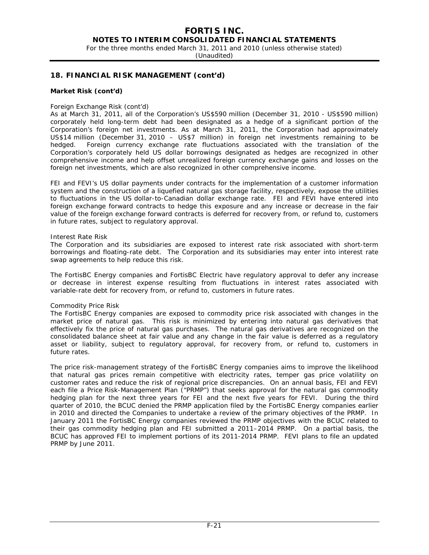For the three months ended March 31, 2011 and 2010 (unless otherwise stated)

(Unaudited)

## **18. FINANCIAL RISK MANAGEMENT (cont'd)**

#### **Market Risk (cont'd)**

### *Foreign Exchange Risk (cont'd)*

As at March 31, 2011, all of the Corporation's US\$590 million (December 31, 2010 - US\$590 million) corporately held long-term debt had been designated as a hedge of a significant portion of the Corporation's foreign net investments. As at March 31, 2011, the Corporation had approximately US\$14 million (December 31, 2010 – US\$7 million) in foreign net investments remaining to be hedged. Foreign currency exchange rate fluctuations associated with the translation of the Corporation's corporately held US dollar borrowings designated as hedges are recognized in other comprehensive income and help offset unrealized foreign currency exchange gains and losses on the foreign net investments, which are also recognized in other comprehensive income.

FEI and FEVI's US dollar payments under contracts for the implementation of a customer information system and the construction of a liquefied natural gas storage facility, respectively, expose the utilities to fluctuations in the US dollar-to-Canadian dollar exchange rate. FEI and FEVI have entered into foreign exchange forward contracts to hedge this exposure and any increase or decrease in the fair value of the foreign exchange forward contracts is deferred for recovery from, or refund to, customers in future rates, subject to regulatory approval.

#### *Interest Rate Risk*

The Corporation and its subsidiaries are exposed to interest rate risk associated with short-term borrowings and floating-rate debt. The Corporation and its subsidiaries may enter into interest rate swap agreements to help reduce this risk.

The FortisBC Energy companies and FortisBC Electric have regulatory approval to defer any increase or decrease in interest expense resulting from fluctuations in interest rates associated with variable-rate debt for recovery from, or refund to, customers in future rates.

#### *Commodity Price Risk*

The FortisBC Energy companies are exposed to commodity price risk associated with changes in the market price of natural gas. This risk is minimized by entering into natural gas derivatives that effectively fix the price of natural gas purchases. The natural gas derivatives are recognized on the consolidated balance sheet at fair value and any change in the fair value is deferred as a regulatory asset or liability, subject to regulatory approval, for recovery from, or refund to, customers in future rates.

The price risk-management strategy of the FortisBC Energy companies aims to improve the likelihood that natural gas prices remain competitive with electricity rates, temper gas price volatility on customer rates and reduce the risk of regional price discrepancies. On an annual basis, FEI and FEVI each file a Price Risk-Management Plan ("PRMP") that seeks approval for the natural gas commodity hedging plan for the next three years for FEI and the next five years for FEVI. During the third quarter of 2010, the BCUC denied the PRMP application filed by the FortisBC Energy companies earlier in 2010 and directed the Companies to undertake a review of the primary objectives of the PRMP. In January 2011 the FortisBC Energy companies reviewed the PRMP objectives with the BCUC related to their gas commodity hedging plan and FEI submitted a 2011–2014 PRMP. On a partial basis, the BCUC has approved FEI to implement portions of its 2011-2014 PRMP. FEVI plans to file an updated PRMP by June 2011.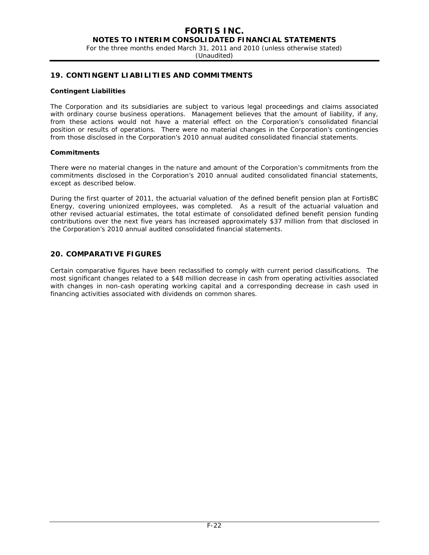For the three months ended March 31, 2011 and 2010 (unless otherwise stated)

(Unaudited)

### **19. CONTINGENT LIABILITIES AND COMMITMENTS**

#### **Contingent Liabilities**

The Corporation and its subsidiaries are subject to various legal proceedings and claims associated with ordinary course business operations. Management believes that the amount of liability, if any, from these actions would not have a material effect on the Corporation's consolidated financial position or results of operations. There were no material changes in the Corporation's contingencies from those disclosed in the Corporation's 2010 annual audited consolidated financial statements.

#### **Commitments**

There were no material changes in the nature and amount of the Corporation's commitments from the commitments disclosed in the Corporation's 2010 annual audited consolidated financial statements, except as described below.

During the first quarter of 2011, the actuarial valuation of the defined benefit pension plan at FortisBC Energy, covering unionized employees, was completed. As a result of the actuarial valuation and other revised actuarial estimates, the total estimate of consolidated defined benefit pension funding contributions over the next five years has increased approximately \$37 million from that disclosed in the Corporation's 2010 annual audited consolidated financial statements.

## **20. COMPARATIVE FIGURES**

Certain comparative figures have been reclassified to comply with current period classifications. The most significant changes related to a \$48 million decrease in cash from operating activities associated with changes in non-cash operating working capital and a corresponding decrease in cash used in financing activities associated with dividends on common shares.